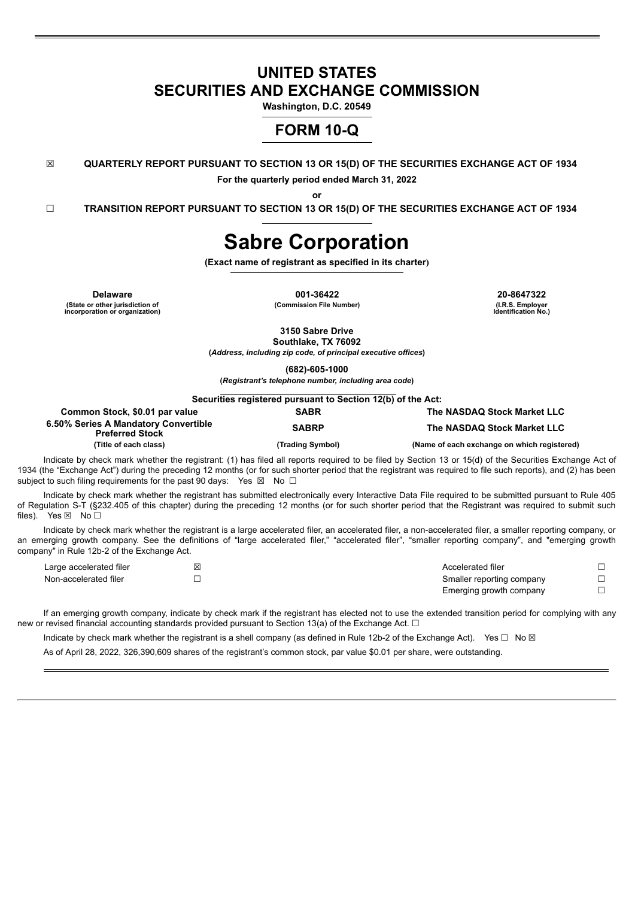# **UNITED STATES SECURITIES AND EXCHANGE COMMISSION**

**Washington, D.C. 20549**

# **FORM 10-Q**

### ☒ **QUARTERLY REPORT PURSUANT TO SECTION 13 OR 15(D) OF THE SECURITIES EXCHANGE ACT OF 1934**

**For the quarterly period ended March 31, 2022**

**or**

☐ **TRANSITION REPORT PURSUANT TO SECTION 13 OR 15(D) OF THE SECURITIES EXCHANGE ACT OF 1934**

# **Sabre Corporation**

**(Exact name of registrant as specified in its charter)**

**(State or other jurisdiction of incorporation or organization)**

**6.50% Series A Mandatory Convertible**

**Delaware 001-36422 20-8647322 (Commission File Number) (I.R.S. Employer**

**Identification No.)**

**3150 Sabre Drive**

**Southlake, TX 76092 (***Address, including zip code, of principal executive offices***)**

**(682)-605-1000**

**(***Registrant's telephone number, including area code***)**

| Securities registered pursuant to Section 12(b) of the Act: |                  |                                             |  |  |  |  |  |
|-------------------------------------------------------------|------------------|---------------------------------------------|--|--|--|--|--|
| Common Stock, \$0.01 par value                              | <b>SABR</b>      | The NASDAQ Stock Market LLC                 |  |  |  |  |  |
| 0% Series A Mandatory Convertible<br><b>Preferred Stock</b> | <b>SABRP</b>     | The NASDAQ Stock Market LLC                 |  |  |  |  |  |
| (Title of each class)                                       | (Trading Symbol) | (Name of each exchange on which registered) |  |  |  |  |  |

Indicate by check mark whether the registrant: (1) has filed all reports required to be filed by Section 13 or 15(d) of the Securities Exchange Act of 1934 (the "Exchange Act") during the preceding 12 months (or for such shorter period that the registrant was required to file such reports), and (2) has been subject to such filing requirements for the past 90 days: Yes  $\boxtimes$  No  $\Box$ 

Indicate by check mark whether the registrant has submitted electronically every Interactive Data File required to be submitted pursuant to Rule 405 of Regulation S-T (§232.405 of this chapter) during the preceding 12 months (or for such shorter period that the Registrant was required to submit such files). Yes  $\boxtimes$  No  $\square$ 

Indicate by check mark whether the registrant is a large accelerated filer, an accelerated filer, a non-accelerated filer, a smaller reporting company, or an emerging growth company. See the definitions of "large accelerated filer," "accelerated filer", "smaller reporting company", and "emerging growth company" in Rule 12b-2 of the Exchange Act.

| Large accelerated filer | Accelerated filer         |  |
|-------------------------|---------------------------|--|
| Non-accelerated filer   | Smaller reporting company |  |
|                         | Emerging growth company   |  |

If an emerging growth company, indicate by check mark if the registrant has elected not to use the extended transition period for complying with any new or revised financial accounting standards provided pursuant to Section 13(a) of the Exchange Act.  $\Box$ 

Indicate by check mark whether the registrant is a shell company (as defined in Rule 12b-2 of the Exchange Act). Yes  $\Box$  No  $\boxtimes$ 

As of April 28, 2022, 326,390,609 shares of the registrant's common stock, par value \$0.01 per share, were outstanding.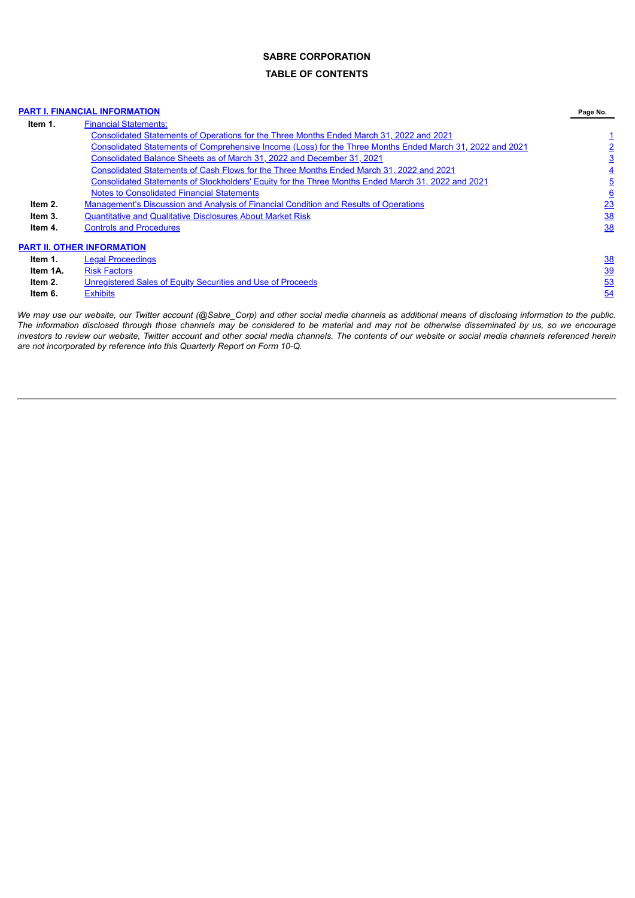# **SABRE CORPORATION**

# **TABLE OF CONTENTS**

|          | <b>PART I. FINANCIAL INFORMATION</b>                                                                                                                   | Page No.  |
|----------|--------------------------------------------------------------------------------------------------------------------------------------------------------|-----------|
| Item 1.  | <b>Financial Statements:</b>                                                                                                                           |           |
|          | Consolidated Statements of Operations for the Three Months Ended March 31, 2022 and 2021                                                               |           |
|          | Consolidated Statements of Comprehensive Income (Loss) for the Three Months Ended March 31, 2022 and 2021                                              |           |
|          | Consolidated Balance Sheets as of March 31, 2022 and December 31, 2021                                                                                 |           |
|          | Consolidated Statements of Cash Flows for the Three Months Ended March 31, 2022 and 2021                                                               |           |
|          | Consolidated Statements of Stockholders' Equity for the Three Months Ended March 31, 2022 and 2021                                                     |           |
|          | <b>Notes to Consolidated Financial Statements</b>                                                                                                      | 6         |
| Item 2.  | Management's Discussion and Analysis of Financial Condition and Results of Operations                                                                  | 23        |
| Item 3.  | <b>Quantitative and Qualitative Disclosures About Market Risk</b>                                                                                      | <u>38</u> |
| Item 4.  | <b>Controls and Procedures</b>                                                                                                                         | 38        |
|          | PART II. OTHER INFORMATION                                                                                                                             |           |
| ltem 1.  | <b>Legal Proceedings</b>                                                                                                                               | <u>38</u> |
| Item 1A. | <b>Risk Factors</b>                                                                                                                                    | <u>39</u> |
| Item 2.  | Unregistered Sales of Equity Securities and Use of Proceeds                                                                                            | 53        |
| Item 6.  | <b>Exhibits</b>                                                                                                                                        | 54        |
|          | We may use our website, our Twitter account (@Sabre, Corp) and other social media channels as additional means of disclosing information to the public |           |

<span id="page-1-0"></span>*We may use our website, our Twitter account (@Sabre\_Corp) and other social media channels as additional means of disclosing information to the public. The information disclosed through those channels may be considered to be material and may not be otherwise disseminated by us, so we encourage investors to review our website, Twitter account and other social media channels. The contents of our website or social media channels referenced herein are not incorporated by reference into this Quarterly Report on Form 10-Q.*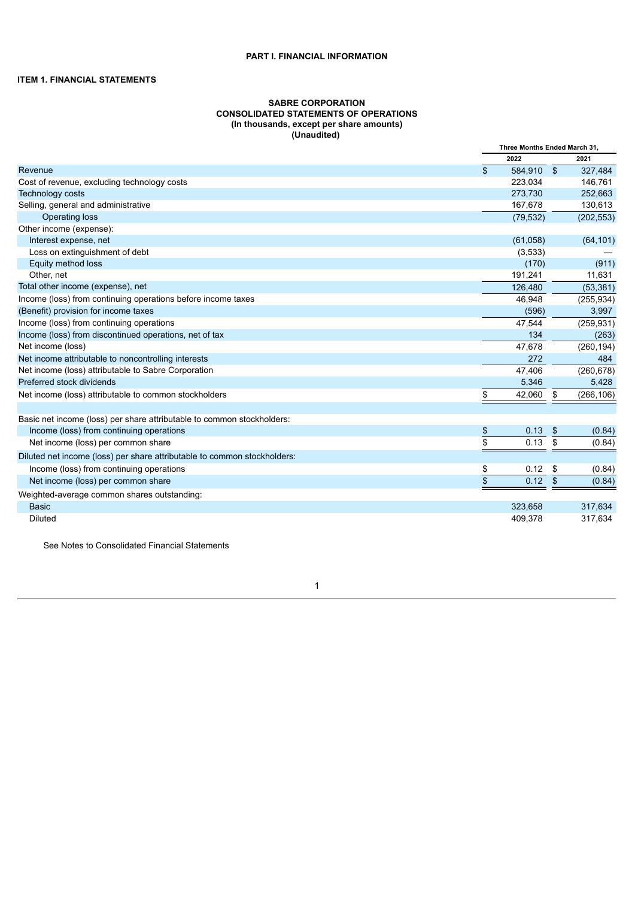# <span id="page-2-1"></span><span id="page-2-0"></span>**ITEM 1. FINANCIAL STATEMENTS**

#### **SABRE CORPORATION CONSOLIDATED STATEMENTS OF OPERATIONS (In thousands, except per share amounts) (Unaudited)**

|                                                                          |                | Three Months Ended March 31, |                         |            |  |  |
|--------------------------------------------------------------------------|----------------|------------------------------|-------------------------|------------|--|--|
|                                                                          |                | 2022                         |                         | 2021       |  |  |
| Revenue                                                                  | $\mathfrak{S}$ | 584,910 \$                   |                         | 327,484    |  |  |
| Cost of revenue, excluding technology costs                              |                | 223,034                      |                         | 146,761    |  |  |
| Technology costs                                                         |                | 273,730                      |                         | 252,663    |  |  |
| Selling, general and administrative                                      |                | 167,678                      |                         | 130,613    |  |  |
| <b>Operating loss</b>                                                    |                | (79, 532)                    |                         | (202, 553) |  |  |
| Other income (expense):                                                  |                |                              |                         |            |  |  |
| Interest expense, net                                                    |                | (61,058)                     |                         | (64, 101)  |  |  |
| Loss on extinguishment of debt                                           |                | (3,533)                      |                         |            |  |  |
| Equity method loss                                                       |                | (170)                        |                         | (911)      |  |  |
| Other, net                                                               |                | 191,241                      |                         | 11,631     |  |  |
| Total other income (expense), net                                        |                | 126,480                      |                         | (53, 381)  |  |  |
| Income (loss) from continuing operations before income taxes             |                | 46,948                       |                         | (255, 934) |  |  |
| (Benefit) provision for income taxes                                     |                | (596)                        |                         | 3,997      |  |  |
| Income (loss) from continuing operations                                 |                | 47,544                       |                         | (259, 931) |  |  |
| Income (loss) from discontinued operations, net of tax                   |                | 134                          |                         | (263)      |  |  |
| Net income (loss)                                                        |                | 47,678                       |                         | (260, 194) |  |  |
| Net income attributable to noncontrolling interests                      |                | 272                          |                         | 484        |  |  |
| Net income (loss) attributable to Sabre Corporation                      |                | 47,406                       |                         | (260, 678) |  |  |
| Preferred stock dividends                                                |                | 5,346                        |                         | 5,428      |  |  |
| Net income (loss) attributable to common stockholders                    | \$             | 42,060                       | \$                      | (266, 106) |  |  |
|                                                                          |                |                              |                         |            |  |  |
| Basic net income (loss) per share attributable to common stockholders:   |                |                              |                         |            |  |  |
| Income (loss) from continuing operations                                 | \$             | 0.13                         | \$                      | (0.84)     |  |  |
| Net income (loss) per common share                                       | \$             | 0.13                         | \$                      | (0.84)     |  |  |
| Diluted net income (loss) per share attributable to common stockholders: |                |                              |                         |            |  |  |
| Income (loss) from continuing operations                                 | \$             | 0.12                         | \$                      | (0.84)     |  |  |
| Net income (loss) per common share                                       | $\mathbb{S}$   | 0.12                         | $\sqrt[6]{\frac{1}{2}}$ | (0.84)     |  |  |
| Weighted-average common shares outstanding:                              |                |                              |                         |            |  |  |
| <b>Basic</b>                                                             |                | 323,658                      |                         | 317,634    |  |  |
| <b>Diluted</b>                                                           |                | 409,378                      |                         | 317,634    |  |  |

1

<span id="page-2-2"></span>See Notes to Consolidated Financial Statements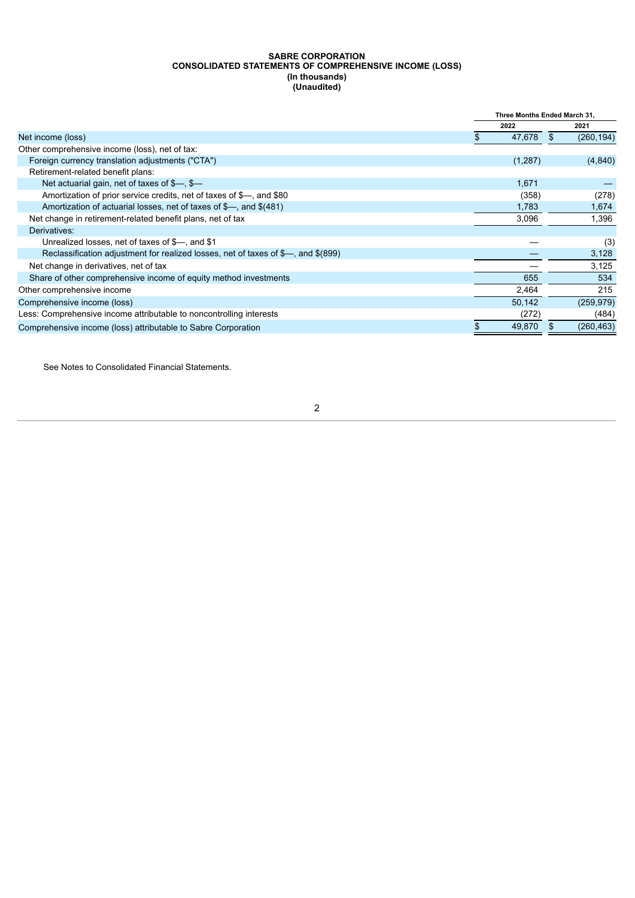#### **SABRE CORPORATION CONSOLIDATED STATEMENTS OF COMPREHENSIVE INCOME (LOSS) (In thousands) (Unaudited)**

|                                                                                   | Three Months Ended March 31. |         |      |            |  |  |
|-----------------------------------------------------------------------------------|------------------------------|---------|------|------------|--|--|
|                                                                                   |                              | 2022    |      | 2021       |  |  |
| Net income (loss)                                                                 |                              | 47,678  | - 35 | (260, 194) |  |  |
| Other comprehensive income (loss), net of tax:                                    |                              |         |      |            |  |  |
| Foreign currency translation adjustments ("CTA")                                  |                              | (1,287) |      | (4,840)    |  |  |
| Retirement-related benefit plans:                                                 |                              |         |      |            |  |  |
| Net actuarial gain, net of taxes of $\frac{1}{2}$ , $\frac{1}{2}$                 |                              | 1.671   |      |            |  |  |
| Amortization of prior service credits, net of taxes of \$—, and \$80              |                              | (358)   |      | (278)      |  |  |
| Amortization of actuarial losses, net of taxes of \$—, and \$(481)                |                              | 1,783   |      | 1,674      |  |  |
| Net change in retirement-related benefit plans, net of tax                        |                              | 3,096   |      | 1,396      |  |  |
| Derivatives:                                                                      |                              |         |      |            |  |  |
| Unrealized losses, net of taxes of \$-, and \$1                                   |                              |         |      | (3)        |  |  |
| Reclassification adjustment for realized losses, net of taxes of \$—, and \$(899) |                              |         |      | 3,128      |  |  |
| Net change in derivatives, net of tax                                             |                              |         |      | 3,125      |  |  |
| Share of other comprehensive income of equity method investments                  |                              | 655     |      | 534        |  |  |
| Other comprehensive income                                                        |                              | 2,464   |      | 215        |  |  |
| Comprehensive income (loss)                                                       |                              | 50,142  |      | (259, 979) |  |  |
| Less: Comprehensive income attributable to noncontrolling interests               |                              | (272)   |      | (484)      |  |  |
| Comprehensive income (loss) attributable to Sabre Corporation                     |                              | 49,870  |      | (260, 463) |  |  |

<span id="page-3-0"></span>See Notes to Consolidated Financial Statements.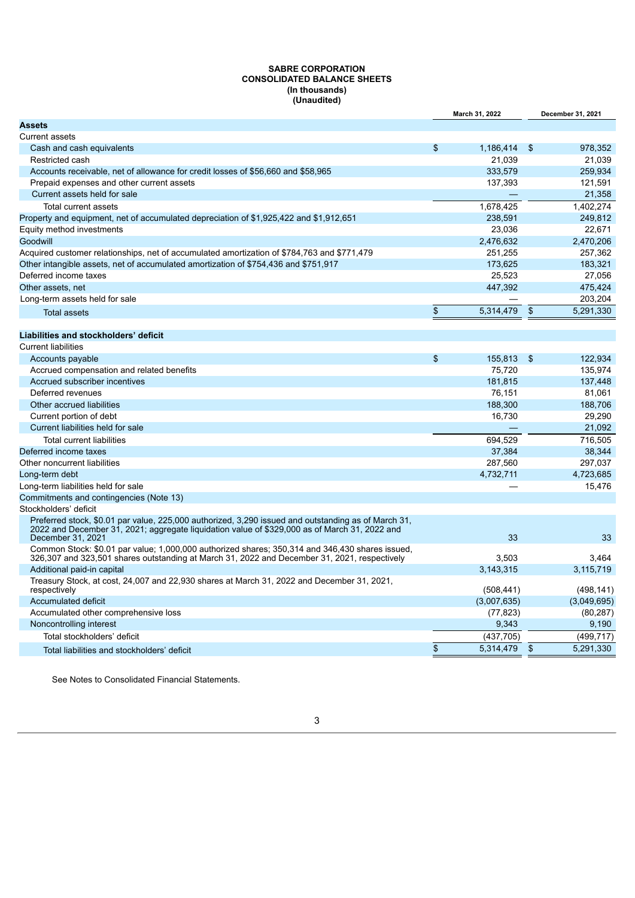#### **SABRE CORPORATION CONSOLIDATED BALANCE SHEETS (In thousands) (Unaudited)**

|                                                                                                                                                                                                                           | March 31, 2022  |                           | December 31, 2021  |
|---------------------------------------------------------------------------------------------------------------------------------------------------------------------------------------------------------------------------|-----------------|---------------------------|--------------------|
| <b>Assets</b>                                                                                                                                                                                                             |                 |                           |                    |
| <b>Current assets</b>                                                                                                                                                                                                     |                 |                           |                    |
| Cash and cash equivalents                                                                                                                                                                                                 | \$<br>1,186,414 | $\sqrt[6]{3}$             | 978,352            |
| Restricted cash                                                                                                                                                                                                           | 21.039          |                           | 21.039             |
| Accounts receivable, net of allowance for credit losses of \$56,660 and \$58,965                                                                                                                                          | 333.579         |                           | 259.934            |
| Prepaid expenses and other current assets                                                                                                                                                                                 | 137,393         |                           | 121,591            |
| Current assets held for sale                                                                                                                                                                                              |                 |                           | 21,358             |
| Total current assets                                                                                                                                                                                                      | 1,678,425       |                           | 1,402,274          |
| Property and equipment, net of accumulated depreciation of \$1,925,422 and \$1,912,651                                                                                                                                    | 238,591         |                           | 249,812            |
| Equity method investments                                                                                                                                                                                                 | 23,036          |                           | 22,671             |
| Goodwill                                                                                                                                                                                                                  | 2,476,632       |                           | 2,470,206          |
| Acquired customer relationships, net of accumulated amortization of \$784,763 and \$771,479                                                                                                                               | 251,255         |                           | 257,362            |
| Other intangible assets, net of accumulated amortization of \$754,436 and \$751,917                                                                                                                                       | 173,625         |                           | 183,321            |
| Deferred income taxes                                                                                                                                                                                                     | 25,523          |                           | 27,056             |
| Other assets, net                                                                                                                                                                                                         | 447,392         |                           | 475,424            |
| Long-term assets held for sale                                                                                                                                                                                            |                 |                           | 203.204            |
| <b>Total assets</b>                                                                                                                                                                                                       | \$<br>5,314,479 | $\boldsymbol{\mathsf{s}}$ | 5,291,330          |
|                                                                                                                                                                                                                           |                 |                           |                    |
| Liabilities and stockholders' deficit                                                                                                                                                                                     |                 |                           |                    |
| <b>Current liabilities</b>                                                                                                                                                                                                |                 |                           |                    |
|                                                                                                                                                                                                                           | \$              |                           |                    |
| Accounts payable                                                                                                                                                                                                          | 155,813         | -\$                       | 122,934<br>135,974 |
| Accrued compensation and related benefits                                                                                                                                                                                 | 75,720          |                           |                    |
| Accrued subscriber incentives                                                                                                                                                                                             | 181,815         |                           | 137,448            |
| Deferred revenues                                                                                                                                                                                                         | 76,151          |                           | 81,061             |
| Other accrued liabilities                                                                                                                                                                                                 | 188.300         |                           | 188.706            |
| Current portion of debt                                                                                                                                                                                                   | 16.730          |                           | 29.290             |
| Current liabilities held for sale                                                                                                                                                                                         |                 |                           | 21,092             |
| <b>Total current liabilities</b>                                                                                                                                                                                          | 694.529         |                           | 716,505            |
| Deferred income taxes                                                                                                                                                                                                     | 37,384          |                           | 38,344             |
| Other noncurrent liabilities                                                                                                                                                                                              | 287,560         |                           | 297,037            |
| Long-term debt                                                                                                                                                                                                            | 4,732,711       |                           | 4,723,685          |
| Long-term liabilities held for sale                                                                                                                                                                                       |                 |                           | 15,476             |
| Commitments and contingencies (Note 13)                                                                                                                                                                                   |                 |                           |                    |
| Stockholders' deficit                                                                                                                                                                                                     |                 |                           |                    |
| Preferred stock, \$0.01 par value, 225,000 authorized, 3,290 issued and outstanding as of March 31,<br>2022 and December 31, 2021; aggregate liquidation value of \$329,000 as of March 31, 2022 and<br>December 31, 2021 | 33              |                           | 33                 |
| Common Stock: \$0.01 par value; 1,000,000 authorized shares; 350,314 and 346,430 shares issued,<br>326,307 and 323,501 shares outstanding at March 31, 2022 and December 31, 2021, respectively                           | 3.503           |                           | 3.464              |
| Additional paid-in capital                                                                                                                                                                                                | 3,143,315       |                           | 3,115,719          |
| Treasury Stock, at cost, 24,007 and 22,930 shares at March 31, 2022 and December 31, 2021,<br>respectively                                                                                                                | (508, 441)      |                           | (498, 141)         |
| Accumulated deficit                                                                                                                                                                                                       | (3,007,635)     |                           | (3,049,695)        |
| Accumulated other comprehensive loss                                                                                                                                                                                      | (77, 823)       |                           | (80, 287)          |
| Noncontrolling interest                                                                                                                                                                                                   | 9,343           |                           | 9,190              |
| Total stockholders' deficit                                                                                                                                                                                               | (437,705)       |                           | (499, 717)         |
|                                                                                                                                                                                                                           | \$<br>5,314,479 | \$                        | 5.291.330          |
| Total liabilities and stockholders' deficit                                                                                                                                                                               |                 |                           |                    |

<span id="page-4-0"></span>See Notes to Consolidated Financial Statements.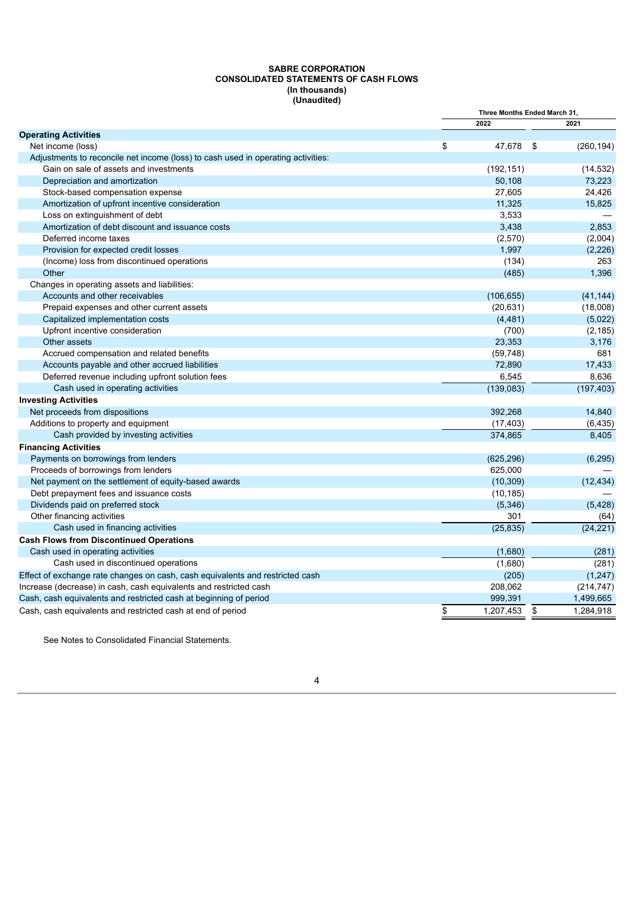#### **SABRE CORPORATION CONSOLIDATED STATEMENTS OF CASH FLOWS (In thousands) (Unaudited)**

|                                                                                  | Three Months Ended March 31. |    |            |  |  |  |
|----------------------------------------------------------------------------------|------------------------------|----|------------|--|--|--|
|                                                                                  | 2022                         |    | 2021       |  |  |  |
| <b>Operating Activities</b>                                                      |                              |    |            |  |  |  |
| Net income (loss)                                                                | \$<br>47,678                 | \$ | (260, 194) |  |  |  |
| Adjustments to reconcile net income (loss) to cash used in operating activities: |                              |    |            |  |  |  |
| Gain on sale of assets and investments                                           | (192, 151)                   |    | (14, 532)  |  |  |  |
| Depreciation and amortization                                                    | 50,108                       |    | 73,223     |  |  |  |
| Stock-based compensation expense                                                 | 27,605                       |    | 24,426     |  |  |  |
| Amortization of upfront incentive consideration                                  | 11,325                       |    | 15,825     |  |  |  |
| Loss on extinguishment of debt                                                   | 3,533                        |    |            |  |  |  |
| Amortization of debt discount and issuance costs                                 | 3,438                        |    | 2,853      |  |  |  |
| Deferred income taxes                                                            | (2,570)                      |    | (2,004)    |  |  |  |
| Provision for expected credit losses                                             | 1,997                        |    | (2, 226)   |  |  |  |
| (Income) loss from discontinued operations                                       | (134)                        |    | 263        |  |  |  |
| Other                                                                            | (485)                        |    | 1,396      |  |  |  |
| Changes in operating assets and liabilities:                                     |                              |    |            |  |  |  |
| Accounts and other receivables                                                   | (106, 655)                   |    | (41, 144)  |  |  |  |
| Prepaid expenses and other current assets                                        | (20, 631)                    |    | (18,008)   |  |  |  |
| Capitalized implementation costs                                                 | (4, 481)                     |    | (5,022)    |  |  |  |
| Upfront incentive consideration                                                  | (700)                        |    | (2, 185)   |  |  |  |
| Other assets                                                                     | 23,353                       |    | 3,176      |  |  |  |
| Accrued compensation and related benefits                                        | (59, 748)                    |    | 681        |  |  |  |
| Accounts payable and other accrued liabilities                                   | 72,890                       |    | 17,433     |  |  |  |
| Deferred revenue including upfront solution fees                                 | 6,545                        |    | 8,636      |  |  |  |
| Cash used in operating activities                                                | (139,083)                    |    | (197, 403) |  |  |  |
| <b>Investing Activities</b>                                                      |                              |    |            |  |  |  |
| Net proceeds from dispositions                                                   | 392,268                      |    | 14,840     |  |  |  |
| Additions to property and equipment                                              | (17, 403)                    |    | (6, 435)   |  |  |  |
| Cash provided by investing activities                                            | 374.865                      |    | 8,405      |  |  |  |
| <b>Financing Activities</b>                                                      |                              |    |            |  |  |  |
| Payments on borrowings from lenders                                              | (625, 296)                   |    | (6, 295)   |  |  |  |
| Proceeds of borrowings from lenders                                              | 625,000                      |    |            |  |  |  |
| Net payment on the settlement of equity-based awards                             | (10, 309)                    |    | (12, 434)  |  |  |  |
| Debt prepayment fees and issuance costs                                          | (10, 185)                    |    |            |  |  |  |
| Dividends paid on preferred stock                                                | (5, 346)                     |    | (5, 428)   |  |  |  |
| Other financing activities                                                       | 301                          |    | (64)       |  |  |  |
| Cash used in financing activities                                                | (25, 835)                    |    | (24, 221)  |  |  |  |
| <b>Cash Flows from Discontinued Operations</b>                                   |                              |    |            |  |  |  |
| Cash used in operating activities                                                | (1,680)                      |    | (281)      |  |  |  |
| Cash used in discontinued operations                                             | (1,680)                      |    | (281)      |  |  |  |
| Effect of exchange rate changes on cash, cash equivalents and restricted cash    | (205)                        |    | (1, 247)   |  |  |  |
| Increase (decrease) in cash, cash equivalents and restricted cash                | 208,062                      |    | (214, 747) |  |  |  |
| Cash, cash equivalents and restricted cash at beginning of period                | 999,391                      |    | 1,499,665  |  |  |  |
| Cash, cash equivalents and restricted cash at end of period                      | \$<br>1,207,453              | \$ | 1,284,918  |  |  |  |
|                                                                                  |                              |    |            |  |  |  |

<span id="page-5-0"></span>See Notes to Consolidated Financial Statements.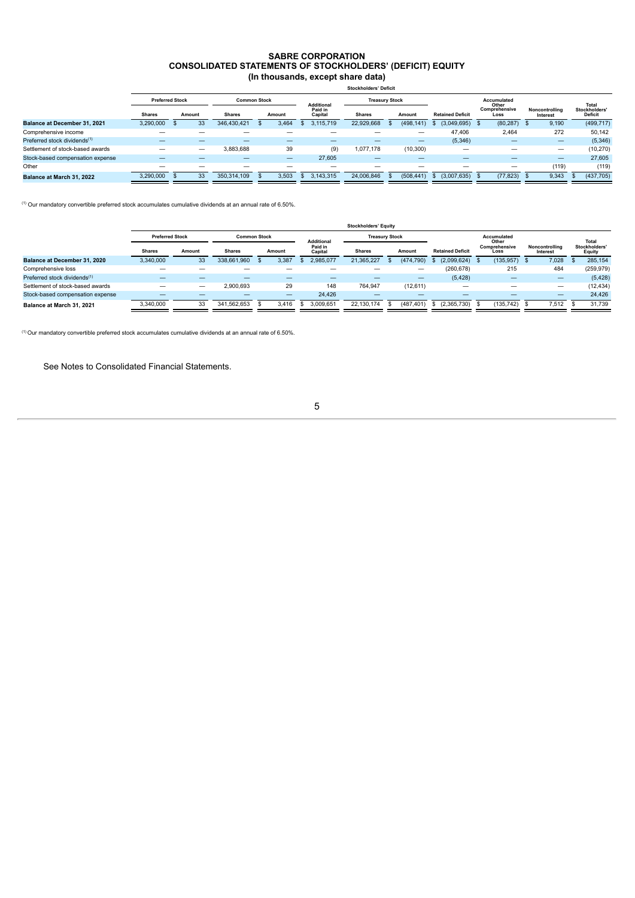#### **SABRE CORPORATION CONSOLIDATED STATEMENTS OF STOCKHOLDERS' (DEFICIT) EQUITY (In thousands, except share data)**

|                                          |                                               |        |    |               |                          |      |                          | <b>Stockholders' Deficit</b> |  |                          |                         |  |                       |                            |                          |                                 |            |  |  |  |  |           |  |  |  |  |  |  |  |  |  |  |  |           |
|------------------------------------------|-----------------------------------------------|--------|----|---------------|--------------------------|------|--------------------------|------------------------------|--|--------------------------|-------------------------|--|-----------------------|----------------------------|--------------------------|---------------------------------|------------|--|--|--|--|-----------|--|--|--|--|--|--|--|--|--|--|--|-----------|
|                                          | <b>Preferred Stock</b><br><b>Common Stock</b> |        |    |               | <b>Additional</b>        |      | Accumulated<br>Other     |                              |  |                          | <b>Total</b>            |  |                       |                            |                          |                                 |            |  |  |  |  |           |  |  |  |  |  |  |  |  |  |  |  |           |
|                                          | <b>Shares</b>                                 | Amount |    | <b>Shares</b> | Amount                   |      | Paid in<br>Capital       | <b>Shares</b>                |  | Amount                   | <b>Retained Deficit</b> |  | Comprehensive<br>Loss | Noncontrolling<br>Interest |                          | Stockholders'<br><b>Deficit</b> |            |  |  |  |  |           |  |  |  |  |  |  |  |  |  |  |  |           |
| Balance at December 31, 2021             | 3,290,000                                     |        | 33 | 346,430,421   | 3.464                    |      | 3.115.719                | 22,929,668                   |  | (498, 141)               | $(3,049,695)$ \$        |  | $(80, 287)$ \$        |                            | 9,190                    |                                 | (499, 717) |  |  |  |  |           |  |  |  |  |  |  |  |  |  |  |  |           |
| Comprehensive income                     |                                               |        |    | —             |                          |      |                          |                              |  | $\overline{\phantom{m}}$ | 47.406                  |  | 2.464                 |                            | 272                      |                                 | 50,142     |  |  |  |  |           |  |  |  |  |  |  |  |  |  |  |  |           |
| Preferred stock dividends <sup>(1)</sup> |                                               |        |    |               |                          |      | $\overline{\phantom{0}}$ |                              |  | $\qquad \qquad -$        | (5,346)                 |  |                       |                            | -                        |                                 | (5, 346)   |  |  |  |  |           |  |  |  |  |  |  |  |  |  |  |  |           |
| Settlement of stock-based awards         |                                               |        |    | 3,883,688     | 39                       |      | (9)                      | 1,077,178                    |  |                          |                         |  |                       |                            |                          |                                 |            |  |  |  |  | (10, 300) |  |  |  |  |  |  |  |  |  |  |  | (10, 270) |
| Stock-based compensation expense         |                                               |        |    |               | $\overline{\phantom{0}}$ |      | 27.605                   |                              |  |                          |                         |  |                       |                            | $\overline{\phantom{0}}$ |                                 | 27,605     |  |  |  |  |           |  |  |  |  |  |  |  |  |  |  |  |           |
| Other                                    |                                               |        |    |               |                          |      |                          |                              |  |                          |                         |  |                       |                            | (119)                    |                                 | (119)      |  |  |  |  |           |  |  |  |  |  |  |  |  |  |  |  |           |
| Balance at March 31, 2022                | 3,290,000                                     |        | 33 | 350.314.109   | 3.503                    | - 35 | 3.143.315                | 24.006.846                   |  | (508.441)                | $(3,007,635)$ \$        |  | (77, 823)             |                            | 9,343                    |                                 | (437, 705) |  |  |  |  |           |  |  |  |  |  |  |  |  |  |  |  |           |

 $(1)$  Our mandatory convertible preferred stock accumulates cumulative dividends at an annual rate of 6.50%.

|                                          | <b>Stockholders' Equity</b> |        |                     |        |      |                    |                       |      |            |                         |            |  |                       |  |                          |  |                                   |                         |  |
|------------------------------------------|-----------------------------|--------|---------------------|--------|------|--------------------|-----------------------|------|------------|-------------------------|------------|--|-----------------------|--|--------------------------|--|-----------------------------------|-------------------------|--|
|                                          | <b>Preferred Stock</b>      |        | <b>Common Stock</b> |        |      | <b>Additional</b>  | <b>Treasury Stock</b> |      |            |                         |            |  | Accumulated<br>Other  |  |                          |  | <b>Total</b>                      |                         |  |
|                                          | <b>Shares</b>               | Amount | <b>Shares</b>       | Amount |      | Paid in<br>Capital | <b>Shares</b>         |      | Amount     | <b>Retained Deficit</b> |            |  | Comprehensive<br>Loss |  |                          |  | <b>Noncontrolling</b><br>Interest | Stockholders'<br>Equity |  |
| Balance at December 31, 2020             | 3,340,000                   | 33     | 338,661,960         | 3,387  |      | 2,985,077          | 21,365,227            |      | (474, 790) | (2,099,624)             |            |  | (135, 957)            |  | 7,028                    |  | 285.154                           |                         |  |
| Comprehensive loss                       |                             |        |                     |        |      |                    |                       |      |            |                         | (260, 678) |  | 215                   |  | 484                      |  | (259.979)                         |                         |  |
| Preferred stock dividends <sup>(1)</sup> |                             |        | –                   | –      |      |                    |                       |      |            |                         | (5, 428)   |  |                       |  | $\overline{\phantom{0}}$ |  | (5, 428)                          |                         |  |
| Settlement of stock-based awards         |                             |        | 2.900.693           | 29     |      | 148                | 764.947               |      | (12, 611)  |                         |            |  |                       |  |                          |  | (12, 434)                         |                         |  |
| Stock-based compensation expense         |                             |        |                     | —      |      | 24.426             |                       |      |            |                         |            |  |                       |  |                          |  | 24.426                            |                         |  |
| Balance at March 31, 2021                | 3,340,000                   | 33     | 341.562.653         | 3.416  | - 71 | 3.009.651          | 22.130.174            | - 35 | (487.401)  | (2.365.730)             |            |  | (135, 742)            |  | 7.512                    |  | 31.739                            |                         |  |
|                                          |                             |        |                     |        |      |                    |                       |      |            |                         |            |  |                       |  |                          |  |                                   |                         |  |

 $(1)$  Our mandatory convertible preferred stock accumulates cumulative dividends at an annual rate of 6.50%.

<span id="page-6-0"></span>See Notes to Consolidated Financial Statements.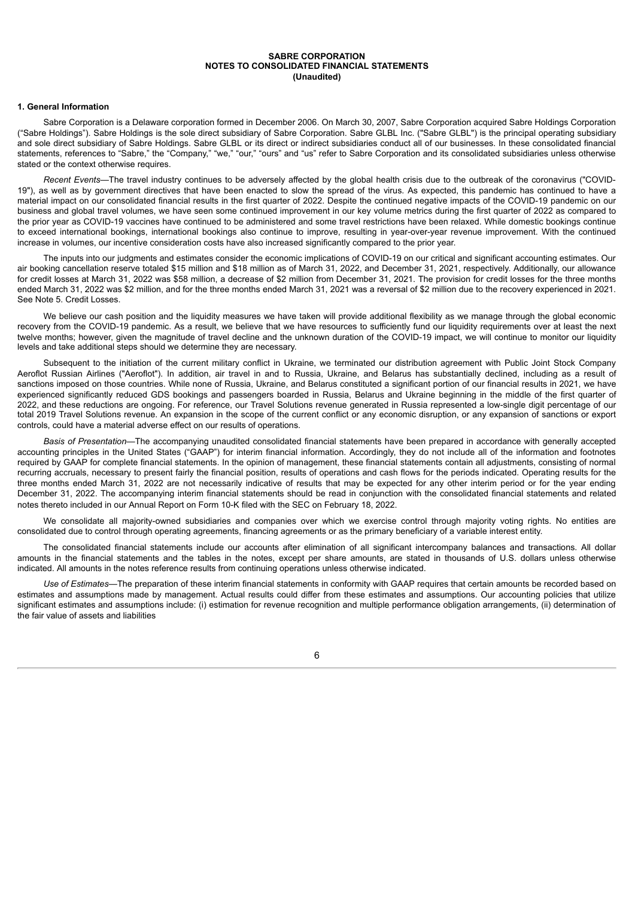#### **SABRE CORPORATION NOTES TO CONSOLIDATED FINANCIAL STATEMENTS (Unaudited)**

#### <span id="page-7-0"></span>**1. General Information**

Sabre Corporation is a Delaware corporation formed in December 2006. On March 30, 2007, Sabre Corporation acquired Sabre Holdings Corporation ("Sabre Holdings"). Sabre Holdings is the sole direct subsidiary of Sabre Corporation. Sabre GLBL Inc. ("Sabre GLBL") is the principal operating subsidiary and sole direct subsidiary of Sabre Holdings. Sabre GLBL or its direct or indirect subsidiaries conduct all of our businesses. In these consolidated financial statements, references to "Sabre," the "Company," "we," "our," "ours" and "us" refer to Sabre Corporation and its consolidated subsidiaries unless otherwise stated or the context otherwise requires.

*Recent Events—*The travel industry continues to be adversely affected by the global health crisis due to the outbreak of the coronavirus ("COVID-19"), as well as by government directives that have been enacted to slow the spread of the virus. As expected, this pandemic has continued to have a material impact on our consolidated financial results in the first quarter of 2022. Despite the continued negative impacts of the COVID-19 pandemic on our business and global travel volumes, we have seen some continued improvement in our key volume metrics during the first quarter of 2022 as compared to the prior year as COVID-19 vaccines have continued to be administered and some travel restrictions have been relaxed. While domestic bookings continue to exceed international bookings, international bookings also continue to improve, resulting in year-over-year revenue improvement. With the continued increase in volumes, our incentive consideration costs have also increased significantly compared to the prior year.

The inputs into our judgments and estimates consider the economic implications of COVID-19 on our critical and significant accounting estimates. Our air booking cancellation reserve totaled \$15 million and \$18 million as of March 31, 2022, and December 31, 2021, respectively. Additionally, our allowance for credit losses at March 31, 2022 was \$58 million, a decrease of \$2 million from December 31, 2021. The provision for credit losses for the three months ended March 31, 2022 was \$2 million, and for the three months ended March 31, 2021 was a reversal of \$2 million due to the recovery experienced in 2021. See Note 5. Credit Losses.

We believe our cash position and the liquidity measures we have taken will provide additional flexibility as we manage through the global economic recovery from the COVID-19 pandemic. As a result, we believe that we have resources to sufficiently fund our liquidity requirements over at least the next twelve months; however, given the magnitude of travel decline and the unknown duration of the COVID-19 impact, we will continue to monitor our liquidity levels and take additional steps should we determine they are necessary.

Subsequent to the initiation of the current military conflict in Ukraine, we terminated our distribution agreement with Public Joint Stock Company Aeroflot Russian Airlines ("Aeroflot"). In addition, air travel in and to Russia, Ukraine, and Belarus has substantially declined, including as a result of sanctions imposed on those countries. While none of Russia, Ukraine, and Belarus constituted a significant portion of our financial results in 2021, we have experienced significantly reduced GDS bookings and passengers boarded in Russia, Belarus and Ukraine beginning in the middle of the first quarter of 2022, and these reductions are ongoing. For reference, our Travel Solutions revenue generated in Russia represented a low-single digit percentage of our total 2019 Travel Solutions revenue. An expansion in the scope of the current conflict or any economic disruption, or any expansion of sanctions or export controls, could have a material adverse effect on our results of operations.

*Basis of Presentation—*The accompanying unaudited consolidated financial statements have been prepared in accordance with generally accepted accounting principles in the United States ("GAAP") for interim financial information. Accordingly, they do not include all of the information and footnotes required by GAAP for complete financial statements. In the opinion of management, these financial statements contain all adjustments, consisting of normal recurring accruals, necessary to present fairly the financial position, results of operations and cash flows for the periods indicated. Operating results for the three months ended March 31, 2022 are not necessarily indicative of results that may be expected for any other interim period or for the year ending December 31, 2022. The accompanying interim financial statements should be read in conjunction with the consolidated financial statements and related notes thereto included in our Annual Report on Form 10-K filed with the SEC on February 18, 2022.

We consolidate all majority-owned subsidiaries and companies over which we exercise control through majority voting rights. No entities are consolidated due to control through operating agreements, financing agreements or as the primary beneficiary of a variable interest entity.

The consolidated financial statements include our accounts after elimination of all significant intercompany balances and transactions. All dollar amounts in the financial statements and the tables in the notes, except per share amounts, are stated in thousands of U.S. dollars unless otherwise indicated. All amounts in the notes reference results from continuing operations unless otherwise indicated.

*Use of Estimates*—The preparation of these interim financial statements in conformity with GAAP requires that certain amounts be recorded based on estimates and assumptions made by management. Actual results could differ from these estimates and assumptions. Our accounting policies that utilize significant estimates and assumptions include: (i) estimation for revenue recognition and multiple performance obligation arrangements, (ii) determination of the fair value of assets and liabilities

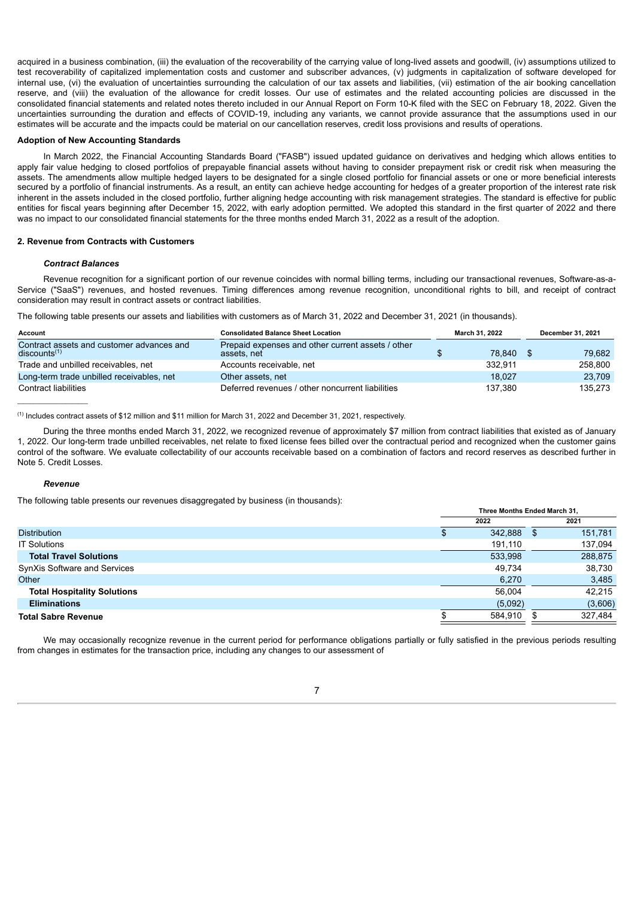acquired in a business combination, (iii) the evaluation of the recoverability of the carrying value of long-lived assets and goodwill, (iv) assumptions utilized to test recoverability of capitalized implementation costs and customer and subscriber advances, (v) judgments in capitalization of software developed for internal use, (vi) the evaluation of uncertainties surrounding the calculation of our tax assets and liabilities, (vii) estimation of the air booking cancellation reserve, and (viii) the evaluation of the allowance for credit losses. Our use of estimates and the related accounting policies are discussed in the consolidated financial statements and related notes thereto included in our Annual Report on Form 10-K filed with the SEC on February 18, 2022. Given the uncertainties surrounding the duration and effects of COVID-19, including any variants, we cannot provide assurance that the assumptions used in our estimates will be accurate and the impacts could be material on our cancellation reserves, credit loss provisions and results of operations.

#### **Adoption of New Accounting Standards**

In March 2022, the Financial Accounting Standards Board ("FASB") issued updated guidance on derivatives and hedging which allows entities to apply fair value hedging to closed portfolios of prepayable financial assets without having to consider prepayment risk or credit risk when measuring the assets. The amendments allow multiple hedged layers to be designated for a single closed portfolio for financial assets or one or more beneficial interests secured by a portfolio of financial instruments. As a result, an entity can achieve hedge accounting for hedges of a greater proportion of the interest rate risk inherent in the assets included in the closed portfolio, further aligning hedge accounting with risk management strategies. The standard is effective for public entities for fiscal years beginning after December 15, 2022, with early adoption permitted. We adopted this standard in the first quarter of 2022 and there was no impact to our consolidated financial statements for the three months ended March 31, 2022 as a result of the adoption.

#### **2. Revenue from Contracts with Customers**

#### *Contract Balances*

Revenue recognition for a significant portion of our revenue coincides with normal billing terms, including our transactional revenues, Software-as-a-Service ("SaaS") revenues, and hosted revenues. Timing differences among revenue recognition, unconditional rights to bill, and receipt of contract consideration may result in contract assets or contract liabilities.

The following table presents our assets and liabilities with customers as of March 31, 2022 and December 31, 2021 (in thousands).

| Account                                                               | <b>Consolidated Balance Sheet Location</b>                       |  | March 31, 2022 |  |         |  | December 31, 2021 |
|-----------------------------------------------------------------------|------------------------------------------------------------------|--|----------------|--|---------|--|-------------------|
| Contract assets and customer advances and<br>discounts <sup>(1)</sup> | Prepaid expenses and other current assets / other<br>assets, net |  | 78.840         |  | 79.682  |  |                   |
| Trade and unbilled receivables, net                                   | Accounts receivable, net                                         |  | 332.911        |  | 258.800 |  |                   |
| Long-term trade unbilled receivables, net                             | Other assets, net                                                |  | 18.027         |  | 23,709  |  |                   |
| Contract liabilities                                                  | Deferred revenues / other noncurrent liabilities                 |  | 137.380        |  | 135.273 |  |                   |

 $(1)$  Includes contract assets of \$12 million and \$11 million for March 31, 2022 and December 31, 2021, respectively.

During the three months ended March 31, 2022, we recognized revenue of approximately \$7 million from contract liabilities that existed as of January 1, 2022. Our long-term trade unbilled receivables, net relate to fixed license fees billed over the contractual period and recognized when the customer gains control of the software. We evaluate collectability of our accounts receivable based on a combination of factors and record reserves as described further in Note 5. Credit Losses.

#### *Revenue*

The following table presents our revenues disaggregated by business (in thousands):

|                                    |         | Three Months Ended March 31, |         |  |  |  |  |
|------------------------------------|---------|------------------------------|---------|--|--|--|--|
|                                    | 2022    |                              | 2021    |  |  |  |  |
| <b>Distribution</b>                | 342,888 | - \$                         | 151,781 |  |  |  |  |
| <b>IT Solutions</b>                | 191.110 |                              | 137,094 |  |  |  |  |
| <b>Total Travel Solutions</b>      | 533,998 |                              | 288,875 |  |  |  |  |
| SynXis Software and Services       | 49.734  |                              | 38,730  |  |  |  |  |
| Other                              | 6,270   |                              | 3,485   |  |  |  |  |
| <b>Total Hospitality Solutions</b> | 56.004  |                              | 42.215  |  |  |  |  |
| <b>Eliminations</b>                | (5,092) |                              | (3,606) |  |  |  |  |
| <b>Total Sabre Revenue</b>         | 584,910 |                              | 327,484 |  |  |  |  |
|                                    |         |                              |         |  |  |  |  |

We may occasionally recognize revenue in the current period for performance obligations partially or fully satisfied in the previous periods resulting from changes in estimates for the transaction price, including any changes to our assessment of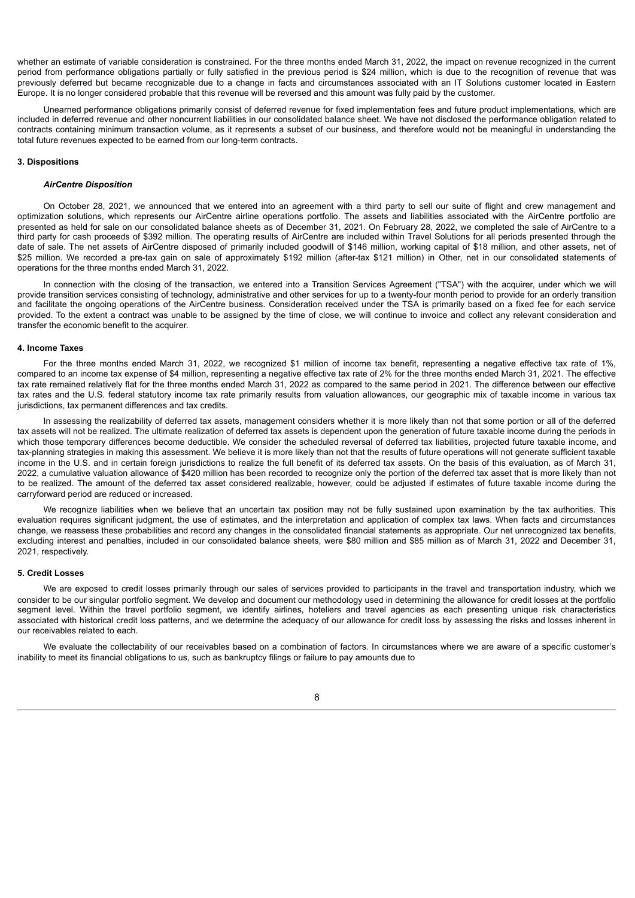whether an estimate of variable consideration is constrained. For the three months ended March 31, 2022, the impact on revenue recognized in the current period from performance obligations partially or fully satisfied in the previous period is \$24 million, which is due to the recognition of revenue that was previously deferred but became recognizable due to a change in facts and circumstances associated with an IT Solutions customer located in Eastern Europe. It is no longer considered probable that this revenue will be reversed and this amount was fully paid by the customer.

Unearned performance obligations primarily consist of deferred revenue for fixed implementation fees and future product implementations, which are included in deferred revenue and other noncurrent liabilities in our consolidated balance sheet. We have not disclosed the performance obligation related to contracts containing minimum transaction volume, as it represents a subset of our business, and therefore would not be meaningful in understanding the total future revenues expected to be earned from our long-term contracts.

#### **3. Dispositions**

#### *AirCentre Disposition*

On October 28, 2021, we announced that we entered into an agreement with a third party to sell our suite of flight and crew management and optimization solutions, which represents our AirCentre airline operations portfolio. The assets and liabilities associated with the AirCentre portfolio are presented as held for sale on our consolidated balance sheets as of December 31, 2021. On February 28, 2022, we completed the sale of AirCentre to a third party for cash proceeds of \$392 million. The operating results of AirCentre are included within Travel Solutions for all periods presented through the date of sale. The net assets of AirCentre disposed of primarily included goodwill of \$146 million, working capital of \$18 million, and other assets, net of \$25 million. We recorded a pre-tax gain on sale of approximately \$192 million (after-tax \$121 million) in Other, net in our consolidated statements of operations for the three months ended March 31, 2022.

In connection with the closing of the transaction, we entered into a Transition Services Agreement ("TSA") with the acquirer, under which we will provide transition services consisting of technology, administrative and other services for up to a twenty-four month period to provide for an orderly transition and facilitate the ongoing operations of the AirCentre business. Consideration received under the TSA is primarily based on a fixed fee for each service provided. To the extent a contract was unable to be assigned by the time of close, we will continue to invoice and collect any relevant consideration and transfer the economic benefit to the acquirer.

#### **4. Income Taxes**

For the three months ended March 31, 2022, we recognized \$1 million of income tax benefit, representing a negative effective tax rate of 1%, compared to an income tax expense of \$4 million, representing a negative effective tax rate of 2% for the three months ended March 31, 2021. The effective tax rate remained relatively flat for the three months ended March 31, 2022 as compared to the same period in 2021. The difference between our effective tax rates and the U.S. federal statutory income tax rate primarily results from valuation allowances, our geographic mix of taxable income in various tax jurisdictions, tax permanent differences and tax credits.

In assessing the realizability of deferred tax assets, management considers whether it is more likely than not that some portion or all of the deferred tax assets will not be realized. The ultimate realization of deferred tax assets is dependent upon the generation of future taxable income during the periods in which those temporary differences become deductible. We consider the scheduled reversal of deferred tax liabilities, projected future taxable income, and tax-planning strategies in making this assessment. We believe it is more likely than not that the results of future operations will not generate sufficient taxable income in the U.S. and in certain foreign jurisdictions to realize the full benefit of its deferred tax assets. On the basis of this evaluation, as of March 31, 2022, a cumulative valuation allowance of \$420 million has been recorded to recognize only the portion of the deferred tax asset that is more likely than not to be realized. The amount of the deferred tax asset considered realizable, however, could be adjusted if estimates of future taxable income during the carryforward period are reduced or increased.

We recognize liabilities when we believe that an uncertain tax position may not be fully sustained upon examination by the tax authorities. This evaluation requires significant judgment, the use of estimates, and the interpretation and application of complex tax laws. When facts and circumstances change, we reassess these probabilities and record any changes in the consolidated financial statements as appropriate. Our net unrecognized tax benefits, excluding interest and penalties, included in our consolidated balance sheets, were \$80 million and \$85 million as of March 31, 2022 and December 31, 2021, respectively.

#### **5. Credit Losses**

We are exposed to credit losses primarily through our sales of services provided to participants in the travel and transportation industry, which we consider to be our singular portfolio segment. We develop and document our methodology used in determining the allowance for credit losses at the portfolio segment level. Within the travel portfolio segment, we identify airlines, hoteliers and travel agencies as each presenting unique risk characteristics associated with historical credit loss patterns, and we determine the adequacy of our allowance for credit loss by assessing the risks and losses inherent in our receivables related to each.

We evaluate the collectability of our receivables based on a combination of factors. In circumstances where we are aware of a specific customer's inability to meet its financial obligations to us, such as bankruptcy filings or failure to pay amounts due to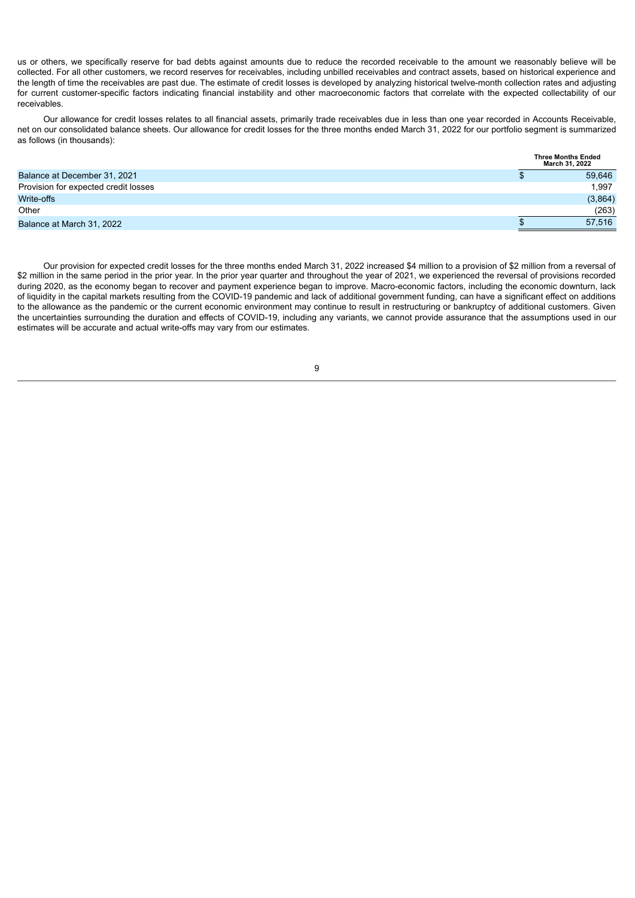us or others, we specifically reserve for bad debts against amounts due to reduce the recorded receivable to the amount we reasonably believe will be collected. For all other customers, we record reserves for receivables, including unbilled receivables and contract assets, based on historical experience and the length of time the receivables are past due. The estimate of credit losses is developed by analyzing historical twelve-month collection rates and adjusting for current customer-specific factors indicating financial instability and other macroeconomic factors that correlate with the expected collectability of our receivables.

Our allowance for credit losses relates to all financial assets, primarily trade receivables due in less than one year recorded in Accounts Receivable, net on our consolidated balance sheets. Our allowance for credit losses for the three months ended March 31, 2022 for our portfolio segment is summarized as follows (in thousands):

|                                      | <b>Three Months Ended</b><br>March 31, 2022 |  |  |
|--------------------------------------|---------------------------------------------|--|--|
| Balance at December 31, 2021         | 59,646                                      |  |  |
| Provision for expected credit losses | 1.997                                       |  |  |
| <b>Write-offs</b>                    | (3,864)                                     |  |  |
| Other                                | (263)                                       |  |  |
| Balance at March 31, 2022            | 57,516                                      |  |  |

Our provision for expected credit losses for the three months ended March 31, 2022 increased \$4 million to a provision of \$2 million from a reversal of \$2 million in the same period in the prior year. In the prior year quarter and throughout the year of 2021, we experienced the reversal of provisions recorded during 2020, as the economy began to recover and payment experience began to improve. Macro-economic factors, including the economic downturn, lack of liquidity in the capital markets resulting from the COVID-19 pandemic and lack of additional government funding, can have a significant effect on additions to the allowance as the pandemic or the current economic environment may continue to result in restructuring or bankruptcy of additional customers. Given the uncertainties surrounding the duration and effects of COVID-19, including any variants, we cannot provide assurance that the assumptions used in our estimates will be accurate and actual write-offs may vary from our estimates.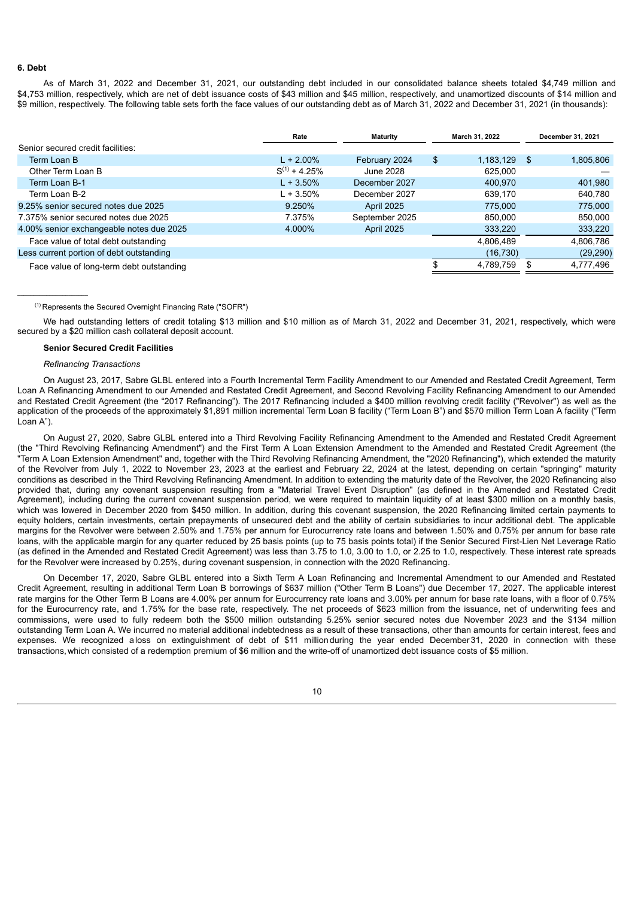#### **6. Debt**

As of March 31, 2022 and December 31, 2021, our outstanding debt included in our consolidated balance sheets totaled \$4,749 million and \$4,753 million, respectively, which are net of debt issuance costs of \$43 million and \$45 million, respectively, and unamortized discounts of \$14 million and \$9 million, respectively. The following table sets forth the face values of our outstanding debt as of March 31, 2022 and December 31, 2021 (in thousands):

|                                          | Rate               | <b>Maturity</b>   | March 31, 2022       |    | December 31, 2021 |
|------------------------------------------|--------------------|-------------------|----------------------|----|-------------------|
| Senior secured credit facilities:        |                    |                   |                      |    |                   |
| Term Loan B                              | $L + 2.00\%$       | February 2024     | \$<br>$1.183.129$ \$ |    | 1,805,806         |
| Other Term Loan B                        | $S^{(1)} + 4.25\%$ | June 2028         | 625,000              |    |                   |
| Term Loan B-1                            | $L + 3.50%$        | December 2027     | 400.970              |    | 401,980           |
| Term Loan B-2                            | $L + 3.50%$        | December 2027     | 639.170              |    | 640,780           |
| 9.25% senior secured notes due 2025      | 9.250%             | <b>April 2025</b> | 775,000              |    | 775,000           |
| 7.375% senior secured notes due 2025     | 7.375%             | September 2025    | 850.000              |    | 850.000           |
| 4.00% senior exchangeable notes due 2025 | 4.000%             | <b>April 2025</b> | 333,220              |    | 333,220           |
| Face value of total debt outstanding     |                    |                   | 4,806,489            |    | 4,806,786         |
| Less current portion of debt outstanding |                    |                   | (16, 730)            |    | (29, 290)         |
| Face value of long-term debt outstanding |                    |                   | 4,789,759            | S. | 4,777,496         |

 $(1)$  Represents the Secured Overnight Financing Rate ("SOFR")

We had outstanding letters of credit totaling \$13 million and \$10 million as of March 31, 2022 and December 31, 2021, respectively, which were secured by a \$20 million cash collateral deposit account.

#### **Senior Secured Credit Facilities**

#### *Refinancing Transactions*

On August 23, 2017, Sabre GLBL entered into a Fourth Incremental Term Facility Amendment to our Amended and Restated Credit Agreement, Term Loan A Refinancing Amendment to our Amended and Restated Credit Agreement, and Second Revolving Facility Refinancing Amendment to our Amended and Restated Credit Agreement (the "2017 Refinancing"). The 2017 Refinancing included a \$400 million revolving credit facility ("Revolver") as well as the application of the proceeds of the approximately \$1,891 million incremental Term Loan B facility ("Term Loan B") and \$570 million Term Loan A facility ("Term Loan A").

On August 27, 2020, Sabre GLBL entered into a Third Revolving Facility Refinancing Amendment to the Amended and Restated Credit Agreement (the "Third Revolving Refinancing Amendment") and the First Term A Loan Extension Amendment to the Amended and Restated Credit Agreement (the "Term A Loan Extension Amendment" and, together with the Third Revolving Refinancing Amendment, the "2020 Refinancing"), which extended the maturity of the Revolver from July 1, 2022 to November 23, 2023 at the earliest and February 22, 2024 at the latest, depending on certain "springing" maturity conditions as described in the Third Revolving Refinancing Amendment. In addition to extending the maturity date of the Revolver, the 2020 Refinancing also provided that, during any covenant suspension resulting from a "Material Travel Event Disruption" (as defined in the Amended and Restated Credit Agreement), including during the current covenant suspension period, we were required to maintain liquidity of at least \$300 million on a monthly basis, which was lowered in December 2020 from \$450 million. In addition, during this covenant suspension, the 2020 Refinancing limited certain payments to equity holders, certain investments, certain prepayments of unsecured debt and the ability of certain subsidiaries to incur additional debt. The applicable margins for the Revolver were between 2.50% and 1.75% per annum for Eurocurrency rate loans and between 1.50% and 0.75% per annum for base rate loans, with the applicable margin for any quarter reduced by 25 basis points (up to 75 basis points total) if the Senior Secured First-Lien Net Leverage Ratio (as defined in the Amended and Restated Credit Agreement) was less than 3.75 to 1.0, 3.00 to 1.0, or 2.25 to 1.0, respectively. These interest rate spreads for the Revolver were increased by 0.25%, during covenant suspension, in connection with the 2020 Refinancing.

On December 17, 2020, Sabre GLBL entered into a Sixth Term A Loan Refinancing and Incremental Amendment to our Amended and Restated Credit Agreement, resulting in additional Term Loan B borrowings of \$637 million ("Other Term B Loans") due December 17, 2027. The applicable interest rate margins for the Other Term B Loans are 4.00% per annum for Eurocurrency rate loans and 3.00% per annum for base rate loans, with a floor of 0.75% for the Eurocurrency rate, and 1.75% for the base rate, respectively. The net proceeds of \$623 million from the issuance, net of underwriting fees and commissions, were used to fully redeem both the \$500 million outstanding 5.25% senior secured notes due November 2023 and the \$134 million outstanding Term Loan A. We incurred no material additional indebtedness as a result of these transactions, other than amounts for certain interest, fees and expenses. We recognized aloss on extinguishment of debt of \$11 million during the year ended December 31, 2020 in connection with these transactions,which consisted of a redemption premium of \$6 million and the write-off of unamortized debt issuance costs of \$5 million.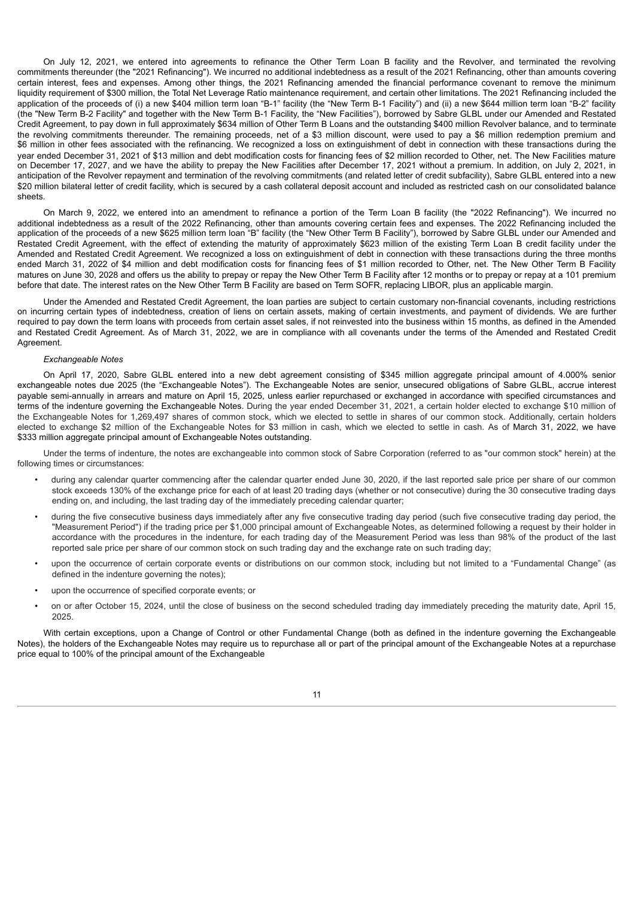On July 12, 2021, we entered into agreements to refinance the Other Term Loan B facility and the Revolver, and terminated the revolving commitments thereunder (the "2021 Refinancing"). We incurred no additional indebtedness as a result of the 2021 Refinancing, other than amounts covering certain interest, fees and expenses. Among other things, the 2021 Refinancing amended the financial performance covenant to remove the minimum liquidity requirement of \$300 million, the Total Net Leverage Ratio maintenance requirement, and certain other limitations. The 2021 Refinancing included the application of the proceeds of (i) a new \$404 million term loan "B-1" facility (the "New Term B-1 Facility") and (ii) a new \$644 million term loan "B-2" facility (the "New Term B-2 Facility" and together with the New Term B-1 Facility, the "New Facilities"), borrowed by Sabre GLBL under our Amended and Restated Credit Agreement, to pay down in full approximately \$634 million of Other Term B Loans and the outstanding \$400 million Revolver balance, and to terminate the revolving commitments thereunder. The remaining proceeds, net of a \$3 million discount, were used to pay a \$6 million redemption premium and \$6 million in other fees associated with the refinancing. We recognized a loss on extinguishment of debt in connection with these transactions during the year ended December 31, 2021 of \$13 million and debt modification costs for financing fees of \$2 million recorded to Other, net. The New Facilities mature on December 17, 2027, and we have the ability to prepay the New Facilities after December 17, 2021 without a premium. In addition, on July 2, 2021, in anticipation of the Revolver repayment and termination of the revolving commitments (and related letter of credit subfacility), Sabre GLBL entered into a new \$20 million bilateral letter of credit facility, which is secured by a cash collateral deposit account and included as restricted cash on our consolidated balance sheets.

On March 9, 2022, we entered into an amendment to refinance a portion of the Term Loan B facility (the "2022 Refinancing"). We incurred no additional indebtedness as a result of the 2022 Refinancing, other than amounts covering certain fees and expenses. The 2022 Refinancing included the application of the proceeds of a new \$625 million term loan "B" facility (the "New Other Term B Facility"), borrowed by Sabre GLBL under our Amended and Restated Credit Agreement, with the effect of extending the maturity of approximately \$623 million of the existing Term Loan B credit facility under the Amended and Restated Credit Agreement. We recognized a loss on extinguishment of debt in connection with these transactions during the three months ended March 31, 2022 of \$4 million and debt modification costs for financing fees of \$1 million recorded to Other, net. The New Other Term B Facility matures on June 30, 2028 and offers us the ability to prepay or repay the New Other Term B Facility after 12 months or to prepay or repay at a 101 premium before that date. The interest rates on the New Other Term B Facility are based on Term SOFR, replacing LIBOR, plus an applicable margin.

Under the Amended and Restated Credit Agreement, the loan parties are subject to certain customary non-financial covenants, including restrictions on incurring certain types of indebtedness, creation of liens on certain assets, making of certain investments, and payment of dividends. We are further required to pay down the term loans with proceeds from certain asset sales, if not reinvested into the business within 15 months, as defined in the Amended and Restated Credit Agreement. As of March 31, 2022, we are in compliance with all covenants under the terms of the Amended and Restated Credit Agreement.

#### *Exchangeable Notes*

On April 17, 2020, Sabre GLBL entered into a new debt agreement consisting of \$345 million aggregate principal amount of 4.000% senior exchangeable notes due 2025 (the "Exchangeable Notes"). The Exchangeable Notes are senior, unsecured obligations of Sabre GLBL, accrue interest payable semi-annually in arrears and mature on April 15, 2025, unless earlier repurchased or exchanged in accordance with specified circumstances and terms of the indenture governing the Exchangeable Notes. During the year ended December 31, 2021, a certain holder elected to exchange \$10 million of the Exchangeable Notes for 1,269,497 shares of common stock, which we elected to settle in shares of our common stock. Additionally, certain holders elected to exchange \$2 million of the Exchangeable Notes for \$3 million in cash, which we elected to settle in cash. As of March 31, 2022, we have \$333 million aggregate principal amount of Exchangeable Notes outstanding.

Under the terms of indenture, the notes are exchangeable into common stock of Sabre Corporation (referred to as "our common stock" herein) at the following times or circumstances:

- during any calendar quarter commencing after the calendar quarter ended June 30, 2020, if the last reported sale price per share of our common stock exceeds 130% of the exchange price for each of at least 20 trading days (whether or not consecutive) during the 30 consecutive trading days ending on, and including, the last trading day of the immediately preceding calendar quarter;
- during the five consecutive business days immediately after any five consecutive trading day period (such five consecutive trading day period, the "Measurement Period") if the trading price per \$1,000 principal amount of Exchangeable Notes, as determined following a request by their holder in accordance with the procedures in the indenture, for each trading day of the Measurement Period was less than 98% of the product of the last reported sale price per share of our common stock on such trading day and the exchange rate on such trading day;
- upon the occurrence of certain corporate events or distributions on our common stock, including but not limited to a "Fundamental Change" (as defined in the indenture governing the notes);
- upon the occurrence of specified corporate events; or
- on or after October 15, 2024, until the close of business on the second scheduled trading day immediately preceding the maturity date, April 15, 2025.

With certain exceptions, upon a Change of Control or other Fundamental Change (both as defined in the indenture governing the Exchangeable Notes), the holders of the Exchangeable Notes may require us to repurchase all or part of the principal amount of the Exchangeable Notes at a repurchase price equal to 100% of the principal amount of the Exchangeable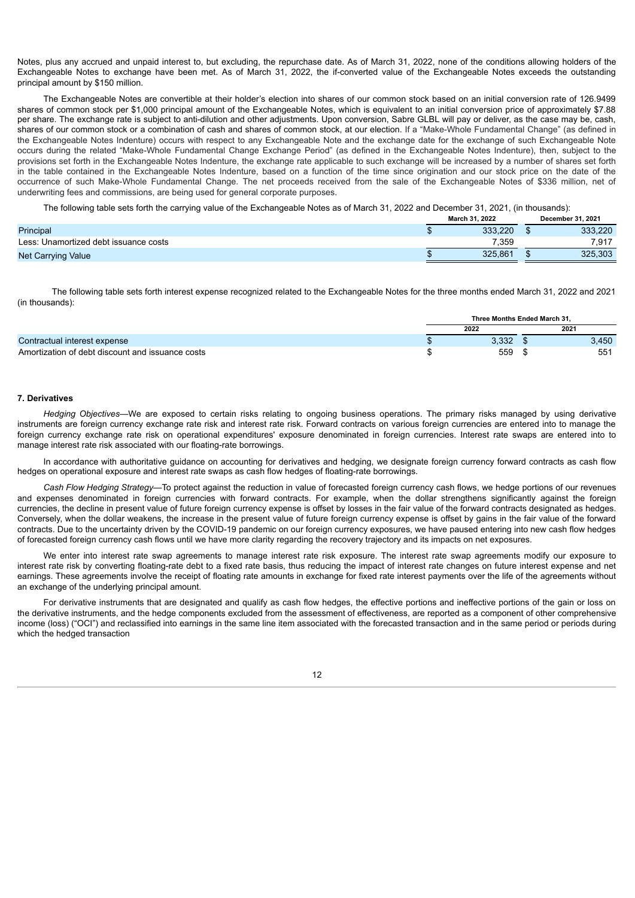Notes, plus any accrued and unpaid interest to, but excluding, the repurchase date. As of March 31, 2022, none of the conditions allowing holders of the Exchangeable Notes to exchange have been met. As of March 31, 2022, the if-converted value of the Exchangeable Notes exceeds the outstanding principal amount by \$150 million.

The Exchangeable Notes are convertible at their holder's election into shares of our common stock based on an initial conversion rate of 126.9499 shares of common stock per \$1,000 principal amount of the Exchangeable Notes, which is equivalent to an initial conversion price of approximately \$7.88 per share. The exchange rate is subject to anti-dilution and other adjustments. Upon conversion, Sabre GLBL will pay or deliver, as the case may be, cash, shares of our common stock or a combination of cash and shares of common stock, at our election. If a "Make-Whole Fundamental Change" (as defined in the Exchangeable Notes Indenture) occurs with respect to any Exchangeable Note and the exchange date for the exchange of such Exchangeable Note occurs during the related "Make-Whole Fundamental Change Exchange Period" (as defined in the Exchangeable Notes Indenture), then, subject to the provisions set forth in the Exchangeable Notes Indenture, the exchange rate applicable to such exchange will be increased by a number of shares set forth in the table contained in the Exchangeable Notes Indenture, based on a function of the time since origination and our stock price on the date of the occurrence of such Make-Whole Fundamental Change. The net proceeds received from the sale of the Exchangeable Notes of \$336 million, net of underwriting fees and commissions, are being used for general corporate purposes.

The following table sets forth the carrying value of the Exchangeable Notes as of March 31, 2022 and December 31, 2021, (in thousands):

|                                       | March 31, 2022 | December 31, 2021 |
|---------------------------------------|----------------|-------------------|
| Principal                             | 333.220        | 333,220           |
| Less: Unamortized debt issuance costs | 7,359          | 7,917             |
| Net Carrying Value                    | 325.861        | 325,303           |

The following table sets forth interest expense recognized related to the Exchangeable Notes for the three months ended March 31, 2022 and 2021 (in thousands):

|                                                  |       | Three Months Ended March 31. |       |  |  |  |
|--------------------------------------------------|-------|------------------------------|-------|--|--|--|
|                                                  | 2022  |                              | 2021  |  |  |  |
| Contractual interest expense                     | 3.332 |                              | 3,450 |  |  |  |
| Amortization of debt discount and issuance costs | 559   |                              | 551   |  |  |  |

#### **7. Derivatives**

*Hedging Objectives*—We are exposed to certain risks relating to ongoing business operations. The primary risks managed by using derivative instruments are foreign currency exchange rate risk and interest rate risk. Forward contracts on various foreign currencies are entered into to manage the foreign currency exchange rate risk on operational expenditures' exposure denominated in foreign currencies. Interest rate swaps are entered into to manage interest rate risk associated with our floating-rate borrowings.

In accordance with authoritative guidance on accounting for derivatives and hedging, we designate foreign currency forward contracts as cash flow hedges on operational exposure and interest rate swaps as cash flow hedges of floating-rate borrowings.

*Cash Flow Hedging Strategy*—To protect against the reduction in value of forecasted foreign currency cash flows, we hedge portions of our revenues and expenses denominated in foreign currencies with forward contracts. For example, when the dollar strengthens significantly against the foreign currencies, the decline in present value of future foreign currency expense is offset by losses in the fair value of the forward contracts designated as hedges. Conversely, when the dollar weakens, the increase in the present value of future foreign currency expense is offset by gains in the fair value of the forward contracts. Due to the uncertainty driven by the COVID-19 pandemic on our foreign currency exposures, we have paused entering into new cash flow hedges of forecasted foreign currency cash flows until we have more clarity regarding the recovery trajectory and its impacts on net exposures.

We enter into interest rate swap agreements to manage interest rate risk exposure. The interest rate swap agreements modify our exposure to interest rate risk by converting floating-rate debt to a fixed rate basis, thus reducing the impact of interest rate changes on future interest expense and net earnings. These agreements involve the receipt of floating rate amounts in exchange for fixed rate interest payments over the life of the agreements without an exchange of the underlying principal amount.

For derivative instruments that are designated and qualify as cash flow hedges, the effective portions and ineffective portions of the gain or loss on the derivative instruments, and the hedge components excluded from the assessment of effectiveness, are reported as a component of other comprehensive income (loss) ("OCI") and reclassified into earnings in the same line item associated with the forecasted transaction and in the same period or periods during which the hedged transaction

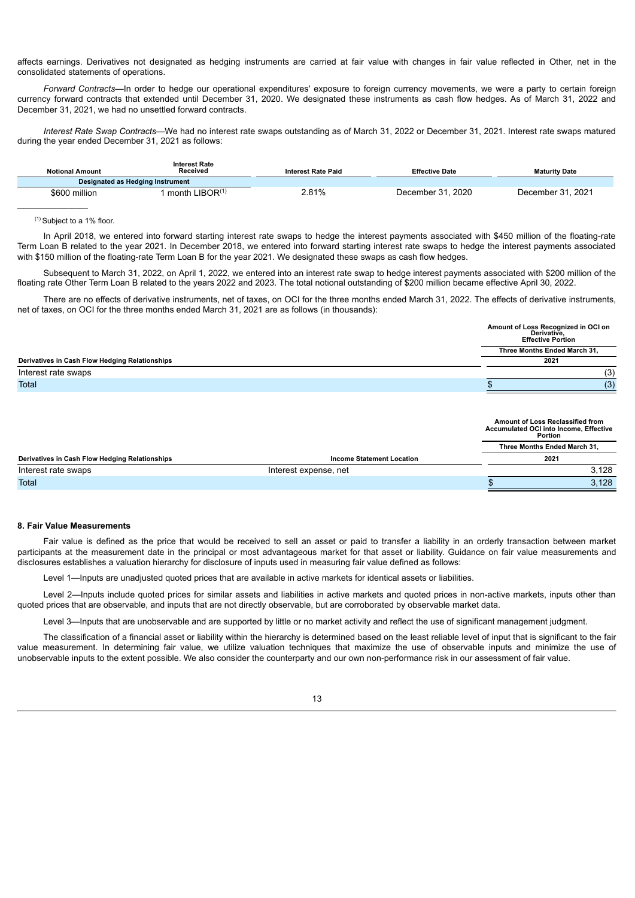affects earnings. Derivatives not designated as hedging instruments are carried at fair value with changes in fair value reflected in Other, net in the consolidated statements of operations.

*Forward Contracts*—In order to hedge our operational expenditures' exposure to foreign currency movements, we were a party to certain foreign currency forward contracts that extended until December 31, 2020. We designated these instruments as cash flow hedges. As of March 31, 2022 and December 31, 2021, we had no unsettled forward contracts.

*Interest Rate Swap Contracts*—We had no interest rate swaps outstanding as of March 31, 2022 or December 31, 2021. Interest rate swaps matured during the year ended December 31, 2021 as follows:

| <b>Notional Amount</b>           | <b>Interest Rate</b><br>Received | <b>Effective Date</b> | <b>Maturity Date</b> |                     |
|----------------------------------|----------------------------------|-----------------------|----------------------|---------------------|
| Designated as Hedging Instrument |                                  |                       |                      |                     |
| \$600 million                    | month $LIBOR(1)$                 | 2.81%                 | December 31, 2020    | 2021<br>December 31 |

#### $(1)$  Subject to a 1% floor.

In April 2018, we entered into forward starting interest rate swaps to hedge the interest payments associated with \$450 million of the floating-rate Term Loan B related to the year 2021. In December 2018, we entered into forward starting interest rate swaps to hedge the interest payments associated with \$150 million of the floating-rate Term Loan B for the year 2021. We designated these swaps as cash flow hedges.

Subsequent to March 31, 2022, on April 1, 2022, we entered into an interest rate swap to hedge interest payments associated with \$200 million of the floating rate Other Term Loan B related to the years 2022 and 2023. The total notional outstanding of \$200 million became effective April 30, 2022.

There are no effects of derivative instruments, net of taxes, on OCI for the three months ended March 31, 2022. The effects of derivative instruments, net of taxes, on OCI for the three months ended March 31, 2021 are as follows (in thousands):

|                                                | Amount of Loss Recognized in OCI on<br>Derivative.<br><b>Effective Portion</b> |
|------------------------------------------------|--------------------------------------------------------------------------------|
|                                                | Three Months Ended March 31,                                                   |
| Derivatives in Cash Flow Hedging Relationships | 2021                                                                           |
| Interest rate swaps                            | (3)                                                                            |
| <b>Total</b>                                   | (3)                                                                            |

|                                                |                                  | Amount of Loss Reclassified from<br><b>Accumulated OCI into Income, Effective</b><br>Portion |       |
|------------------------------------------------|----------------------------------|----------------------------------------------------------------------------------------------|-------|
|                                                |                                  | Three Months Ended March 31,                                                                 |       |
| Derivatives in Cash Flow Hedging Relationships | <b>Income Statement Location</b> |                                                                                              | 2021  |
| Interest rate swaps                            | Interest expense, net            |                                                                                              | 3.128 |
| Total                                          |                                  |                                                                                              | 3.128 |

#### **8. Fair Value Measurements**

Fair value is defined as the price that would be received to sell an asset or paid to transfer a liability in an orderly transaction between market participants at the measurement date in the principal or most advantageous market for that asset or liability. Guidance on fair value measurements and disclosures establishes a valuation hierarchy for disclosure of inputs used in measuring fair value defined as follows:

Level 1—Inputs are unadjusted quoted prices that are available in active markets for identical assets or liabilities.

Level 2—Inputs include quoted prices for similar assets and liabilities in active markets and quoted prices in non-active markets, inputs other than quoted prices that are observable, and inputs that are not directly observable, but are corroborated by observable market data.

Level 3—Inputs that are unobservable and are supported by little or no market activity and reflect the use of significant management judgment.

The classification of a financial asset or liability within the hierarchy is determined based on the least reliable level of input that is significant to the fair value measurement. In determining fair value, we utilize valuation techniques that maximize the use of observable inputs and minimize the use of unobservable inputs to the extent possible. We also consider the counterparty and our own non-performance risk in our assessment of fair value.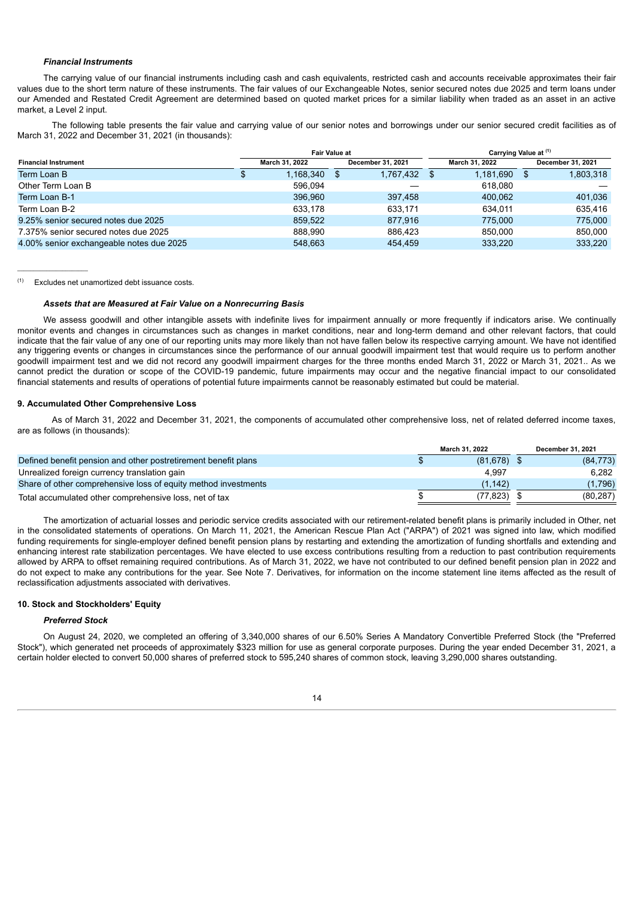#### *Financial Instruments*

The carrying value of our financial instruments including cash and cash equivalents, restricted cash and accounts receivable approximates their fair values due to the short term nature of these instruments. The fair values of our Exchangeable Notes, senior secured notes due 2025 and term loans under our Amended and Restated Credit Agreement are determined based on quoted market prices for a similar liability when traded as an asset in an active market, a Level 2 input.

The following table presents the fair value and carrying value of our senior notes and borrowings under our senior secured credit facilities as of March 31, 2022 and December 31, 2021 (in thousands):

|                                          | <b>Fair Value at</b> |                                     |    | Carrying Value at (1) |    |           |                   |           |
|------------------------------------------|----------------------|-------------------------------------|----|-----------------------|----|-----------|-------------------|-----------|
| <b>Financial Instrument</b>              |                      | March 31, 2022<br>December 31, 2021 |    | March 31, 2022        |    |           | December 31, 2021 |           |
| Term Loan B                              | \$                   | 1.168.340                           | \$ | 1,767,432             | \$ | 1.181.690 | S                 | 1,803,318 |
| Other Term Loan B                        |                      | 596.094                             |    |                       |    | 618.080   |                   |           |
| Term Loan B-1                            |                      | 396.960                             |    | 397,458               |    | 400.062   |                   | 401,036   |
| Term Loan B-2                            |                      | 633.178                             |    | 633.171               |    | 634.011   |                   | 635.416   |
| 9.25% senior secured notes due 2025      |                      | 859.522                             |    | 877.916               |    | 775,000   |                   | 775.000   |
| 7.375% senior secured notes due 2025     |                      | 888.990                             |    | 886.423               |    | 850,000   |                   | 850,000   |
| 4.00% senior exchangeable notes due 2025 |                      | 548.663                             |    | 454.459               |    | 333.220   |                   | 333.220   |

Excludes net unamortized debt issuance costs. (1)

#### *Assets that are Measured at Fair Value on a Nonrecurring Basis*

We assess goodwill and other intangible assets with indefinite lives for impairment annually or more frequently if indicators arise. We continually monitor events and changes in circumstances such as changes in market conditions, near and long-term demand and other relevant factors, that could indicate that the fair value of any one of our reporting units may more likely than not have fallen below its respective carrying amount. We have not identified any triggering events or changes in circumstances since the performance of our annual goodwill impairment test that would require us to perform another goodwill impairment test and we did not record any goodwill impairment charges for the three months ended March 31, 2022 or March 31, 2021.. As we cannot predict the duration or scope of the COVID-19 pandemic, future impairments may occur and the negative financial impact to our consolidated financial statements and results of operations of potential future impairments cannot be reasonably estimated but could be material.

#### **9. Accumulated Other Comprehensive Loss**

As of March 31, 2022 and December 31, 2021, the components of accumulated other comprehensive loss, net of related deferred income taxes, are as follows (in thousands):

|                                                                | March 31, 2022 | December 31, 2021 |
|----------------------------------------------------------------|----------------|-------------------|
| Defined benefit pension and other postretirement benefit plans | $(81,678)$ \$  | (84, 773)         |
| Unrealized foreign currency translation gain                   | 4.997          | 6.282             |
| Share of other comprehensive loss of equity method investments | (1.142)        | (1,796)           |
| Total accumulated other comprehensive loss, net of tax         | (77.823)       | (80, 287)         |

The amortization of actuarial losses and periodic service credits associated with our retirement-related benefit plans is primarily included in Other, net in the consolidated statements of operations. On March 11, 2021, the American Rescue Plan Act ("ARPA") of 2021 was signed into law, which modified funding requirements for single-employer defined benefit pension plans by restarting and extending the amortization of funding shortfalls and extending and enhancing interest rate stabilization percentages. We have elected to use excess contributions resulting from a reduction to past contribution requirements allowed by ARPA to offset remaining required contributions. As of March 31, 2022, we have not contributed to our defined benefit pension plan in 2022 and do not expect to make any contributions for the year. See Note 7. Derivatives, for information on the income statement line items affected as the result of reclassification adjustments associated with derivatives.

#### **10. Stock and Stockholders' Equity**

#### *Preferred Stock*

On August 24, 2020, we completed an offering of 3,340,000 shares of our 6.50% Series A Mandatory Convertible Preferred Stock (the "Preferred Stock"), which generated net proceeds of approximately \$323 million for use as general corporate purposes. During the year ended December 31, 2021, a certain holder elected to convert 50,000 shares of preferred stock to 595,240 shares of common stock, leaving 3,290,000 shares outstanding.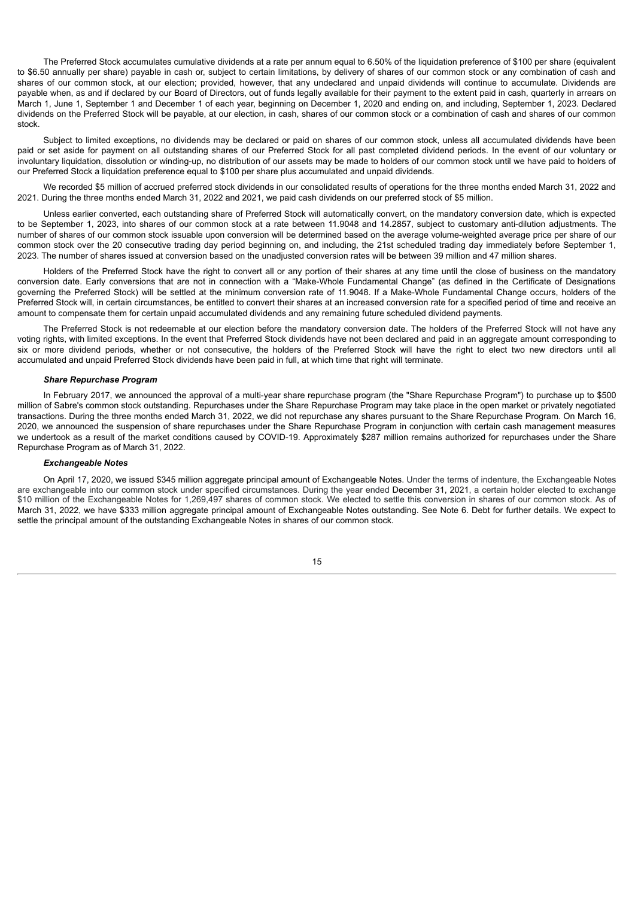The Preferred Stock accumulates cumulative dividends at a rate per annum equal to 6.50% of the liquidation preference of \$100 per share (equivalent to \$6.50 annually per share) payable in cash or, subject to certain limitations, by delivery of shares of our common stock or any combination of cash and shares of our common stock, at our election; provided, however, that any undeclared and unpaid dividends will continue to accumulate. Dividends are payable when, as and if declared by our Board of Directors, out of funds legally available for their payment to the extent paid in cash, quarterly in arrears on March 1, June 1, September 1 and December 1 of each year, beginning on December 1, 2020 and ending on, and including, September 1, 2023. Declared dividends on the Preferred Stock will be payable, at our election, in cash, shares of our common stock or a combination of cash and shares of our common stock.

Subject to limited exceptions, no dividends may be declared or paid on shares of our common stock, unless all accumulated dividends have been paid or set aside for payment on all outstanding shares of our Preferred Stock for all past completed dividend periods. In the event of our voluntary or involuntary liquidation, dissolution or winding-up, no distribution of our assets may be made to holders of our common stock until we have paid to holders of our Preferred Stock a liquidation preference equal to \$100 per share plus accumulated and unpaid dividends.

We recorded \$5 million of accrued preferred stock dividends in our consolidated results of operations for the three months ended March 31, 2022 and 2021. During the three months ended March 31, 2022 and 2021, we paid cash dividends on our preferred stock of \$5 million.

Unless earlier converted, each outstanding share of Preferred Stock will automatically convert, on the mandatory conversion date, which is expected to be September 1, 2023, into shares of our common stock at a rate between 11.9048 and 14.2857, subject to customary anti-dilution adjustments. The number of shares of our common stock issuable upon conversion will be determined based on the average volume-weighted average price per share of our common stock over the 20 consecutive trading day period beginning on, and including, the 21st scheduled trading day immediately before September 1, 2023. The number of shares issued at conversion based on the unadjusted conversion rates will be between 39 million and 47 million shares.

Holders of the Preferred Stock have the right to convert all or any portion of their shares at any time until the close of business on the mandatory conversion date. Early conversions that are not in connection with a "Make-Whole Fundamental Change" (as defined in the Certificate of Designations governing the Preferred Stock) will be settled at the minimum conversion rate of 11.9048. If a Make-Whole Fundamental Change occurs, holders of the Preferred Stock will, in certain circumstances, be entitled to convert their shares at an increased conversion rate for a specified period of time and receive an amount to compensate them for certain unpaid accumulated dividends and any remaining future scheduled dividend payments.

The Preferred Stock is not redeemable at our election before the mandatory conversion date. The holders of the Preferred Stock will not have any voting rights, with limited exceptions. In the event that Preferred Stock dividends have not been declared and paid in an aggregate amount corresponding to six or more dividend periods, whether or not consecutive, the holders of the Preferred Stock will have the right to elect two new directors until all accumulated and unpaid Preferred Stock dividends have been paid in full, at which time that right will terminate.

#### *Share Repurchase Program*

In February 2017, we announced the approval of a multi-year share repurchase program (the "Share Repurchase Program") to purchase up to \$500 million of Sabre's common stock outstanding. Repurchases under the Share Repurchase Program may take place in the open market or privately negotiated transactions. During the three months ended March 31, 2022, we did not repurchase any shares pursuant to the Share Repurchase Program. On March 16, 2020, we announced the suspension of share repurchases under the Share Repurchase Program in conjunction with certain cash management measures we undertook as a result of the market conditions caused by COVID-19. Approximately \$287 million remains authorized for repurchases under the Share Repurchase Program as of March 31, 2022.

#### *Exchangeable Notes*

On April 17, 2020, we issued \$345 million aggregate principal amount of Exchangeable Notes. Under the terms of indenture, the Exchangeable Notes are exchangeable into our common stock under specified circumstances. During the year ended December 31, 2021, a certain holder elected to exchange \$10 million of the Exchangeable Notes for 1,269,497 shares of common stock. We elected to settle this conversion in shares of our common stock. As of March 31, 2022, we have \$333 million aggregate principal amount of Exchangeable Notes outstanding. See Note 6. Debt for further details. We expect to settle the principal amount of the outstanding Exchangeable Notes in shares of our common stock.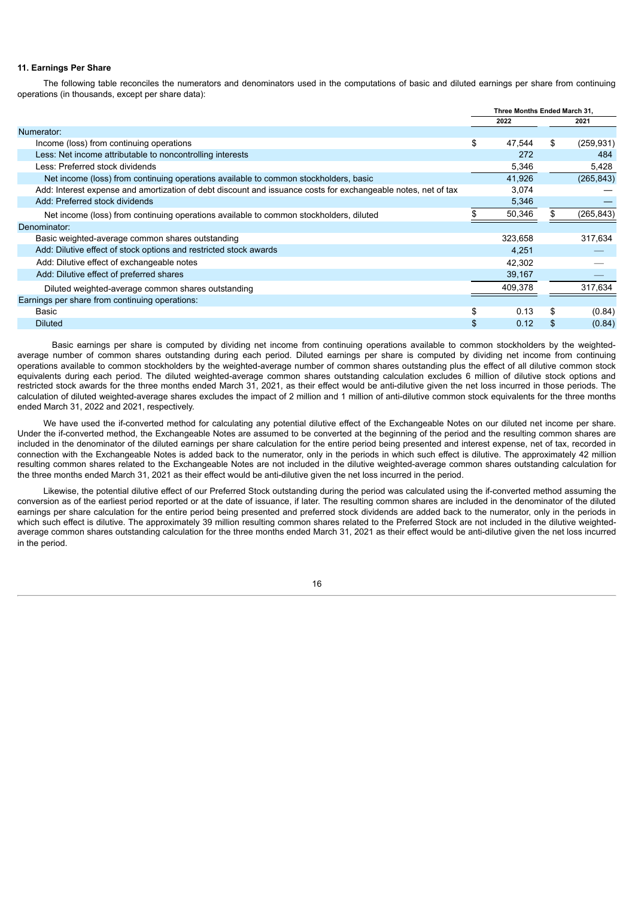#### **11. Earnings Per Share**

The following table reconciles the numerators and denominators used in the computations of basic and diluted earnings per share from continuing operations (in thousands, except per share data):

|                                                                                                               | Three Months Ended March 31, |         |     |            |
|---------------------------------------------------------------------------------------------------------------|------------------------------|---------|-----|------------|
|                                                                                                               |                              | 2022    |     | 2021       |
| Numerator:                                                                                                    |                              |         |     |            |
| Income (loss) from continuing operations                                                                      | \$                           | 47,544  | SS. | (259, 931) |
| Less: Net income attributable to noncontrolling interests                                                     |                              | 272     |     | 484        |
| Less: Preferred stock dividends                                                                               |                              | 5,346   |     | 5,428      |
| Net income (loss) from continuing operations available to common stockholders, basic                          |                              | 41,926  |     | (265, 843) |
| Add: Interest expense and amortization of debt discount and issuance costs for exchangeable notes, net of tax |                              | 3,074   |     |            |
| Add: Preferred stock dividends                                                                                |                              | 5,346   |     |            |
| Net income (loss) from continuing operations available to common stockholders, diluted                        |                              | 50,346  |     | (265, 843) |
| Denominator:                                                                                                  |                              |         |     |            |
| Basic weighted-average common shares outstanding                                                              |                              | 323,658 |     | 317,634    |
| Add: Dilutive effect of stock options and restricted stock awards                                             |                              | 4,251   |     |            |
| Add: Dilutive effect of exchangeable notes                                                                    |                              | 42.302  |     |            |
| Add: Dilutive effect of preferred shares                                                                      |                              | 39,167  |     |            |
| Diluted weighted-average common shares outstanding                                                            |                              | 409,378 |     | 317,634    |
| Earnings per share from continuing operations:                                                                |                              |         |     |            |
| Basic                                                                                                         | \$                           | 0.13    |     | (0.84)     |
| <b>Diluted</b>                                                                                                | \$                           | 0.12    |     | (0.84)     |
|                                                                                                               |                              |         |     |            |

Basic earnings per share is computed by dividing net income from continuing operations available to common stockholders by the weightedaverage number of common shares outstanding during each period. Diluted earnings per share is computed by dividing net income from continuing operations available to common stockholders by the weighted-average number of common shares outstanding plus the effect of all dilutive common stock equivalents during each period. The diluted weighted-average common shares outstanding calculation excludes 6 million of dilutive stock options and restricted stock awards for the three months ended March 31, 2021, as their effect would be anti-dilutive given the net loss incurred in those periods. The calculation of diluted weighted-average shares excludes the impact of 2 million and 1 million of anti-dilutive common stock equivalents for the three months ended March 31, 2022 and 2021, respectively.

We have used the if-converted method for calculating any potential dilutive effect of the Exchangeable Notes on our diluted net income per share. Under the if-converted method, the Exchangeable Notes are assumed to be converted at the beginning of the period and the resulting common shares are included in the denominator of the diluted earnings per share calculation for the entire period being presented and interest expense, net of tax, recorded in connection with the Exchangeable Notes is added back to the numerator, only in the periods in which such effect is dilutive. The approximately 42 million resulting common shares related to the Exchangeable Notes are not included in the dilutive weighted-average common shares outstanding calculation for the three months ended March 31, 2021 as their effect would be anti-dilutive given the net loss incurred in the period.

Likewise, the potential dilutive effect of our Preferred Stock outstanding during the period was calculated using the if-converted method assuming the conversion as of the earliest period reported or at the date of issuance, if later. The resulting common shares are included in the denominator of the diluted earnings per share calculation for the entire period being presented and preferred stock dividends are added back to the numerator, only in the periods in which such effect is dilutive. The approximately 39 million resulting common shares related to the Preferred Stock are not included in the dilutive weightedaverage common shares outstanding calculation for the three months ended March 31, 2021 as their effect would be anti-dilutive given the net loss incurred in the period.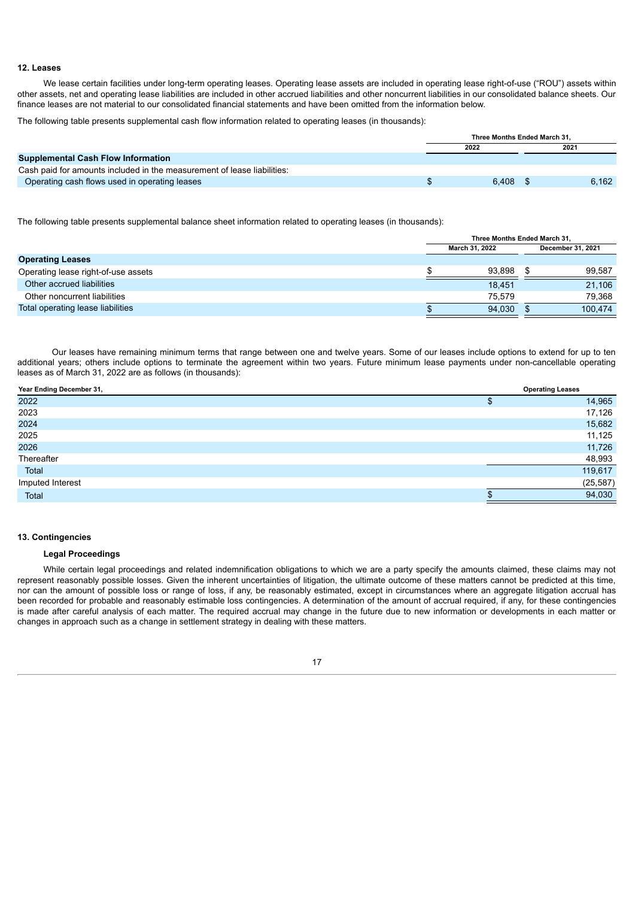#### **12. Leases**

We lease certain facilities under long-term operating leases. Operating lease assets are included in operating lease right-of-use ("ROU") assets within other assets, net and operating lease liabilities are included in other accrued liabilities and other noncurrent liabilities in our consolidated balance sheets. Our finance leases are not material to our consolidated financial statements and have been omitted from the information below.

The following table presents supplemental cash flow information related to operating leases (in thousands):

|                                                                         | Three Months Ended March 31. |       |  |  |       |
|-------------------------------------------------------------------------|------------------------------|-------|--|--|-------|
|                                                                         |                              | 2022  |  |  |       |
| <b>Supplemental Cash Flow Information</b>                               |                              |       |  |  |       |
| Cash paid for amounts included in the measurement of lease liabilities: |                              |       |  |  |       |
| Operating cash flows used in operating leases                           |                              | 6.408 |  |  | 6.162 |
|                                                                         |                              |       |  |  |       |

The following table presents supplemental balance sheet information related to operating leases (in thousands):

|                                     | Three Months Ended March 31. |                |  |                   |
|-------------------------------------|------------------------------|----------------|--|-------------------|
|                                     |                              | March 31, 2022 |  | December 31, 2021 |
| <b>Operating Leases</b>             |                              |                |  |                   |
| Operating lease right-of-use assets |                              | 93.898         |  | 99.587            |
| Other accrued liabilities           |                              | 18.451         |  | 21,106            |
| Other noncurrent liabilities        |                              | 75.579         |  | 79.368            |
| Total operating lease liabilities   |                              | 94.030         |  | 100,474           |

Our leases have remaining minimum terms that range between one and twelve years. Some of our leases include options to extend for up to ten additional years; others include options to terminate the agreement within two years. Future minimum lease payments under non-cancellable operating leases as of March 31, 2022 are as follows (in thousands):

| Year Ending December 31, | <b>Operating Leases</b> |
|--------------------------|-------------------------|
| 2022                     | 14,965                  |
| 2023                     | 17,126                  |
| 2024                     | 15,682                  |
| 2025                     | 11,125                  |
| 2026                     | 11,726                  |
| Thereafter               | 48,993                  |
| Total                    | 119,617                 |
| Imputed Interest         | (25, 587)               |
| Total                    | 94,030                  |

#### **13. Contingencies**

#### **Legal Proceedings**

While certain legal proceedings and related indemnification obligations to which we are a party specify the amounts claimed, these claims may not represent reasonably possible losses. Given the inherent uncertainties of litigation, the ultimate outcome of these matters cannot be predicted at this time, nor can the amount of possible loss or range of loss, if any, be reasonably estimated, except in circumstances where an aggregate litigation accrual has been recorded for probable and reasonably estimable loss contingencies. A determination of the amount of accrual required, if any, for these contingencies is made after careful analysis of each matter. The required accrual may change in the future due to new information or developments in each matter or changes in approach such as a change in settlement strategy in dealing with these matters.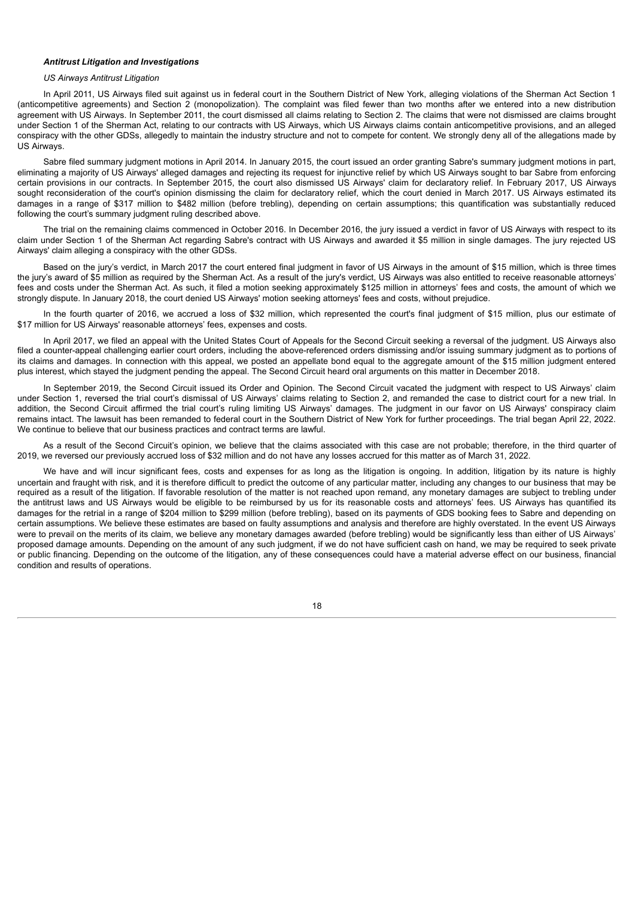#### *Antitrust Litigation and Investigations*

#### *US Airways Antitrust Litigation*

In April 2011, US Airways filed suit against us in federal court in the Southern District of New York, alleging violations of the Sherman Act Section 1 (anticompetitive agreements) and Section 2 (monopolization). The complaint was filed fewer than two months after we entered into a new distribution agreement with US Airways. In September 2011, the court dismissed all claims relating to Section 2. The claims that were not dismissed are claims brought under Section 1 of the Sherman Act, relating to our contracts with US Airways, which US Airways claims contain anticompetitive provisions, and an alleged conspiracy with the other GDSs, allegedly to maintain the industry structure and not to compete for content. We strongly deny all of the allegations made by US Airways.

Sabre filed summary judgment motions in April 2014. In January 2015, the court issued an order granting Sabre's summary judgment motions in part, eliminating a majority of US Airways' alleged damages and rejecting its request for injunctive relief by which US Airways sought to bar Sabre from enforcing certain provisions in our contracts. In September 2015, the court also dismissed US Airways' claim for declaratory relief. In February 2017, US Airways sought reconsideration of the court's opinion dismissing the claim for declaratory relief, which the court denied in March 2017. US Airways estimated its damages in a range of \$317 million to \$482 million (before trebling), depending on certain assumptions; this quantification was substantially reduced following the court's summary judgment ruling described above.

The trial on the remaining claims commenced in October 2016. In December 2016, the jury issued a verdict in favor of US Airways with respect to its claim under Section 1 of the Sherman Act regarding Sabre's contract with US Airways and awarded it \$5 million in single damages. The jury rejected US Airways' claim alleging a conspiracy with the other GDSs.

Based on the jury's verdict, in March 2017 the court entered final judgment in favor of US Airways in the amount of \$15 million, which is three times the jury's award of \$5 million as required by the Sherman Act. As a result of the jury's verdict, US Airways was also entitled to receive reasonable attorneys' fees and costs under the Sherman Act. As such, it filed a motion seeking approximately \$125 million in attorneys' fees and costs, the amount of which we strongly dispute. In January 2018, the court denied US Airways' motion seeking attorneys' fees and costs, without prejudice.

In the fourth quarter of 2016, we accrued a loss of \$32 million, which represented the court's final judgment of \$15 million, plus our estimate of \$17 million for US Airways' reasonable attorneys' fees, expenses and costs.

In April 2017, we filed an appeal with the United States Court of Appeals for the Second Circuit seeking a reversal of the judgment. US Airways also filed a counter-appeal challenging earlier court orders, including the above-referenced orders dismissing and/or issuing summary judgment as to portions of its claims and damages. In connection with this appeal, we posted an appellate bond equal to the aggregate amount of the \$15 million judgment entered plus interest, which stayed the judgment pending the appeal. The Second Circuit heard oral arguments on this matter in December 2018.

In September 2019, the Second Circuit issued its Order and Opinion. The Second Circuit vacated the judgment with respect to US Airways' claim under Section 1, reversed the trial court's dismissal of US Airways' claims relating to Section 2, and remanded the case to district court for a new trial. In addition, the Second Circuit affirmed the trial court's ruling limiting US Airways' damages. The judgment in our favor on US Airways' conspiracy claim remains intact. The lawsuit has been remanded to federal court in the Southern District of New York for further proceedings. The trial began April 22, 2022. We continue to believe that our business practices and contract terms are lawful.

As a result of the Second Circuit's opinion, we believe that the claims associated with this case are not probable; therefore, in the third quarter of 2019, we reversed our previously accrued loss of \$32 million and do not have any losses accrued for this matter as of March 31, 2022.

We have and will incur significant fees, costs and expenses for as long as the litigation is ongoing. In addition, litigation by its nature is highly uncertain and fraught with risk, and it is therefore difficult to predict the outcome of any particular matter, including any changes to our business that may be required as a result of the litigation. If favorable resolution of the matter is not reached upon remand, any monetary damages are subject to trebling under the antitrust laws and US Airways would be eligible to be reimbursed by us for its reasonable costs and attorneys' fees. US Airways has quantified its damages for the retrial in a range of \$204 million to \$299 million (before trebling), based on its payments of GDS booking fees to Sabre and depending on certain assumptions. We believe these estimates are based on faulty assumptions and analysis and therefore are highly overstated. In the event US Airways were to prevail on the merits of its claim, we believe any monetary damages awarded (before trebling) would be significantly less than either of US Airways' proposed damage amounts. Depending on the amount of any such judgment, if we do not have sufficient cash on hand, we may be required to seek private or public financing. Depending on the outcome of the litigation, any of these consequences could have a material adverse effect on our business, financial condition and results of operations.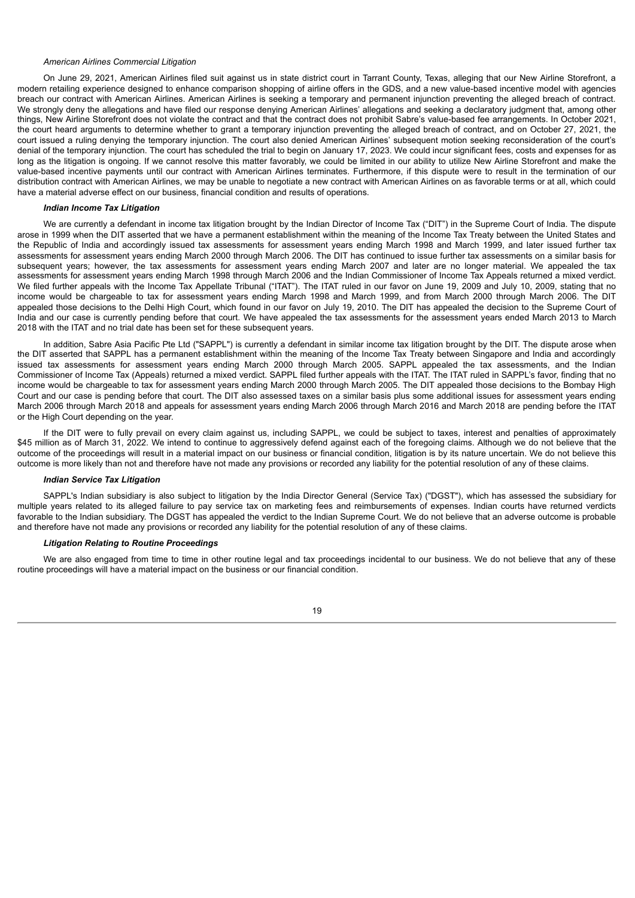#### *American Airlines Commercial Litigation*

On June 29, 2021, American Airlines filed suit against us in state district court in Tarrant County, Texas, alleging that our New Airline Storefront, a modern retailing experience designed to enhance comparison shopping of airline offers in the GDS, and a new value-based incentive model with agencies breach our contract with American Airlines. American Airlines is seeking a temporary and permanent injunction preventing the alleged breach of contract. We strongly deny the allegations and have filed our response denying American Airlines' allegations and seeking a declaratory judgment that, among other things, New Airline Storefront does not violate the contract and that the contract does not prohibit Sabre's value-based fee arrangements. In October 2021, the court heard arguments to determine whether to grant a temporary injunction preventing the alleged breach of contract, and on October 27, 2021, the court issued a ruling denying the temporary injunction. The court also denied American Airlines' subsequent motion seeking reconsideration of the court's denial of the temporary injunction. The court has scheduled the trial to begin on January 17, 2023. We could incur significant fees, costs and expenses for as long as the litigation is ongoing. If we cannot resolve this matter favorably, we could be limited in our ability to utilize New Airline Storefront and make the value-based incentive payments until our contract with American Airlines terminates. Furthermore, if this dispute were to result in the termination of our distribution contract with American Airlines, we may be unable to negotiate a new contract with American Airlines on as favorable terms or at all, which could have a material adverse effect on our business, financial condition and results of operations.

#### *Indian Income Tax Litigation*

We are currently a defendant in income tax litigation brought by the Indian Director of Income Tax ("DIT") in the Supreme Court of India. The dispute arose in 1999 when the DIT asserted that we have a permanent establishment within the meaning of the Income Tax Treaty between the United States and the Republic of India and accordingly issued tax assessments for assessment years ending March 1998 and March 1999, and later issued further tax assessments for assessment years ending March 2000 through March 2006. The DIT has continued to issue further tax assessments on a similar basis for subsequent years; however, the tax assessments for assessment years ending March 2007 and later are no longer material. We appealed the tax assessments for assessment years ending March 1998 through March 2006 and the Indian Commissioner of Income Tax Appeals returned a mixed verdict. We filed further appeals with the Income Tax Appellate Tribunal ("ITAT"). The ITAT ruled in our favor on June 19, 2009 and July 10, 2009, stating that no income would be chargeable to tax for assessment years ending March 1998 and March 1999, and from March 2000 through March 2006. The DIT appealed those decisions to the Delhi High Court, which found in our favor on July 19, 2010. The DIT has appealed the decision to the Supreme Court of India and our case is currently pending before that court. We have appealed the tax assessments for the assessment years ended March 2013 to March 2018 with the ITAT and no trial date has been set for these subsequent years.

In addition, Sabre Asia Pacific Pte Ltd ("SAPPL") is currently a defendant in similar income tax litigation brought by the DIT. The dispute arose when the DIT asserted that SAPPL has a permanent establishment within the meaning of the Income Tax Treaty between Singapore and India and accordingly issued tax assessments for assessment years ending March 2000 through March 2005. SAPPL appealed the tax assessments, and the Indian Commissioner of Income Tax (Appeals) returned a mixed verdict. SAPPL filed further appeals with the ITAT. The ITAT ruled in SAPPL's favor, finding that no income would be chargeable to tax for assessment years ending March 2000 through March 2005. The DIT appealed those decisions to the Bombay High Court and our case is pending before that court. The DIT also assessed taxes on a similar basis plus some additional issues for assessment years ending March 2006 through March 2018 and appeals for assessment years ending March 2006 through March 2016 and March 2018 are pending before the ITAT or the High Court depending on the year.

If the DIT were to fully prevail on every claim against us, including SAPPL, we could be subject to taxes, interest and penalties of approximately \$45 million as of March 31, 2022. We intend to continue to aggressively defend against each of the foregoing claims. Although we do not believe that the outcome of the proceedings will result in a material impact on our business or financial condition, litigation is by its nature uncertain. We do not believe this outcome is more likely than not and therefore have not made any provisions or recorded any liability for the potential resolution of any of these claims.

#### *Indian Service Tax Litigation*

SAPPL's Indian subsidiary is also subject to litigation by the India Director General (Service Tax) ("DGST"), which has assessed the subsidiary for multiple years related to its alleged failure to pay service tax on marketing fees and reimbursements of expenses. Indian courts have returned verdicts favorable to the Indian subsidiary. The DGST has appealed the verdict to the Indian Supreme Court. We do not believe that an adverse outcome is probable and therefore have not made any provisions or recorded any liability for the potential resolution of any of these claims.

#### *Litigation Relating to Routine Proceedings*

We are also engaged from time to time in other routine legal and tax proceedings incidental to our business. We do not believe that any of these routine proceedings will have a material impact on the business or our financial condition.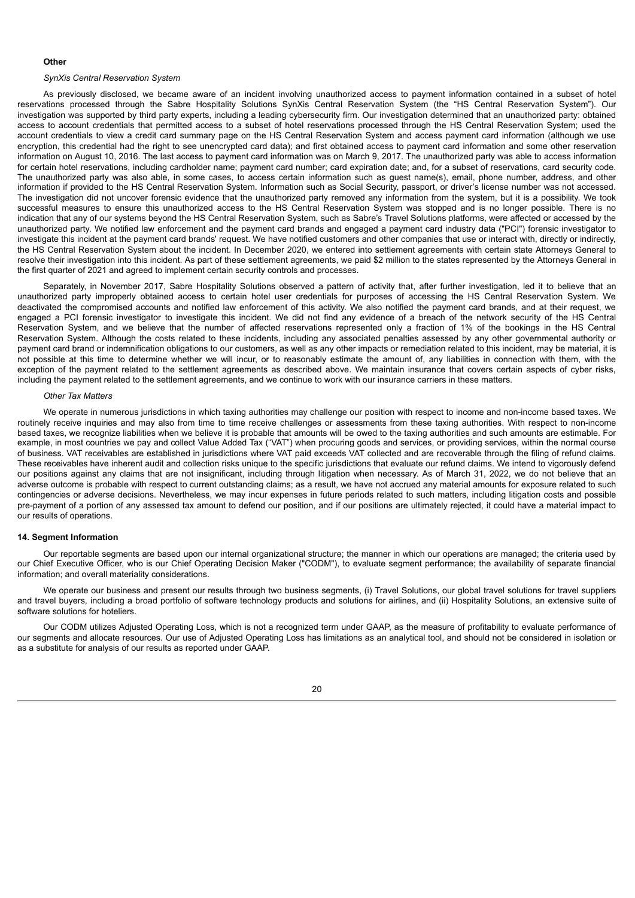#### **Other**

#### *SynXis Central Reservation System*

As previously disclosed, we became aware of an incident involving unauthorized access to payment information contained in a subset of hotel reservations processed through the Sabre Hospitality Solutions SynXis Central Reservation System (the "HS Central Reservation System"). Our investigation was supported by third party experts, including a leading cybersecurity firm. Our investigation determined that an unauthorized party: obtained access to account credentials that permitted access to a subset of hotel reservations processed through the HS Central Reservation System; used the account credentials to view a credit card summary page on the HS Central Reservation System and access payment card information (although we use encryption, this credential had the right to see unencrypted card data); and first obtained access to payment card information and some other reservation information on August 10, 2016. The last access to payment card information was on March 9, 2017. The unauthorized party was able to access information for certain hotel reservations, including cardholder name; payment card number; card expiration date; and, for a subset of reservations, card security code. The unauthorized party was also able, in some cases, to access certain information such as guest name(s), email, phone number, address, and other information if provided to the HS Central Reservation System. Information such as Social Security, passport, or driver's license number was not accessed. The investigation did not uncover forensic evidence that the unauthorized party removed any information from the system, but it is a possibility. We took successful measures to ensure this unauthorized access to the HS Central Reservation System was stopped and is no longer possible. There is no indication that any of our systems beyond the HS Central Reservation System, such as Sabre's Travel Solutions platforms, were affected or accessed by the unauthorized party. We notified law enforcement and the payment card brands and engaged a payment card industry data ("PCI") forensic investigator to investigate this incident at the payment card brands' request. We have notified customers and other companies that use or interact with, directly or indirectly, the HS Central Reservation System about the incident. In December 2020, we entered into settlement agreements with certain state Attorneys General to resolve their investigation into this incident. As part of these settlement agreements, we paid \$2 million to the states represented by the Attorneys General in the first quarter of 2021 and agreed to implement certain security controls and processes.

Separately, in November 2017, Sabre Hospitality Solutions observed a pattern of activity that, after further investigation, led it to believe that an unauthorized party improperly obtained access to certain hotel user credentials for purposes of accessing the HS Central Reservation System. We deactivated the compromised accounts and notified law enforcement of this activity. We also notified the payment card brands, and at their request, we engaged a PCI forensic investigator to investigate this incident. We did not find any evidence of a breach of the network security of the HS Central Reservation System, and we believe that the number of affected reservations represented only a fraction of 1% of the bookings in the HS Central Reservation System. Although the costs related to these incidents, including any associated penalties assessed by any other governmental authority or payment card brand or indemnification obligations to our customers, as well as any other impacts or remediation related to this incident, may be material, it is not possible at this time to determine whether we will incur, or to reasonably estimate the amount of, any liabilities in connection with them, with the exception of the payment related to the settlement agreements as described above. We maintain insurance that covers certain aspects of cyber risks, including the payment related to the settlement agreements, and we continue to work with our insurance carriers in these matters.

#### *Other Tax Matters*

We operate in numerous jurisdictions in which taxing authorities may challenge our position with respect to income and non-income based taxes. We routinely receive inquiries and may also from time to time receive challenges or assessments from these taxing authorities. With respect to non-income based taxes, we recognize liabilities when we believe it is probable that amounts will be owed to the taxing authorities and such amounts are estimable. For example, in most countries we pay and collect Value Added Tax ("VAT") when procuring goods and services, or providing services, within the normal course of business. VAT receivables are established in jurisdictions where VAT paid exceeds VAT collected and are recoverable through the filing of refund claims. These receivables have inherent audit and collection risks unique to the specific jurisdictions that evaluate our refund claims. We intend to vigorously defend our positions against any claims that are not insignificant, including through litigation when necessary. As of March 31, 2022, we do not believe that an adverse outcome is probable with respect to current outstanding claims; as a result, we have not accrued any material amounts for exposure related to such contingencies or adverse decisions. Nevertheless, we may incur expenses in future periods related to such matters, including litigation costs and possible pre-payment of a portion of any assessed tax amount to defend our position, and if our positions are ultimately rejected, it could have a material impact to our results of operations.

#### **14. Segment Information**

Our reportable segments are based upon our internal organizational structure; the manner in which our operations are managed; the criteria used by our Chief Executive Officer, who is our Chief Operating Decision Maker ("CODM"), to evaluate segment performance; the availability of separate financial information; and overall materiality considerations.

We operate our business and present our results through two business segments, (i) Travel Solutions, our global travel solutions for travel suppliers and travel buyers, including a broad portfolio of software technology products and solutions for airlines, and (ii) Hospitality Solutions, an extensive suite of software solutions for hoteliers.

Our CODM utilizes Adjusted Operating Loss, which is not a recognized term under GAAP, as the measure of profitability to evaluate performance of our segments and allocate resources. Our use of Adjusted Operating Loss has limitations as an analytical tool, and should not be considered in isolation or as a substitute for analysis of our results as reported under GAAP.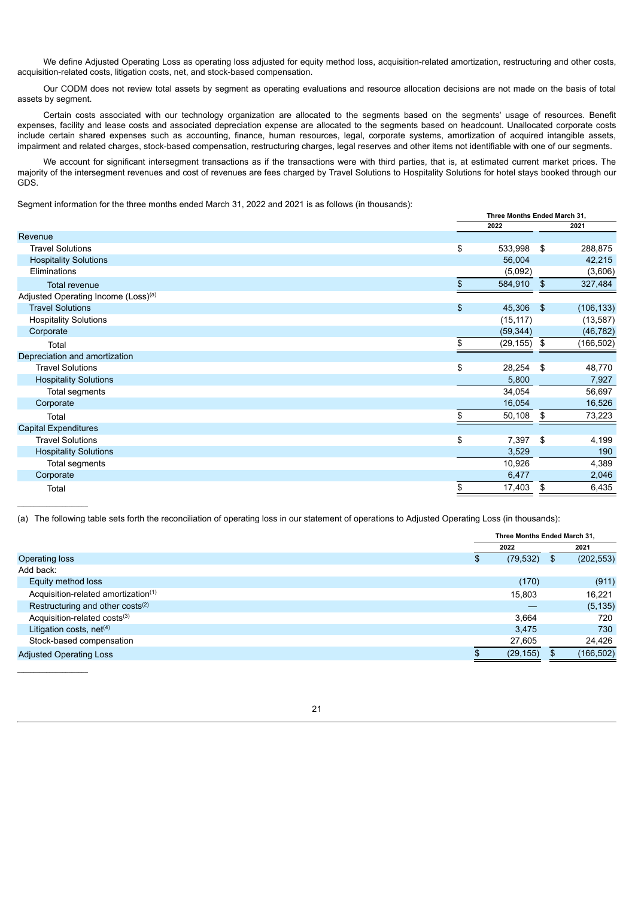We define Adjusted Operating Loss as operating loss adjusted for equity method loss, acquisition-related amortization, restructuring and other costs, acquisition-related costs, litigation costs, net, and stock-based compensation.

Our CODM does not review total assets by segment as operating evaluations and resource allocation decisions are not made on the basis of total assets by segment.

Certain costs associated with our technology organization are allocated to the segments based on the segments' usage of resources. Benefit expenses, facility and lease costs and associated depreciation expense are allocated to the segments based on headcount. Unallocated corporate costs include certain shared expenses such as accounting, finance, human resources, legal, corporate systems, amortization of acquired intangible assets, impairment and related charges, stock-based compensation, restructuring charges, legal reserves and other items not identifiable with one of our segments.

We account for significant intersegment transactions as if the transactions were with third parties, that is, at estimated current market prices. The majority of the intersegment revenues and cost of revenues are fees charged by Travel Solutions to Hospitality Solutions for hotel stays booked through our GDS.

Segment information for the three months ended March 31, 2022 and 2021 is as follows (in thousands):

 $\mathcal{L}_\text{max}$  and  $\mathcal{L}_\text{max}$  and  $\mathcal{L}_\text{max}$ 

 $\mathcal{L}_\text{max}$  and  $\mathcal{L}_\text{max}$  and  $\mathcal{L}_\text{max}$ 

|                                                 | Three Months Ended March 31, |                |            |
|-------------------------------------------------|------------------------------|----------------|------------|
|                                                 | 2022                         |                | 2021       |
| Revenue                                         |                              |                |            |
| <b>Travel Solutions</b>                         | \$<br>533,998                | \$             | 288,875    |
| <b>Hospitality Solutions</b>                    | 56,004                       |                | 42,215     |
| Eliminations                                    | (5,092)                      |                | (3,606)    |
| Total revenue                                   | \$<br>584,910                | $\mathfrak{S}$ | 327,484    |
| Adjusted Operating Income (Loss) <sup>(a)</sup> |                              |                |            |
| <b>Travel Solutions</b>                         | \$<br>45,306                 | \$             | (106, 133) |
| <b>Hospitality Solutions</b>                    | (15, 117)                    |                | (13, 587)  |
| Corporate                                       | (59, 344)                    |                | (46, 782)  |
| Total                                           | \$<br>(29, 155)              | \$             | (166, 502) |
| Depreciation and amortization                   |                              |                |            |
| <b>Travel Solutions</b>                         | \$<br>28,254                 | \$             | 48,770     |
| <b>Hospitality Solutions</b>                    | 5,800                        |                | 7,927      |
| Total segments                                  | 34,054                       |                | 56,697     |
| Corporate                                       | 16,054                       |                | 16,526     |
| Total                                           | \$<br>50,108                 | \$             | 73,223     |
| <b>Capital Expenditures</b>                     |                              |                |            |
| <b>Travel Solutions</b>                         | \$<br>7,397                  | \$             | 4,199      |
| <b>Hospitality Solutions</b>                    | 3,529                        |                | 190        |
| Total segments                                  | 10,926                       |                | 4,389      |
| Corporate                                       | 6,477                        |                | 2,046      |
| Total                                           | \$<br>17,403                 | \$             | 6,435      |

(a) The following table sets forth the reconciliation of operating loss in our statement of operations to Adjusted Operating Loss (in thousands):

|                                                 |   | Three Months Ended March 31, |  |            |  |
|-------------------------------------------------|---|------------------------------|--|------------|--|
|                                                 |   | 2022                         |  | 2021       |  |
| Operating loss                                  | æ | (79, 532)                    |  | (202, 553) |  |
| Add back:                                       |   |                              |  |            |  |
| Equity method loss                              |   | (170)                        |  | (911)      |  |
| Acquisition-related amortization <sup>(1)</sup> |   | 15.803                       |  | 16,221     |  |
| Restructuring and other costs <sup>(2)</sup>    |   |                              |  | (5, 135)   |  |
| Acquisition-related costs <sup>(3)</sup>        |   | 3.664                        |  | 720        |  |
| Litigation costs, $net(4)$                      |   | 3.475                        |  | 730        |  |
| Stock-based compensation                        |   | 27,605                       |  | 24,426     |  |
| <b>Adjusted Operating Loss</b>                  |   | (29, 155)                    |  | (166, 502) |  |
|                                                 |   |                              |  |            |  |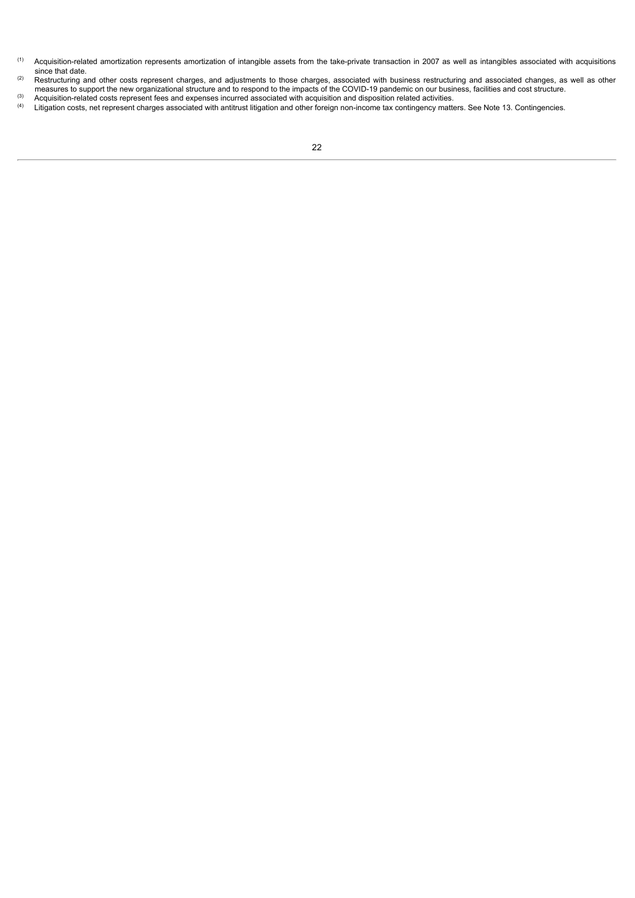- Acquisition-related amortization represents amortization of intangible assets from the take-private transaction in 2007 as well as intangibles associated with acquisitions since that date. (1)
- Restructuring and other costs represent charges, and adjustments to those charges, associated with business restructuring and associated changes, as well as other measures to support the new organizational structure and to respond to the impacts of the COVID-19 pandemic on our business, facilities and cost structure. (2)
- Acquisition-related costs represent fees and expenses incurred associated with acquisition and disposition related activities. (3)
- <span id="page-23-0"></span>Litigation costs, net represent charges associated with antitrust litigation and other foreign non-income tax contingency matters. See Note 13. Contingencies. (4)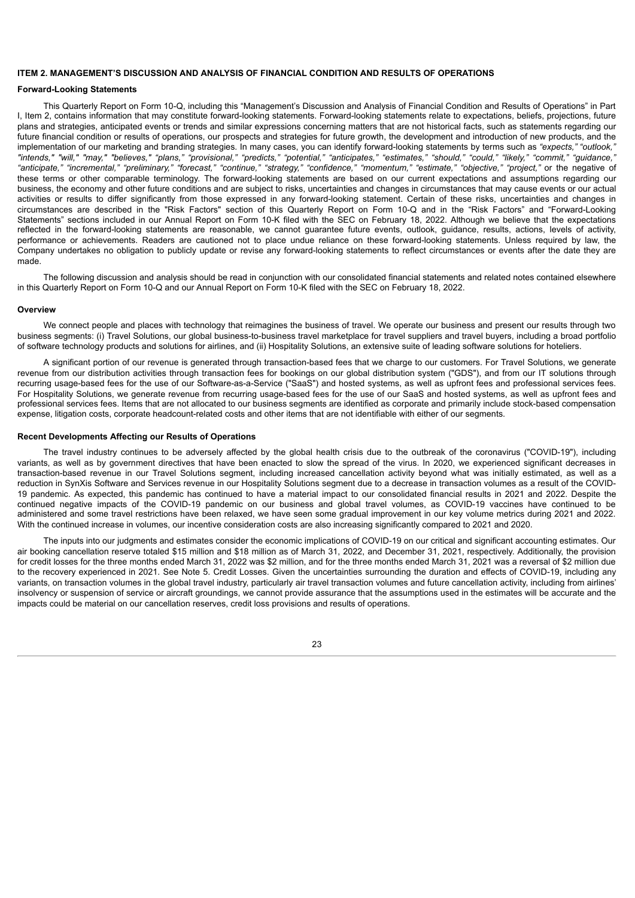#### **ITEM 2. MANAGEMENT'S DISCUSSION AND ANALYSIS OF FINANCIAL CONDITION AND RESULTS OF OPERATIONS**

#### **Forward-Looking Statements**

This Quarterly Report on Form 10-Q, including this "Management's Discussion and Analysis of Financial Condition and Results of Operations" in Part I, Item 2, contains information that may constitute forward-looking statements. Forward-looking statements relate to expectations, beliefs, projections, future plans and strategies, anticipated events or trends and similar expressions concerning matters that are not historical facts, such as statements regarding our future financial condition or results of operations, our prospects and strategies for future growth, the development and introduction of new products, and the implementation of our marketing and branding strategies. In many cases, you can identify forward-looking statements by terms such as *"expects," "outlook," "intends," "will," "may," "believes," "plans," "provisional," "predicts," "potential," "anticipates," "estimates," "should," "could," "likely," "commit," "guidance," "anticipate," "incremental," "preliminary," "forecast," "continue," "strategy," "confidence," "momentum," "estimate," "objective," "project,"* or the negative of these terms or other comparable terminology. The forward-looking statements are based on our current expectations and assumptions regarding our business, the economy and other future conditions and are subject to risks, uncertainties and changes in circumstances that may cause events or our actual activities or results to differ significantly from those expressed in any forward-looking statement. Certain of these risks, uncertainties and changes in circumstances are described in the "Risk Factors" section of this Quarterly Report on Form 10-Q and in the "Risk Factors" and "Forward-Looking Statements" sections included in our Annual Report on Form 10-K filed with the SEC on February 18, 2022. Although we believe that the expectations reflected in the forward-looking statements are reasonable, we cannot guarantee future events, outlook, guidance, results, actions, levels of activity, performance or achievements. Readers are cautioned not to place undue reliance on these forward-looking statements. Unless required by law, the Company undertakes no obligation to publicly update or revise any forward-looking statements to reflect circumstances or events after the date they are made.

The following discussion and analysis should be read in conjunction with our consolidated financial statements and related notes contained elsewhere in this Quarterly Report on Form 10-Q and our Annual Report on Form 10-K filed with the SEC on February 18, 2022.

#### **Overview**

We connect people and places with technology that reimagines the business of travel. We operate our business and present our results through two business segments: (i) Travel Solutions, our global business-to-business travel marketplace for travel suppliers and travel buyers, including a broad portfolio of software technology products and solutions for airlines, and (ii) Hospitality Solutions, an extensive suite of leading software solutions for hoteliers.

A significant portion of our revenue is generated through transaction-based fees that we charge to our customers. For Travel Solutions, we generate revenue from our distribution activities through transaction fees for bookings on our global distribution system ("GDS"), and from our IT solutions through recurring usage-based fees for the use of our Software-as-a-Service ("SaaS") and hosted systems, as well as upfront fees and professional services fees. For Hospitality Solutions, we generate revenue from recurring usage-based fees for the use of our SaaS and hosted systems, as well as upfront fees and professional services fees. Items that are not allocated to our business segments are identified as corporate and primarily include stock-based compensation expense, litigation costs, corporate headcount-related costs and other items that are not identifiable with either of our segments.

#### **Recent Developments Affecting our Results of Operations**

The travel industry continues to be adversely affected by the global health crisis due to the outbreak of the coronavirus ("COVID-19"), including variants, as well as by government directives that have been enacted to slow the spread of the virus. In 2020, we experienced significant decreases in transaction-based revenue in our Travel Solutions segment, including increased cancellation activity beyond what was initially estimated, as well as a reduction in SynXis Software and Services revenue in our Hospitality Solutions segment due to a decrease in transaction volumes as a result of the COVID-19 pandemic. As expected, this pandemic has continued to have a material impact to our consolidated financial results in 2021 and 2022. Despite the continued negative impacts of the COVID-19 pandemic on our business and global travel volumes, as COVID-19 vaccines have continued to be administered and some travel restrictions have been relaxed, we have seen some gradual improvement in our key volume metrics during 2021 and 2022. With the continued increase in volumes, our incentive consideration costs are also increasing significantly compared to 2021 and 2020.

The inputs into our judgments and estimates consider the economic implications of COVID-19 on our critical and significant accounting estimates. Our air booking cancellation reserve totaled \$15 million and \$18 million as of March 31, 2022, and December 31, 2021, respectively. Additionally, the provision for credit losses for the three months ended March 31, 2022 was \$2 million, and for the three months ended March 31, 2021 was a reversal of \$2 million due to the recovery experienced in 2021. See Note 5. Credit Losses. Given the uncertainties surrounding the duration and effects of COVID-19, including any variants, on transaction volumes in the global travel industry, particularly air travel transaction volumes and future cancellation activity, including from airlines' insolvency or suspension of service or aircraft groundings, we cannot provide assurance that the assumptions used in the estimates will be accurate and the impacts could be material on our cancellation reserves, credit loss provisions and results of operations.

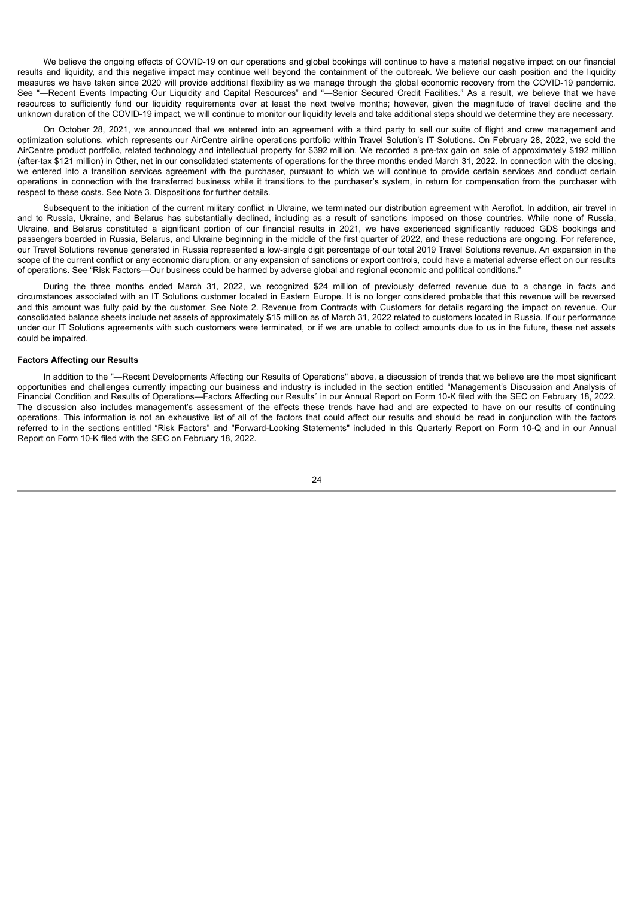We believe the ongoing effects of COVID-19 on our operations and global bookings will continue to have a material negative impact on our financial results and liquidity, and this negative impact may continue well beyond the containment of the outbreak. We believe our cash position and the liquidity measures we have taken since 2020 will provide additional flexibility as we manage through the global economic recovery from the COVID-19 pandemic. See "—Recent Events Impacting Our Liquidity and Capital Resources" and "—Senior Secured Credit Facilities." As a result, we believe that we have resources to sufficiently fund our liquidity requirements over at least the next twelve months; however, given the magnitude of travel decline and the unknown duration of the COVID-19 impact, we will continue to monitor our liquidity levels and take additional steps should we determine they are necessary.

On October 28, 2021, we announced that we entered into an agreement with a third party to sell our suite of flight and crew management and optimization solutions, which represents our AirCentre airline operations portfolio within Travel Solution's IT Solutions. On February 28, 2022, we sold the AirCentre product portfolio, related technology and intellectual property for \$392 million. We recorded a pre-tax gain on sale of approximately \$192 million (after-tax \$121 million) in Other, net in our consolidated statements of operations for the three months ended March 31, 2022. In connection with the closing, we entered into a transition services agreement with the purchaser, pursuant to which we will continue to provide certain services and conduct certain operations in connection with the transferred business while it transitions to the purchaser's system, in return for compensation from the purchaser with respect to these costs. See Note 3. Dispositions for further details.

Subsequent to the initiation of the current military conflict in Ukraine, we terminated our distribution agreement with Aeroflot. In addition, air travel in and to Russia, Ukraine, and Belarus has substantially declined, including as a result of sanctions imposed on those countries. While none of Russia, Ukraine, and Belarus constituted a significant portion of our financial results in 2021, we have experienced significantly reduced GDS bookings and passengers boarded in Russia, Belarus, and Ukraine beginning in the middle of the first quarter of 2022, and these reductions are ongoing. For reference, our Travel Solutions revenue generated in Russia represented a low-single digit percentage of our total 2019 Travel Solutions revenue. An expansion in the scope of the current conflict or any economic disruption, or any expansion of sanctions or export controls, could have a material adverse effect on our results of operations. See "Risk Factors—Our business could be harmed by adverse global and regional economic and political conditions."

During the three months ended March 31, 2022, we recognized \$24 million of previously deferred revenue due to a change in facts and circumstances associated with an IT Solutions customer located in Eastern Europe. It is no longer considered probable that this revenue will be reversed and this amount was fully paid by the customer. See Note 2. Revenue from Contracts with Customers for details regarding the impact on revenue. Our consolidated balance sheets include net assets of approximately \$15 million as of March 31, 2022 related to customers located in Russia. If our performance under our IT Solutions agreements with such customers were terminated, or if we are unable to collect amounts due to us in the future, these net assets could be impaired.

#### **Factors Affecting our Results**

In addition to the "—Recent Developments Affecting our Results of Operations" above, a discussion of trends that we believe are the most significant opportunities and challenges currently impacting our business and industry is included in the section entitled "Management's Discussion and Analysis of Financial Condition and Results of Operations—Factors Affecting our Results" in our Annual Report on Form 10-K filed with the SEC on February 18, 2022. The discussion also includes management's assessment of the effects these trends have had and are expected to have on our results of continuing operations. This information is not an exhaustive list of all of the factors that could affect our results and should be read in conjunction with the factors referred to in the sections entitled "Risk Factors" and "Forward-Looking Statements" included in this Quarterly Report on Form 10-Q and in our Annual Report on Form 10-K filed with the SEC on February 18, 2022.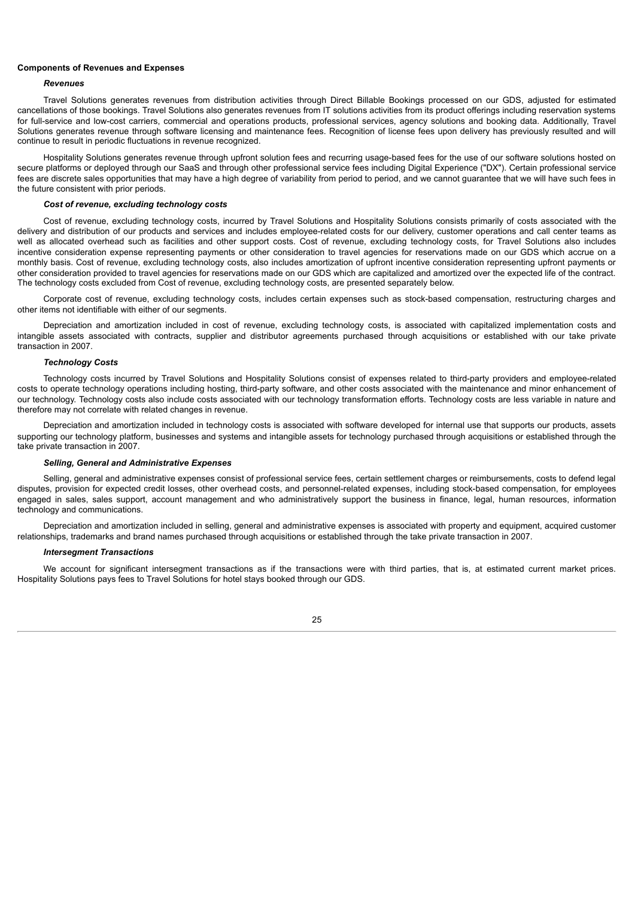#### **Components of Revenues and Expenses**

#### *Revenues*

Travel Solutions generates revenues from distribution activities through Direct Billable Bookings processed on our GDS, adjusted for estimated cancellations of those bookings. Travel Solutions also generates revenues from IT solutions activities from its product offerings including reservation systems for full-service and low-cost carriers, commercial and operations products, professional services, agency solutions and booking data. Additionally, Travel Solutions generates revenue through software licensing and maintenance fees. Recognition of license fees upon delivery has previously resulted and will continue to result in periodic fluctuations in revenue recognized.

Hospitality Solutions generates revenue through upfront solution fees and recurring usage-based fees for the use of our software solutions hosted on secure platforms or deployed through our SaaS and through other professional service fees including Digital Experience ("DX"). Certain professional service fees are discrete sales opportunities that may have a high degree of variability from period to period, and we cannot guarantee that we will have such fees in the future consistent with prior periods.

#### *Cost of revenue, excluding technology costs*

Cost of revenue, excluding technology costs, incurred by Travel Solutions and Hospitality Solutions consists primarily of costs associated with the delivery and distribution of our products and services and includes employee-related costs for our delivery, customer operations and call center teams as well as allocated overhead such as facilities and other support costs. Cost of revenue, excluding technology costs, for Travel Solutions also includes incentive consideration expense representing payments or other consideration to travel agencies for reservations made on our GDS which accrue on a monthly basis. Cost of revenue, excluding technology costs, also includes amortization of upfront incentive consideration representing upfront payments or other consideration provided to travel agencies for reservations made on our GDS which are capitalized and amortized over the expected life of the contract. The technology costs excluded from Cost of revenue, excluding technology costs, are presented separately below.

Corporate cost of revenue, excluding technology costs, includes certain expenses such as stock-based compensation, restructuring charges and other items not identifiable with either of our segments.

Depreciation and amortization included in cost of revenue, excluding technology costs, is associated with capitalized implementation costs and intangible assets associated with contracts, supplier and distributor agreements purchased through acquisitions or established with our take private transaction in 2007.

#### *Technology Costs*

Technology costs incurred by Travel Solutions and Hospitality Solutions consist of expenses related to third-party providers and employee-related costs to operate technology operations including hosting, third-party software, and other costs associated with the maintenance and minor enhancement of our technology. Technology costs also include costs associated with our technology transformation efforts. Technology costs are less variable in nature and therefore may not correlate with related changes in revenue.

Depreciation and amortization included in technology costs is associated with software developed for internal use that supports our products, assets supporting our technology platform, businesses and systems and intangible assets for technology purchased through acquisitions or established through the take private transaction in 2007.

#### *Selling, General and Administrative Expenses*

Selling, general and administrative expenses consist of professional service fees, certain settlement charges or reimbursements, costs to defend legal disputes, provision for expected credit losses, other overhead costs, and personnel-related expenses, including stock-based compensation, for employees engaged in sales, sales support, account management and who administratively support the business in finance, legal, human resources, information technology and communications.

Depreciation and amortization included in selling, general and administrative expenses is associated with property and equipment, acquired customer relationships, trademarks and brand names purchased through acquisitions or established through the take private transaction in 2007.

#### *Intersegment Transactions*

We account for significant intersegment transactions as if the transactions were with third parties, that is, at estimated current market prices. Hospitality Solutions pays fees to Travel Solutions for hotel stays booked through our GDS.

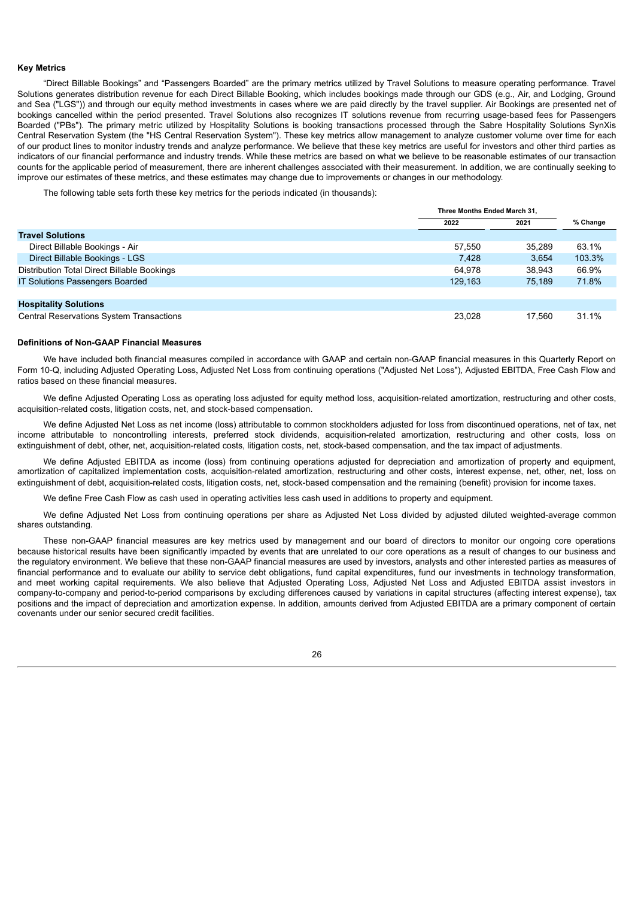#### **Key Metrics**

"Direct Billable Bookings" and "Passengers Boarded" are the primary metrics utilized by Travel Solutions to measure operating performance. Travel Solutions generates distribution revenue for each Direct Billable Booking, which includes bookings made through our GDS (e.g., Air, and Lodging, Ground and Sea ("LGS")) and through our equity method investments in cases where we are paid directly by the travel supplier. Air Bookings are presented net of bookings cancelled within the period presented. Travel Solutions also recognizes IT solutions revenue from recurring usage-based fees for Passengers Boarded ("PBs"). The primary metric utilized by Hospitality Solutions is booking transactions processed through the Sabre Hospitality Solutions SynXis Central Reservation System (the "HS Central Reservation System"). These key metrics allow management to analyze customer volume over time for each of our product lines to monitor industry trends and analyze performance. We believe that these key metrics are useful for investors and other third parties as indicators of our financial performance and industry trends. While these metrics are based on what we believe to be reasonable estimates of our transaction counts for the applicable period of measurement, there are inherent challenges associated with their measurement. In addition, we are continually seeking to improve our estimates of these metrics, and these estimates may change due to improvements or changes in our methodology.

The following table sets forth these key metrics for the periods indicated (in thousands):

|                                                 |         | Three Months Ended March 31. |          |  |
|-------------------------------------------------|---------|------------------------------|----------|--|
|                                                 | 2022    | 2021                         | % Change |  |
| <b>Travel Solutions</b>                         |         |                              |          |  |
| Direct Billable Bookings - Air                  | 57.550  | 35.289                       | 63.1%    |  |
| Direct Billable Bookings - LGS                  | 7.428   | 3.654                        | 103.3%   |  |
| Distribution Total Direct Billable Bookings     | 64,978  | 38.943                       | 66.9%    |  |
| <b>IT Solutions Passengers Boarded</b>          | 129.163 | 75.189                       | 71.8%    |  |
|                                                 |         |                              |          |  |
| <b>Hospitality Solutions</b>                    |         |                              |          |  |
| <b>Central Reservations System Transactions</b> | 23.028  | 17.560                       | 31.1%    |  |

#### **Definitions of Non-GAAP Financial Measures**

We have included both financial measures compiled in accordance with GAAP and certain non-GAAP financial measures in this Quarterly Report on Form 10-Q, including Adjusted Operating Loss, Adjusted Net Loss from continuing operations ("Adjusted Net Loss"), Adjusted EBITDA, Free Cash Flow and ratios based on these financial measures.

We define Adjusted Operating Loss as operating loss adjusted for equity method loss, acquisition-related amortization, restructuring and other costs, acquisition-related costs, litigation costs, net, and stock-based compensation.

We define Adjusted Net Loss as net income (loss) attributable to common stockholders adjusted for loss from discontinued operations, net of tax, net income attributable to noncontrolling interests, preferred stock dividends, acquisition-related amortization, restructuring and other costs, loss on extinguishment of debt, other, net, acquisition-related costs, litigation costs, net, stock-based compensation, and the tax impact of adjustments.

We define Adjusted EBITDA as income (loss) from continuing operations adjusted for depreciation and amortization of property and equipment, amortization of capitalized implementation costs, acquisition-related amortization, restructuring and other costs, interest expense, net, other, net, loss on extinguishment of debt, acquisition-related costs, litigation costs, net, stock-based compensation and the remaining (benefit) provision for income taxes.

We define Free Cash Flow as cash used in operating activities less cash used in additions to property and equipment.

We define Adjusted Net Loss from continuing operations per share as Adjusted Net Loss divided by adjusted diluted weighted-average common shares outstanding.

These non-GAAP financial measures are key metrics used by management and our board of directors to monitor our ongoing core operations because historical results have been significantly impacted by events that are unrelated to our core operations as a result of changes to our business and the regulatory environment. We believe that these non-GAAP financial measures are used by investors, analysts and other interested parties as measures of financial performance and to evaluate our ability to service debt obligations, fund capital expenditures, fund our investments in technology transformation, and meet working capital requirements. We also believe that Adjusted Operating Loss, Adjusted Net Loss and Adjusted EBITDA assist investors in company-to-company and period-to-period comparisons by excluding differences caused by variations in capital structures (affecting interest expense), tax positions and the impact of depreciation and amortization expense. In addition, amounts derived from Adjusted EBITDA are a primary component of certain covenants under our senior secured credit facilities.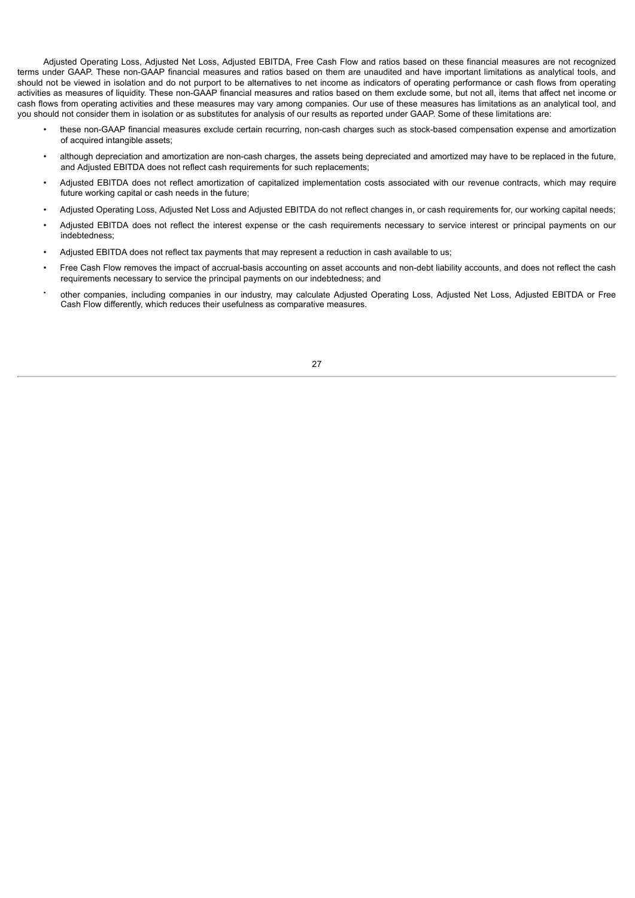Adjusted Operating Loss, Adjusted Net Loss, Adjusted EBITDA, Free Cash Flow and ratios based on these financial measures are not recognized terms under GAAP. These non-GAAP financial measures and ratios based on them are unaudited and have important limitations as analytical tools, and should not be viewed in isolation and do not purport to be alternatives to net income as indicators of operating performance or cash flows from operating activities as measures of liquidity. These non-GAAP financial measures and ratios based on them exclude some, but not all, items that affect net income or cash flows from operating activities and these measures may vary among companies. Our use of these measures has limitations as an analytical tool, and you should not consider them in isolation or as substitutes for analysis of our results as reported under GAAP. Some of these limitations are:

- these non-GAAP financial measures exclude certain recurring, non-cash charges such as stock-based compensation expense and amortization of acquired intangible assets;
- although depreciation and amortization are non-cash charges, the assets being depreciated and amortized may have to be replaced in the future, and Adjusted EBITDA does not reflect cash requirements for such replacements;
- Adjusted EBITDA does not reflect amortization of capitalized implementation costs associated with our revenue contracts, which may require future working capital or cash needs in the future;
- Adjusted Operating Loss, Adjusted Net Loss and Adjusted EBITDA do not reflect changes in, or cash requirements for, our working capital needs;
- Adjusted EBITDA does not reflect the interest expense or the cash requirements necessary to service interest or principal payments on our indebtedness;
- Adjusted EBITDA does not reflect tax payments that may represent a reduction in cash available to us;
- Free Cash Flow removes the impact of accrual-basis accounting on asset accounts and non-debt liability accounts, and does not reflect the cash requirements necessary to service the principal payments on our indebtedness; and
- other companies, including companies in our industry, may calculate Adjusted Operating Loss, Adjusted Net Loss, Adjusted EBITDA or Free Cash Flow differently, which reduces their usefulness as comparative measures. *•*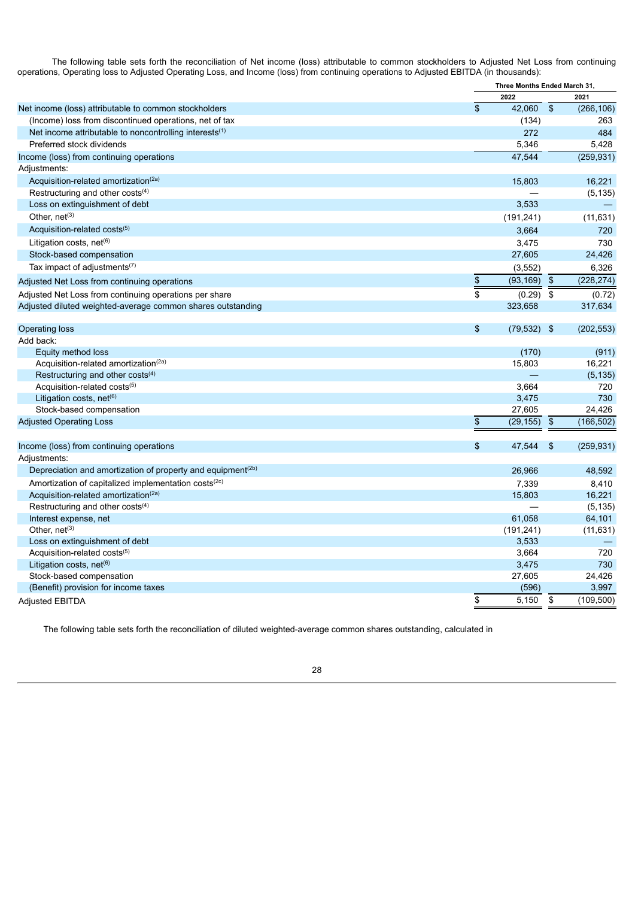The following table sets forth the reconciliation of Net income (loss) attributable to common stockholders to Adjusted Net Loss from continuing operations, Operating loss to Adjusted Operating Loss, and Income (loss) from continuing operations to Adjusted EBITDA (in thousands):

|                                                                  |                      | Three Months Ended March 31, |            |  |  |
|------------------------------------------------------------------|----------------------|------------------------------|------------|--|--|
|                                                                  | 2022                 |                              | 2021       |  |  |
| Net income (loss) attributable to common stockholders            | \$<br>42,060 \$      |                              | (266, 106) |  |  |
| (Income) loss from discontinued operations, net of tax           | (134)                |                              | 263        |  |  |
| Net income attributable to noncontrolling interests $(1)$        | 272                  |                              | 484        |  |  |
| Preferred stock dividends                                        | 5,346                |                              | 5.428      |  |  |
| Income (loss) from continuing operations                         | 47,544               |                              | (259, 931) |  |  |
| Adjustments:                                                     |                      |                              |            |  |  |
| Acquisition-related amortization <sup>(2a)</sup>                 | 15,803               |                              | 16,221     |  |  |
| Restructuring and other costs <sup>(4)</sup>                     |                      |                              | (5, 135)   |  |  |
| Loss on extinguishment of debt                                   | 3,533                |                              |            |  |  |
| Other, $net^{(3)}$                                               | (191, 241)           |                              | (11, 631)  |  |  |
| Acquisition-related costs <sup>(5)</sup>                         | 3,664                |                              | 720        |  |  |
| Litigation costs, $net^{(6)}$                                    | 3,475                |                              | 730        |  |  |
| Stock-based compensation                                         | 27,605               |                              | 24,426     |  |  |
| Tax impact of adjustments <sup>(7)</sup>                         | (3, 552)             |                              | 6,326      |  |  |
| Adjusted Net Loss from continuing operations                     | \$<br>$(93, 169)$ \$ |                              | (228, 274) |  |  |
| Adjusted Net Loss from continuing operations per share           | \$                   | $(0.29)$ \$                  | (0.72)     |  |  |
| Adjusted diluted weighted-average common shares outstanding      | 323,658              |                              | 317,634    |  |  |
|                                                                  |                      |                              |            |  |  |
| <b>Operating loss</b>                                            | \$<br>$(79, 532)$ \$ |                              | (202, 553) |  |  |
| Add back:                                                        |                      |                              |            |  |  |
| Equity method loss                                               | (170)                |                              | (911)      |  |  |
| Acquisition-related amortization <sup>(2a)</sup>                 | 15,803               |                              | 16,221     |  |  |
| Restructuring and other costs $(4)$                              |                      |                              | (5, 135)   |  |  |
| Acquisition-related costs <sup>(5)</sup>                         | 3,664                |                              | 720        |  |  |
| Litigation costs, net <sup>(6)</sup>                             | 3,475                |                              | 730        |  |  |
| Stock-based compensation                                         | 27,605               |                              | 24,426     |  |  |
| <b>Adjusted Operating Loss</b>                                   | \$<br>$(29, 155)$ \$ |                              | (166, 502) |  |  |
|                                                                  |                      |                              |            |  |  |
| Income (loss) from continuing operations                         | \$<br>47,544         | \$                           | (259, 931) |  |  |
| Adjustments:                                                     |                      |                              |            |  |  |
| Depreciation and amortization of property and equipment $(2b)$   | 26,966               |                              | 48.592     |  |  |
| Amortization of capitalized implementation costs <sup>(2c)</sup> | 7,339                |                              | 8,410      |  |  |
| Acquisition-related amortization <sup>(2a)</sup>                 | 15,803               |                              | 16,221     |  |  |
| Restructuring and other costs $(4)$                              |                      |                              | (5, 135)   |  |  |
| Interest expense, net                                            | 61,058               |                              | 64,101     |  |  |
| Other, $net^{(3)}$                                               | (191, 241)           |                              | (11, 631)  |  |  |
| Loss on extinguishment of debt                                   | 3,533                |                              |            |  |  |
| Acquisition-related costs <sup>(5)</sup>                         | 3,664                |                              | 720        |  |  |
| Litigation costs, net <sup>(6)</sup>                             | 3,475                |                              | 730        |  |  |
| Stock-based compensation                                         | 27,605               |                              | 24,426     |  |  |
| (Benefit) provision for income taxes                             | (596)                |                              | 3,997      |  |  |
| Adjusted EBITDA                                                  | \$<br>5,150          | \$                           | (109, 500) |  |  |
|                                                                  |                      |                              |            |  |  |

The following table sets forth the reconciliation of diluted weighted-average common shares outstanding, calculated in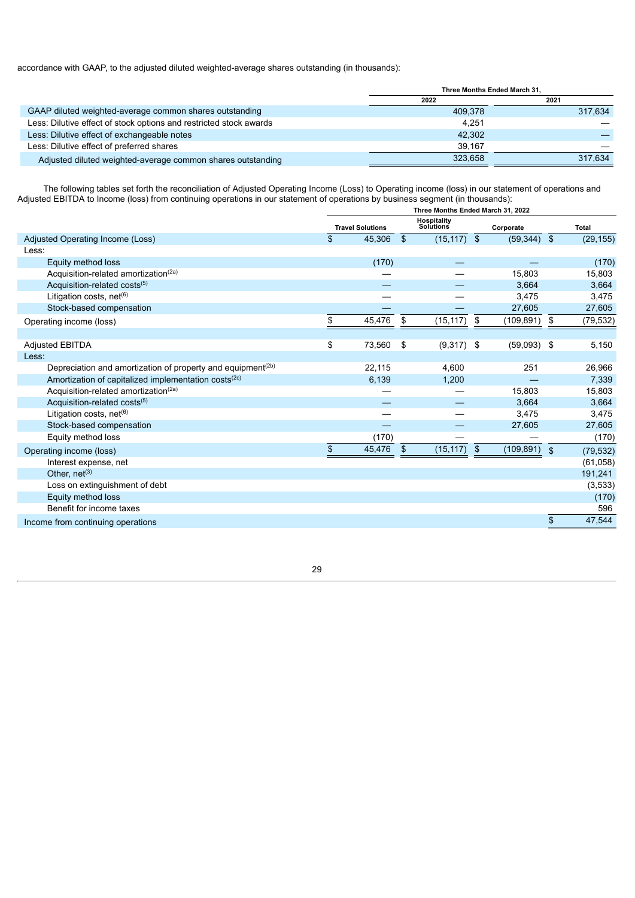accordance with GAAP, to the adjusted diluted weighted-average shares outstanding (in thousands):

|                                                                    | Three Months Ended March 31. |         |  |  |  |
|--------------------------------------------------------------------|------------------------------|---------|--|--|--|
|                                                                    | 2022                         | 2021    |  |  |  |
| GAAP diluted weighted-average common shares outstanding            | 409,378                      | 317.634 |  |  |  |
| Less: Dilutive effect of stock options and restricted stock awards | 4.251                        |         |  |  |  |
| Less: Dilutive effect of exchangeable notes                        | 42.302                       |         |  |  |  |
| Less: Dilutive effect of preferred shares                          | 39.167                       |         |  |  |  |
| Adjusted diluted weighted-average common shares outstanding        | 323.658                      | 317.634 |  |  |  |

The following tables set forth the reconciliation of Adjusted Operating Income (Loss) to Operating income (loss) in our statement of operations and Adjusted EBITDA to Income (loss) from continuing operations in our statement of operations by business segment (in thousands): **Three Months Ended March 31, 2022**

|                                                                         | Three Months Ended March 31, 2022 |                                                     |                |           |                |                 |    |              |
|-------------------------------------------------------------------------|-----------------------------------|-----------------------------------------------------|----------------|-----------|----------------|-----------------|----|--------------|
|                                                                         |                                   | Hospitality<br>Solutions<br><b>Travel Solutions</b> |                |           | Corporate      |                 |    | <b>Total</b> |
| Adjusted Operating Income (Loss)                                        | \$                                | 45,306                                              | $\mathfrak{S}$ | (15, 117) | $\mathfrak{S}$ | $(59,344)$ \$   |    | (29, 155)    |
| Less:                                                                   |                                   |                                                     |                |           |                |                 |    |              |
| Equity method loss                                                      |                                   | (170)                                               |                |           |                |                 |    | (170)        |
| Acquisition-related amortization <sup>(2a)</sup>                        |                                   |                                                     |                |           |                | 15.803          |    | 15,803       |
| Acquisition-related costs(5)                                            |                                   |                                                     |                |           |                | 3,664           |    | 3,664        |
| Litigation costs, net <sup>(6)</sup>                                    |                                   |                                                     |                |           |                | 3,475           |    | 3,475        |
| Stock-based compensation                                                |                                   |                                                     |                |           |                | 27,605          |    | 27,605       |
| Operating income (loss)                                                 | \$                                | 45,476                                              | \$             | (15, 117) | \$             | $(109, 891)$ \$ |    | (79, 532)    |
|                                                                         |                                   |                                                     |                |           |                |                 |    |              |
| Adjusted EBITDA                                                         | \$                                | 73,560                                              | \$             | (9,317)   | \$             | $(59,093)$ \$   |    | 5,150        |
| Less:                                                                   |                                   |                                                     |                |           |                |                 |    |              |
| Depreciation and amortization of property and equipment <sup>(2b)</sup> |                                   | 22,115                                              |                | 4,600     |                | 251             |    | 26,966       |
| Amortization of capitalized implementation costs <sup>(2c)</sup>        |                                   | 6,139                                               |                | 1,200     |                |                 |    | 7,339        |
| Acquisition-related amortization <sup>(2a)</sup>                        |                                   |                                                     |                |           |                | 15,803          |    | 15,803       |
| Acquisition-related costs(5)                                            |                                   |                                                     |                |           |                | 3,664           |    | 3,664        |
| Litigation costs, net <sup>(6)</sup>                                    |                                   |                                                     |                |           |                | 3,475           |    | 3,475        |
| Stock-based compensation                                                |                                   |                                                     |                |           |                | 27,605          |    | 27,605       |
| Equity method loss                                                      |                                   | (170)                                               |                |           |                |                 |    | (170)        |
| Operating income (loss)                                                 | \$                                | 45,476                                              | \$             | (15, 117) | $\sqrt[6]{3}$  | $(109, 891)$ \$ |    | (79, 532)    |
| Interest expense, net                                                   |                                   |                                                     |                |           |                |                 |    | (61,058)     |
| Other, net <sup>(3)</sup>                                               |                                   |                                                     |                |           |                |                 |    | 191,241      |
| Loss on extinguishment of debt                                          |                                   |                                                     |                |           |                |                 |    | (3, 533)     |
| Equity method loss                                                      |                                   |                                                     |                |           |                |                 |    | (170)        |
| Benefit for income taxes                                                |                                   |                                                     |                |           |                |                 |    | 596          |
| Income from continuing operations                                       |                                   |                                                     |                |           |                |                 | \$ | 47,544       |
|                                                                         |                                   |                                                     |                |           |                |                 |    |              |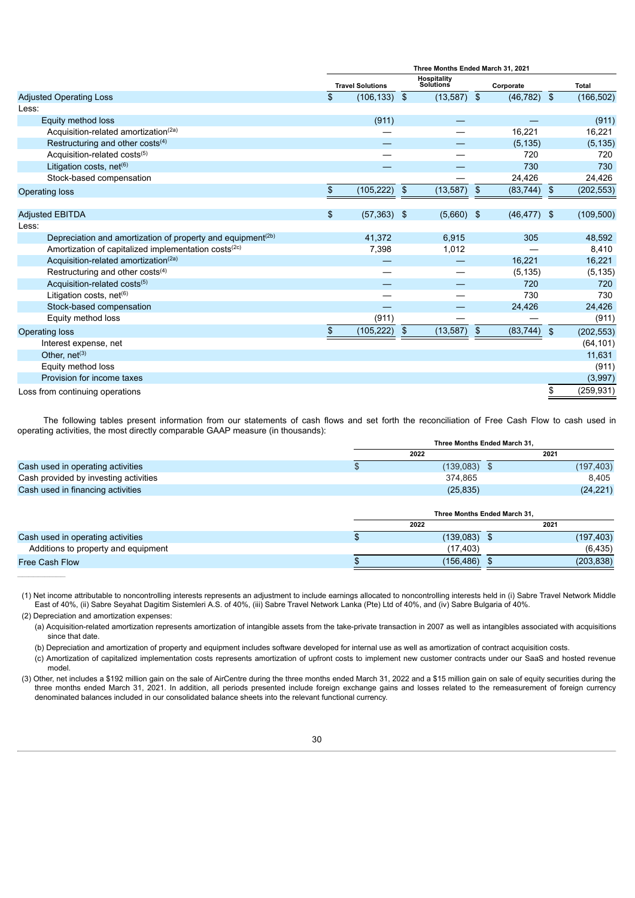|                                                                         | Three Months Ended March 31, 2021 |                         |               |                                        |               |                |    |              |
|-------------------------------------------------------------------------|-----------------------------------|-------------------------|---------------|----------------------------------------|---------------|----------------|----|--------------|
|                                                                         |                                   | <b>Travel Solutions</b> |               | <b>Hospitality</b><br><b>Solutions</b> |               | Corporate      |    | <b>Total</b> |
| <b>Adjusted Operating Loss</b>                                          | \$                                | $(106, 133)$ \$         |               | (13, 587)                              | $\sqrt[6]{3}$ | $(46, 782)$ \$ |    | (166, 502)   |
| Less:                                                                   |                                   |                         |               |                                        |               |                |    |              |
| Equity method loss                                                      |                                   | (911)                   |               |                                        |               |                |    | (911)        |
| Acquisition-related amortization <sup>(2a)</sup>                        |                                   |                         |               |                                        |               | 16,221         |    | 16,221       |
| Restructuring and other costs <sup>(4)</sup>                            |                                   |                         |               |                                        |               | (5, 135)       |    | (5, 135)     |
| Acquisition-related costs(5)                                            |                                   |                         |               |                                        |               | 720            |    | 720          |
| Litigation costs, $net^{(6)}$                                           |                                   |                         |               |                                        |               | 730            |    | 730          |
| Stock-based compensation                                                |                                   |                         |               |                                        |               | 24,426         |    | 24,426       |
| <b>Operating loss</b>                                                   | \$                                | (105, 222)              | $\frac{3}{2}$ | (13, 587)                              | \$            | (83, 744)      | \$ | (202, 553)   |
|                                                                         |                                   |                         |               |                                        |               |                |    |              |
| <b>Adjusted EBITDA</b>                                                  | \$                                | $(57,363)$ \$           |               | $(5,660)$ \$                           |               | $(46, 477)$ \$ |    | (109, 500)   |
| Less:                                                                   |                                   |                         |               |                                        |               |                |    |              |
| Depreciation and amortization of property and equipment <sup>(2b)</sup> |                                   | 41,372                  |               | 6,915                                  |               | 305            |    | 48,592       |
| Amortization of capitalized implementation costs <sup>(2c)</sup>        |                                   | 7,398                   |               | 1,012                                  |               |                |    | 8,410        |
| Acquisition-related amortization <sup>(2a)</sup>                        |                                   |                         |               |                                        |               | 16,221         |    | 16,221       |
| Restructuring and other costs <sup>(4)</sup>                            |                                   |                         |               |                                        |               | (5, 135)       |    | (5, 135)     |
| Acquisition-related costs <sup>(5)</sup>                                |                                   |                         |               |                                        |               | 720            |    | 720          |
| Litigation costs, $net^{(6)}$                                           |                                   |                         |               |                                        |               | 730            |    | 730          |
| Stock-based compensation                                                |                                   |                         |               |                                        |               | 24,426         |    | 24,426       |
| Equity method loss                                                      |                                   | (911)                   |               |                                        |               |                |    | (911)        |
| <b>Operating loss</b>                                                   | S                                 | (105, 222)              | \$            | (13, 587)                              | $\sqrt[6]{3}$ | $(83,744)$ \$  |    | (202, 553)   |
| Interest expense, net                                                   |                                   |                         |               |                                        |               |                |    | (64, 101)    |
| Other, $net^{(3)}$                                                      |                                   |                         |               |                                        |               |                |    | 11,631       |
| Equity method loss                                                      |                                   |                         |               |                                        |               |                |    | (911)        |
| Provision for income taxes                                              |                                   |                         |               |                                        |               |                |    | (3,997)      |
| Loss from continuing operations                                         |                                   |                         |               |                                        |               |                | \$ | (259, 931)   |

The following tables present information from our statements of cash flows and set forth the reconciliation of Free Cash Flow to cash used in operating activities, the most directly comparable GAAP measure (in thousands):

|                                       | Three Months Ended March 31. |            |  |  |
|---------------------------------------|------------------------------|------------|--|--|
|                                       | 2022                         | 2021       |  |  |
| Cash used in operating activities     | $(139,083)$ \$               | (197, 403) |  |  |
| Cash provided by investing activities | 374.865                      | 8.405      |  |  |
| Cash used in financing activities     | (25, 835)                    | (24, 221)  |  |  |
|                                       |                              |            |  |  |
|                                       | Three Months Ended March 31, |            |  |  |
|                                       | 0.000                        | <b>BBB</b> |  |  |

|                                     | 2022      | 2021       |
|-------------------------------------|-----------|------------|
| Cash used in operating activities   | (139.083) | (197, 403) |
| Additions to property and equipment | (17.403)  | (6.435)    |
| Free Cash Flow                      | (156.486) | (203, 838) |
|                                     |           |            |

(1) Net income attributable to noncontrolling interests represents an adjustment to include earnings allocated to noncontrolling interests held in (i) Sabre Travel Network Middle East of 40%, (ii) Sabre Seyahat Dagitim Sistemleri A.S. of 40%, (iii) Sabre Travel Network Lanka (Pte) Ltd of 40%, and (iv) Sabre Bulgaria of 40%.

(2) Depreciation and amortization expenses:

(a) Acquisition-related amortization represents amortization of intangible assets from the take-private transaction in 2007 as well as intangibles associated with acquisitions since that date.

(b) Depreciation and amortization of property and equipment includes software developed for internal use as well as amortization of contract acquisition costs.

(c) Amortization of capitalized implementation costs represents amortization of upfront costs to implement new customer contracts under our SaaS and hosted revenue model.

(3) Other, net includes a \$192 million gain on the sale of AirCentre during the three months ended March 31, 2022 and a \$15 million gain on sale of equity securities during the three months ended March 31, 2021. In addition, all periods presented include foreign exchange gains and losses related to the remeasurement of foreign currency denominated balances included in our consolidated balance sheets into the relevant functional currency.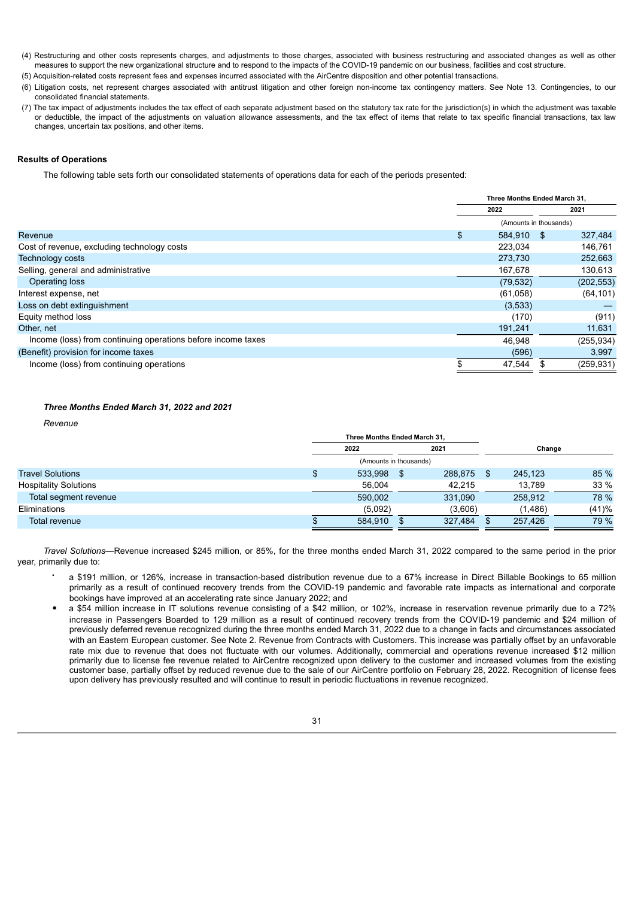- (4) Restructuring and other costs represents charges, and adjustments to those charges, associated with business restructuring and associated changes as well as other measures to support the new organizational structure and to respond to the impacts of the COVID-19 pandemic on our business, facilities and cost structure.
- (5) Acquisition-related costs represent fees and expenses incurred associated with the AirCentre disposition and other potential transactions.
- (6) Litigation costs, net represent charges associated with antitrust litigation and other foreign non-income tax contingency matters. See Note 13. Contingencies, to our consolidated financial statements.
- (7) The tax impact of adjustments includes the tax effect of each separate adjustment based on the statutory tax rate for the jurisdiction(s) in which the adjustment was taxable or deductible, the impact of the adjustments on valuation allowance assessments, and the tax effect of items that relate to tax specific financial transactions, tax law changes, uncertain tax positions, and other items.

#### **Results of Operations**

The following table sets forth our consolidated statements of operations data for each of the periods presented:

|                                                              |                  | Three Months Ended March 31, |            |  |  |  |
|--------------------------------------------------------------|------------------|------------------------------|------------|--|--|--|
|                                                              | 2022             |                              | 2021       |  |  |  |
|                                                              |                  | (Amounts in thousands)       |            |  |  |  |
| Revenue                                                      | \$<br>584.910 \$ |                              | 327,484    |  |  |  |
| Cost of revenue, excluding technology costs                  | 223.034          |                              | 146,761    |  |  |  |
| Technology costs                                             | 273,730          |                              | 252,663    |  |  |  |
| Selling, general and administrative                          | 167,678          |                              | 130,613    |  |  |  |
| Operating loss                                               | (79, 532)        |                              | (202, 553) |  |  |  |
| Interest expense, net                                        | (61,058)         |                              | (64, 101)  |  |  |  |
| Loss on debt extinguishment                                  | (3,533)          |                              |            |  |  |  |
| Equity method loss                                           | (170)            |                              | (911)      |  |  |  |
| Other, net                                                   | 191,241          |                              | 11,631     |  |  |  |
| Income (loss) from continuing operations before income taxes | 46.948           |                              | (255, 934) |  |  |  |
| (Benefit) provision for income taxes                         | (596)            |                              | 3,997      |  |  |  |
| Income (loss) from continuing operations                     | 47,544           |                              | (259, 931) |  |  |  |
|                                                              |                  |                              |            |  |  |  |

### *Three Months Ended March 31, 2022 and 2021*

*Revenue*

|                              | Three Months Ended March 31, |         |     |         |  |         |       |
|------------------------------|------------------------------|---------|-----|---------|--|---------|-------|
|                              |                              | 2022    |     | 2021    |  | Change  |       |
|                              | (Amounts in thousands)       |         |     |         |  |         |       |
| <b>Travel Solutions</b>      | S                            | 533,998 | \$. | 288,875 |  | 245,123 | 85 %  |
| <b>Hospitality Solutions</b> |                              | 56.004  |     | 42.215  |  | 13.789  | 33 %  |
| Total segment revenue        |                              | 590.002 |     | 331.090 |  | 258.912 | 78 %  |
| Eliminations                 |                              | (5,092) |     | (3,606) |  | (1,486) | (41)% |
| Total revenue                |                              | 584.910 |     | 327,484 |  | 257.426 | 79 %  |

*Travel Solutions—*Revenue increased \$245 million, or 85%, for the three months ended March 31, 2022 compared to the same period in the prior year, primarily due to:

- a \$191 million, or 126%, increase in transaction-based distribution revenue due to a 67% increase in Direct Billable Bookings to 65 million primarily as a result of continued recovery trends from the COVID-19 pandemic and favorable rate impacts as international and corporate bookings have improved at an accelerating rate since January 2022; and *•*
- a \$54 million increase in IT solutions revenue consisting of a \$42 million, or 102%, increase in reservation revenue primarily due to a 72% increase in Passengers Boarded to 129 million as a result of continued recovery trends from the COVID-19 pandemic and \$24 million of previously deferred revenue recognized during the three months ended March 31, 2022 due to a change in facts and circumstances associated with an Eastern European customer. See Note 2. Revenue from Contracts with Customers. This increase was partially offset by an unfavorable rate mix due to revenue that does not fluctuate with our volumes. Additionally, commercial and operations revenue increased \$12 million primarily due to license fee revenue related to AirCentre recognized upon delivery to the customer and increased volumes from the existing customer base, partially offset by reduced revenue due to the sale of our AirCentre portfolio on February 28, 2022. Recognition of license fees upon delivery has previously resulted and will continue to result in periodic fluctuations in revenue recognized.
	- 31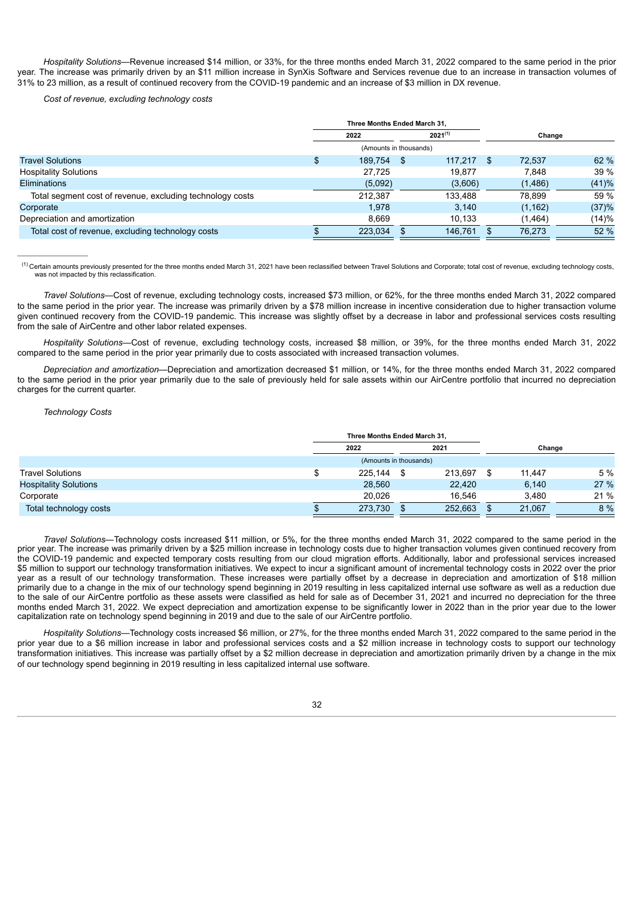*Hospitality Solutions—*Revenue increased \$14 million, or 33%, for the three months ended March 31, 2022 compared to the same period in the prior year. The increase was primarily driven by an \$11 million increase in SynXis Software and Services revenue due to an increase in transaction volumes of 31% to 23 million, as a result of continued recovery from the COVID-19 pandemic and an increase of \$3 million in DX revenue.

*Cost of revenue, excluding technology costs*

|                                                           | Three Months Ended March 31. |         |     |              |    |          |       |
|-----------------------------------------------------------|------------------------------|---------|-----|--------------|----|----------|-------|
|                                                           |                              | 2022    |     | $2021^{(1)}$ |    | Change   |       |
|                                                           | (Amounts in thousands)       |         |     |              |    |          |       |
| <b>Travel Solutions</b>                                   |                              | 189.754 | \$. | 117.217      | -S | 72,537   | 62 %  |
| <b>Hospitality Solutions</b>                              |                              | 27.725  |     | 19.877       |    | 7.848    | 39 %  |
| <b>Eliminations</b>                                       |                              | (5,092) |     | (3,606)      |    | (1,486)  | (41)% |
| Total segment cost of revenue, excluding technology costs |                              | 212.387 |     | 133.488      |    | 78.899   | 59 %  |
| Corporate                                                 |                              | 1,978   |     | 3.140        |    | (1, 162) | (37)% |
| Depreciation and amortization                             |                              | 8,669   |     | 10,133       |    | (1,464)  | (14)% |
| Total cost of revenue, excluding technology costs         |                              | 223.034 |     | 146,761      |    | 76,273   | 52 %  |

 $^{(1)}$  Certain amounts previously presented for the three months ended March 31, 2021 have been reclassified between Travel Solutions and Corporate; total cost of revenue, excluding technology costs, was not impacted by this reclassification.

*Travel Solutions—*Cost of revenue, excluding technology costs, increased \$73 million, or 62%, for the three months ended March 31, 2022 compared to the same period in the prior year. The increase was primarily driven by a \$78 million increase in incentive consideration due to higher transaction volume given continued recovery from the COVID-19 pandemic. This increase was slightly offset by a decrease in labor and professional services costs resulting from the sale of AirCentre and other labor related expenses.

*Hospitality Solutions—*Cost of revenue, excluding technology costs, increased \$8 million, or 39%, for the three months ended March 31, 2022 compared to the same period in the prior year primarily due to costs associated with increased transaction volumes.

*Depreciation and amortization*—Depreciation and amortization decreased \$1 million, or 14%, for the three months ended March 31, 2022 compared to the same period in the prior year primarily due to the sale of previously held for sale assets within our AirCentre portfolio that incurred no depreciation charges for the current quarter.

#### *Technology Costs*

|                              |                        | Three Months Ended March 31. |  |         |        |        |      |  |
|------------------------------|------------------------|------------------------------|--|---------|--------|--------|------|--|
|                              |                        | 2022                         |  | 2021    | Change |        |      |  |
|                              | (Amounts in thousands) |                              |  |         |        |        |      |  |
| <b>Travel Solutions</b>      | ъ                      | 225.144                      |  | 213,697 |        | 11.447 | 5 %  |  |
| <b>Hospitality Solutions</b> |                        | 28,560                       |  | 22,420  |        | 6,140  | 27 % |  |
| Corporate                    |                        | 20.026                       |  | 16.546  |        | 3.480  | 21 % |  |
| Total technology costs       |                        | 273,730                      |  | 252,663 |        | 21,067 | 8%   |  |

*Travel Solutions—*Technology costs increased \$11 million, or 5%, for the three months ended March 31, 2022 compared to the same period in the prior year. The increase was primarily driven by a \$25 million increase in technology costs due to higher transaction volumes given continued recovery from the COVID-19 pandemic and expected temporary costs resulting from our cloud migration efforts. Additionally, labor and professional services increased \$5 million to support our technology transformation initiatives. We expect to incur a significant amount of incremental technology costs in 2022 over the prior year as a result of our technology transformation. These increases were partially offset by a decrease in depreciation and amortization of \$18 million primarily due to a change in the mix of our technology spend beginning in 2019 resulting in less capitalized internal use software as well as a reduction due to the sale of our AirCentre portfolio as these assets were classified as held for sale as of December 31, 2021 and incurred no depreciation for the three months ended March 31, 2022. We expect depreciation and amortization expense to be significantly lower in 2022 than in the prior year due to the lower capitalization rate on technology spend beginning in 2019 and due to the sale of our AirCentre portfolio.

*Hospitality Solutions—*Technology costs increased \$6 million, or 27%, for the three months ended March 31, 2022 compared to the same period in the prior year due to a \$6 million increase in labor and professional services costs and a \$2 million increase in technology costs to support our technology transformation initiatives. This increase was partially offset by a \$2 million decrease in depreciation and amortization primarily driven by a change in the mix of our technology spend beginning in 2019 resulting in less capitalized internal use software.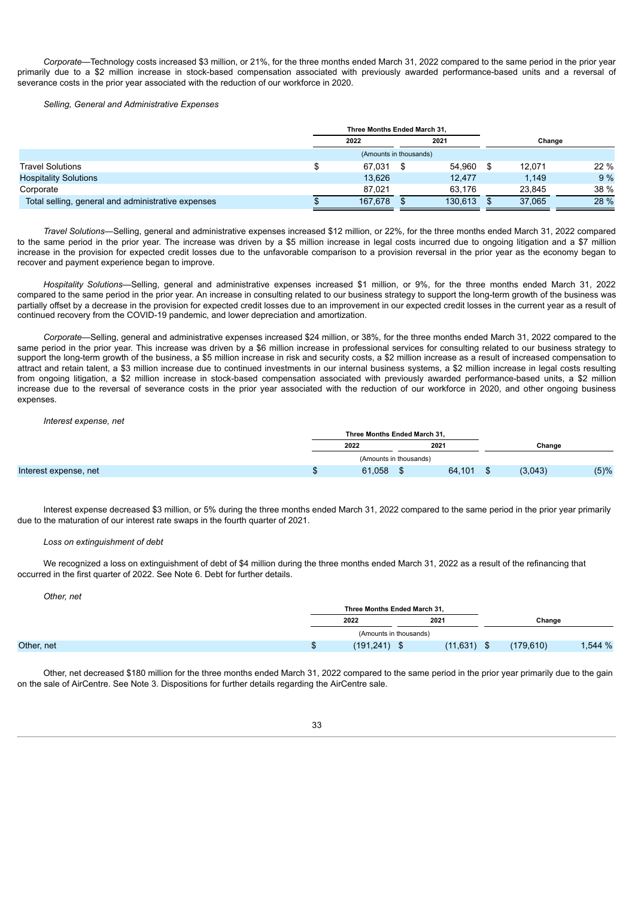*Corporate—*Technology costs increased \$3 million, or 21%, for the three months ended March 31, 2022 compared to the same period in the prior year primarily due to a \$2 million increase in stock-based compensation associated with previously awarded performance-based units and a reversal of severance costs in the prior year associated with the reduction of our workforce in 2020.

#### *Selling, General and Administrative Expenses*

|                                                    | Three Months Ended March 31. |  |         |  |        |      |
|----------------------------------------------------|------------------------------|--|---------|--|--------|------|
|                                                    | 2022                         |  | 2021    |  | Change |      |
|                                                    | (Amounts in thousands)       |  |         |  |        |      |
| <b>Travel Solutions</b>                            | 67.031                       |  | 54.960  |  | 12.071 | 22 % |
| <b>Hospitality Solutions</b>                       | 13.626                       |  | 12.477  |  | 1.149  | 9%   |
| Corporate                                          | 87.021                       |  | 63.176  |  | 23.845 | 38 % |
| Total selling, general and administrative expenses | 167.678                      |  | 130.613 |  | 37.065 | 28 % |

*Travel Solutions—*Selling, general and administrative expenses increased \$12 million, or 22%, for the three months ended March 31, 2022 compared to the same period in the prior year. The increase was driven by a \$5 million increase in legal costs incurred due to ongoing litigation and a \$7 million increase in the provision for expected credit losses due to the unfavorable comparison to a provision reversal in the prior year as the economy began to recover and payment experience began to improve.

*Hospitality Solutions—*Selling, general and administrative expenses increased \$1 million, or 9%, for the three months ended March 31, 2022 compared to the same period in the prior year. An increase in consulting related to our business strategy to support the long-term growth of the business was partially offset by a decrease in the provision for expected credit losses due to an improvement in our expected credit losses in the current year as a result of continued recovery from the COVID-19 pandemic, and lower depreciation and amortization.

*Corporate—*Selling, general and administrative expenses increased \$24 million, or 38%, for the three months ended March 31, 2022 compared to the same period in the prior year. This increase was driven by a \$6 million increase in professional services for consulting related to our business strategy to support the long-term growth of the business, a \$5 million increase in risk and security costs, a \$2 million increase as a result of increased compensation to attract and retain talent, a \$3 million increase due to continued investments in our internal business systems, a \$2 million increase in legal costs resulting from ongoing litigation, a \$2 million increase in stock-based compensation associated with previously awarded performance-based units, a \$2 million increase due to the reversal of severance costs in the prior year associated with the reduction of our workforce in 2020, and other ongoing business expenses.

#### *Interest expense, net*

| Three Months Ended March 31, |                        |  |        |        |         |      |
|------------------------------|------------------------|--|--------|--------|---------|------|
|                              | 2021<br>2022           |  |        | Change |         |      |
|                              | (Amounts in thousands) |  |        |        |         |      |
|                              | 61,058                 |  | 64,101 |        | (3,043) | (5)% |
|                              |                        |  |        |        |         |      |

Interest expense decreased \$3 million, or 5% during the three months ended March 31, 2022 compared to the same period in the prior year primarily due to the maturation of our interest rate swaps in the fourth quarter of 2021.

#### *Loss on extinguishment of debt*

*Other, net*

We recognized a loss on extinguishment of debt of \$4 million during the three months ended March 31, 2022 as a result of the refinancing that occurred in the first quarter of 2022. See Note 6. Debt for further details.

| <i><b>Other, het</b></i> |                              |               |        |           |         |
|--------------------------|------------------------------|---------------|--------|-----------|---------|
|                          | Three Months Ended March 31, |               |        |           |         |
|                          | 2022                         | 2021          | Change |           |         |
|                          | (Amounts in thousands)       |               |        |           |         |
| Other, net               | (191, 241)                   | $(11.631)$ \$ |        | (179.610) | 1,544 % |
|                          |                              |               |        |           |         |

Other, net decreased \$180 million for the three months ended March 31, 2022 compared to the same period in the prior year primarily due to the gain on the sale of AirCentre. See Note 3. Dispositions for further details regarding the AirCentre sale.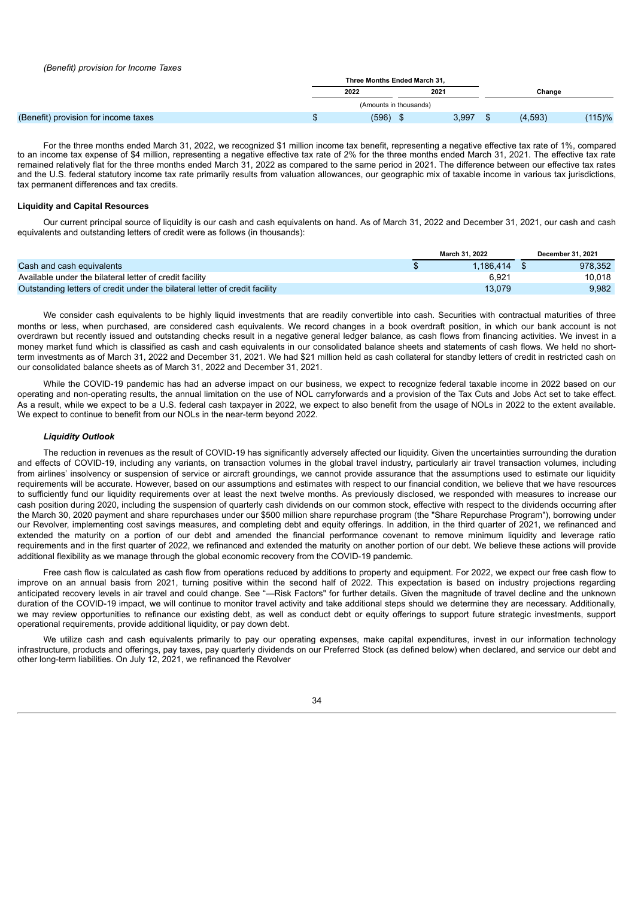|                                      | Three Months Ended March 31, |                        |       |  |         |        |  |  |
|--------------------------------------|------------------------------|------------------------|-------|--|---------|--------|--|--|
|                                      | 2022<br>2021                 |                        |       |  | Change  |        |  |  |
|                                      |                              | (Amounts in thousands) |       |  |         |        |  |  |
| (Benefit) provision for income taxes | (596)                        |                        | 3.997 |  | (4.593) | (115)% |  |  |
|                                      |                              |                        |       |  |         |        |  |  |

For the three months ended March 31, 2022, we recognized \$1 million income tax benefit, representing a negative effective tax rate of 1%, compared to an income tax expense of \$4 million, representing a negative effective tax rate of 2% for the three months ended March 31, 2021. The effective tax rate remained relatively flat for the three months ended March 31, 2022 as compared to the same period in 2021. The difference between our effective tax rates and the U.S. federal statutory income tax rate primarily results from valuation allowances, our geographic mix of taxable income in various tax jurisdictions, tax permanent differences and tax credits.

#### **Liquidity and Capital Resources**

Our current principal source of liquidity is our cash and cash equivalents on hand. As of March 31, 2022 and December 31, 2021, our cash and cash equivalents and outstanding letters of credit were as follows (in thousands):

|                                                                             | March 31, 2022 |           |  | December 31, 2021 |  |
|-----------------------------------------------------------------------------|----------------|-----------|--|-------------------|--|
| Cash and cash equivalents                                                   |                | 1.186.414 |  | 978.352           |  |
| Available under the bilateral letter of credit facility                     |                | 6.921     |  | 10.018            |  |
| Outstanding letters of credit under the bilateral letter of credit facility |                | 13.079    |  | 9.982             |  |

We consider cash equivalents to be highly liquid investments that are readily convertible into cash. Securities with contractual maturities of three months or less, when purchased, are considered cash equivalents. We record changes in a book overdraft position, in which our bank account is not overdrawn but recently issued and outstanding checks result in a negative general ledger balance, as cash flows from financing activities. We invest in a money market fund which is classified as cash and cash equivalents in our consolidated balance sheets and statements of cash flows. We held no shortterm investments as of March 31, 2022 and December 31, 2021. We had \$21 million held as cash collateral for standby letters of credit in restricted cash on our consolidated balance sheets as of March 31, 2022 and December 31, 2021.

While the COVID-19 pandemic has had an adverse impact on our business, we expect to recognize federal taxable income in 2022 based on our operating and non-operating results, the annual limitation on the use of NOL carryforwards and a provision of the Tax Cuts and Jobs Act set to take effect. As a result, while we expect to be a U.S. federal cash taxpayer in 2022, we expect to also benefit from the usage of NOLs in 2022 to the extent available. We expect to continue to benefit from our NOLs in the near-term beyond 2022.

#### *Liquidity Outlook*

The reduction in revenues as the result of COVID-19 has significantly adversely affected our liquidity. Given the uncertainties surrounding the duration and effects of COVID-19, including any variants, on transaction volumes in the global travel industry, particularly air travel transaction volumes, including from airlines' insolvency or suspension of service or aircraft groundings, we cannot provide assurance that the assumptions used to estimate our liquidity requirements will be accurate. However, based on our assumptions and estimates with respect to our financial condition, we believe that we have resources to sufficiently fund our liquidity requirements over at least the next twelve months. As previously disclosed, we responded with measures to increase our cash position during 2020, including the suspension of quarterly cash dividends on our common stock, effective with respect to the dividends occurring after the March 30, 2020 payment and share repurchases under our \$500 million share repurchase program (the "Share Repurchase Program"), borrowing under our Revolver, implementing cost savings measures, and completing debt and equity offerings. In addition, in the third quarter of 2021, we refinanced and extended the maturity on a portion of our debt and amended the financial performance covenant to remove minimum liquidity and leverage ratio requirements and in the first quarter of 2022, we refinanced and extended the maturity on another portion of our debt. We believe these actions will provide additional flexibility as we manage through the global economic recovery from the COVID-19 pandemic.

Free cash flow is calculated as cash flow from operations reduced by additions to property and equipment. For 2022, we expect our free cash flow to improve on an annual basis from 2021, turning positive within the second half of 2022. This expectation is based on industry projections regarding anticipated recovery levels in air travel and could change. See "—Risk Factors" for further details. Given the magnitude of travel decline and the unknown duration of the COVID-19 impact, we will continue to monitor travel activity and take additional steps should we determine they are necessary. Additionally, we may review opportunities to refinance our existing debt, as well as conduct debt or equity offerings to support future strategic investments, support operational requirements, provide additional liquidity, or pay down debt.

We utilize cash and cash equivalents primarily to pay our operating expenses, make capital expenditures, invest in our information technology infrastructure, products and offerings, pay taxes, pay quarterly dividends on our Preferred Stock (as defined below) when declared, and service our debt and other long-term liabilities. On July 12, 2021, we refinanced the Revolver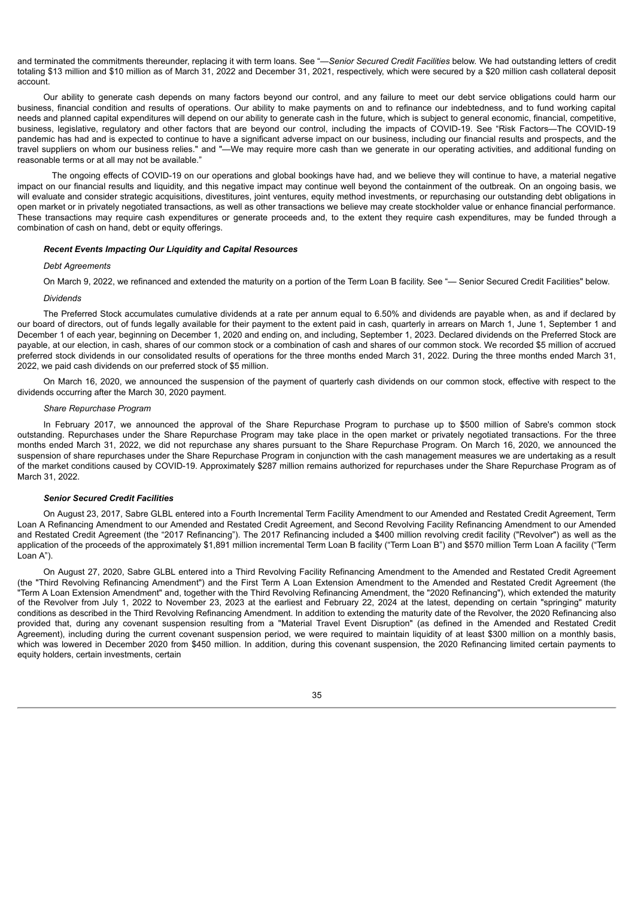and terminated the commitments thereunder, replacing it with term loans. See "—*Senior Secured Credit Facilities* below. We had outstanding letters of credit totaling \$13 million and \$10 million as of March 31, 2022 and December 31, 2021, respectively, which were secured by a \$20 million cash collateral deposit account.

Our ability to generate cash depends on many factors beyond our control, and any failure to meet our debt service obligations could harm our business, financial condition and results of operations. Our ability to make payments on and to refinance our indebtedness, and to fund working capital needs and planned capital expenditures will depend on our ability to generate cash in the future, which is subject to general economic, financial, competitive, business, legislative, regulatory and other factors that are beyond our control, including the impacts of COVID-19. See "Risk Factors—The COVID-19 pandemic has had and is expected to continue to have a significant adverse impact on our business, including our financial results and prospects, and the travel suppliers on whom our business relies." and "—We may require more cash than we generate in our operating activities, and additional funding on reasonable terms or at all may not be available."

The ongoing effects of COVID-19 on our operations and global bookings have had, and we believe they will continue to have, a material negative impact on our financial results and liquidity, and this negative impact may continue well beyond the containment of the outbreak. On an ongoing basis, we will evaluate and consider strategic acquisitions, divestitures, joint ventures, equity method investments, or repurchasing our outstanding debt obligations in open market or in privately negotiated transactions, as well as other transactions we believe may create stockholder value or enhance financial performance. These transactions may require cash expenditures or generate proceeds and, to the extent they require cash expenditures, may be funded through a combination of cash on hand, debt or equity offerings.

#### *Recent Events Impacting Our Liquidity and Capital Resources*

#### *Debt Agreements*

On March 9, 2022, we refinanced and extended the maturity on a portion of the Term Loan B facility. See "— Senior Secured Credit Facilities" below.

#### *Dividends*

The Preferred Stock accumulates cumulative dividends at a rate per annum equal to 6.50% and dividends are payable when, as and if declared by our board of directors, out of funds legally available for their payment to the extent paid in cash, quarterly in arrears on March 1, June 1, September 1 and December 1 of each year, beginning on December 1, 2020 and ending on, and including, September 1, 2023. Declared dividends on the Preferred Stock are payable, at our election, in cash, shares of our common stock or a combination of cash and shares of our common stock. We recorded \$5 million of accrued preferred stock dividends in our consolidated results of operations for the three months ended March 31, 2022. During the three months ended March 31, 2022, we paid cash dividends on our preferred stock of \$5 million.

On March 16, 2020, we announced the suspension of the payment of quarterly cash dividends on our common stock, effective with respect to the dividends occurring after the March 30, 2020 payment.

#### *Share Repurchase Program*

In February 2017, we announced the approval of the Share Repurchase Program to purchase up to \$500 million of Sabre's common stock outstanding. Repurchases under the Share Repurchase Program may take place in the open market or privately negotiated transactions. For the three months ended March 31, 2022, we did not repurchase any shares pursuant to the Share Repurchase Program. On March 16, 2020, we announced the suspension of share repurchases under the Share Repurchase Program in conjunction with the cash management measures we are undertaking as a result of the market conditions caused by COVID-19. Approximately \$287 million remains authorized for repurchases under the Share Repurchase Program as of March 31, 2022.

#### *Senior Secured Credit Facilities*

On August 23, 2017, Sabre GLBL entered into a Fourth Incremental Term Facility Amendment to our Amended and Restated Credit Agreement, Term Loan A Refinancing Amendment to our Amended and Restated Credit Agreement, and Second Revolving Facility Refinancing Amendment to our Amended and Restated Credit Agreement (the "2017 Refinancing"). The 2017 Refinancing included a \$400 million revolving credit facility ("Revolver") as well as the application of the proceeds of the approximately \$1,891 million incremental Term Loan B facility ("Term Loan B") and \$570 million Term Loan A facility ("Term Loan A").

On August 27, 2020, Sabre GLBL entered into a Third Revolving Facility Refinancing Amendment to the Amended and Restated Credit Agreement (the "Third Revolving Refinancing Amendment") and the First Term A Loan Extension Amendment to the Amended and Restated Credit Agreement (the "Term A Loan Extension Amendment" and, together with the Third Revolving Refinancing Amendment, the "2020 Refinancing"), which extended the maturity of the Revolver from July 1, 2022 to November 23, 2023 at the earliest and February 22, 2024 at the latest, depending on certain "springing" maturity conditions as described in the Third Revolving Refinancing Amendment. In addition to extending the maturity date of the Revolver, the 2020 Refinancing also provided that, during any covenant suspension resulting from a "Material Travel Event Disruption" (as defined in the Amended and Restated Credit Agreement), including during the current covenant suspension period, we were required to maintain liquidity of at least \$300 million on a monthly basis, which was lowered in December 2020 from \$450 million. In addition, during this covenant suspension, the 2020 Refinancing limited certain payments to equity holders, certain investments, certain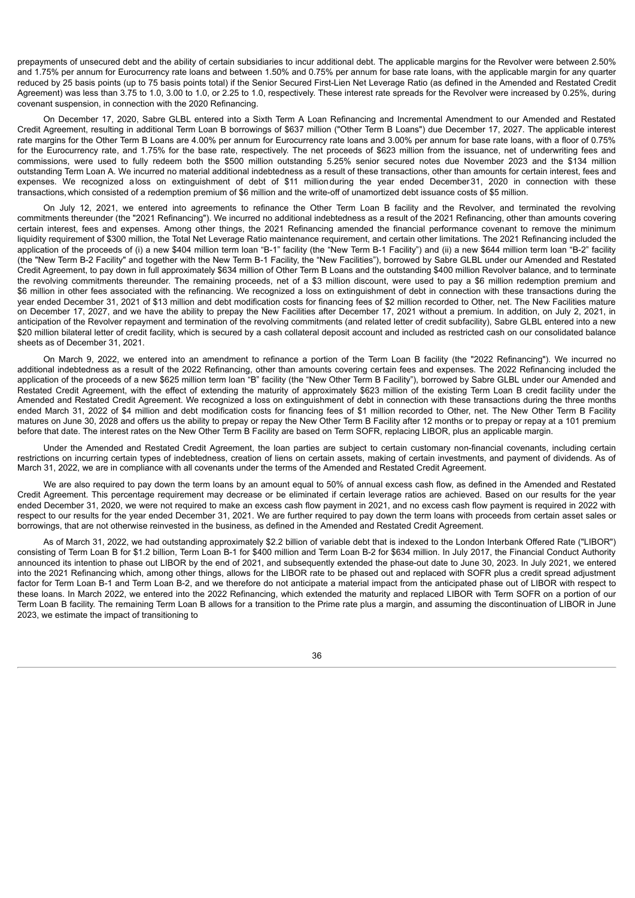prepayments of unsecured debt and the ability of certain subsidiaries to incur additional debt. The applicable margins for the Revolver were between 2.50% and 1.75% per annum for Eurocurrency rate loans and between 1.50% and 0.75% per annum for base rate loans, with the applicable margin for any quarter reduced by 25 basis points (up to 75 basis points total) if the Senior Secured First-Lien Net Leverage Ratio (as defined in the Amended and Restated Credit Agreement) was less than 3.75 to 1.0, 3.00 to 1.0, or 2.25 to 1.0, respectively. These interest rate spreads for the Revolver were increased by 0.25%, during covenant suspension, in connection with the 2020 Refinancing.

On December 17, 2020, Sabre GLBL entered into a Sixth Term A Loan Refinancing and Incremental Amendment to our Amended and Restated Credit Agreement, resulting in additional Term Loan B borrowings of \$637 million ("Other Term B Loans") due December 17, 2027. The applicable interest rate margins for the Other Term B Loans are 4.00% per annum for Eurocurrency rate loans and 3.00% per annum for base rate loans, with a floor of 0.75% for the Eurocurrency rate, and 1.75% for the base rate, respectively. The net proceeds of \$623 million from the issuance, net of underwriting fees and commissions, were used to fully redeem both the \$500 million outstanding 5.25% senior secured notes due November 2023 and the \$134 million outstanding Term Loan A. We incurred no material additional indebtedness as a result of these transactions, other than amounts for certain interest, fees and expenses. We recognized aloss on extinguishment of debt of \$11 million during the year ended December 31, 2020 in connection with these transactions,which consisted of a redemption premium of \$6 million and the write-off of unamortized debt issuance costs of \$5 million.

On July 12, 2021, we entered into agreements to refinance the Other Term Loan B facility and the Revolver, and terminated the revolving commitments thereunder (the "2021 Refinancing"). We incurred no additional indebtedness as a result of the 2021 Refinancing, other than amounts covering certain interest, fees and expenses. Among other things, the 2021 Refinancing amended the financial performance covenant to remove the minimum liquidity requirement of \$300 million, the Total Net Leverage Ratio maintenance requirement, and certain other limitations. The 2021 Refinancing included the application of the proceeds of (i) a new \$404 million term loan "B-1" facility (the "New Term B-1 Facility") and (ii) a new \$644 million term loan "B-2" facility (the "New Term B-2 Facility" and together with the New Term B-1 Facility, the "New Facilities"), borrowed by Sabre GLBL under our Amended and Restated Credit Agreement, to pay down in full approximately \$634 million of Other Term B Loans and the outstanding \$400 million Revolver balance, and to terminate the revolving commitments thereunder. The remaining proceeds, net of a \$3 million discount, were used to pay a \$6 million redemption premium and \$6 million in other fees associated with the refinancing. We recognized a loss on extinguishment of debt in connection with these transactions during the year ended December 31, 2021 of \$13 million and debt modification costs for financing fees of \$2 million recorded to Other, net. The New Facilities mature on December 17, 2027, and we have the ability to prepay the New Facilities after December 17, 2021 without a premium. In addition, on July 2, 2021, in anticipation of the Revolver repayment and termination of the revolving commitments (and related letter of credit subfacility), Sabre GLBL entered into a new \$20 million bilateral letter of credit facility, which is secured by a cash collateral deposit account and included as restricted cash on our consolidated balance sheets as of December 31, 2021.

On March 9, 2022, we entered into an amendment to refinance a portion of the Term Loan B facility (the "2022 Refinancing"). We incurred no additional indebtedness as a result of the 2022 Refinancing, other than amounts covering certain fees and expenses. The 2022 Refinancing included the application of the proceeds of a new \$625 million term loan "B" facility (the "New Other Term B Facility"), borrowed by Sabre GLBL under our Amended and Restated Credit Agreement, with the effect of extending the maturity of approximately \$623 million of the existing Term Loan B credit facility under the Amended and Restated Credit Agreement. We recognized a loss on extinguishment of debt in connection with these transactions during the three months ended March 31, 2022 of \$4 million and debt modification costs for financing fees of \$1 million recorded to Other, net. The New Other Term B Facility matures on June 30, 2028 and offers us the ability to prepay or repay the New Other Term B Facility after 12 months or to prepay or repay at a 101 premium before that date. The interest rates on the New Other Term B Facility are based on Term SOFR, replacing LIBOR, plus an applicable margin.

Under the Amended and Restated Credit Agreement, the loan parties are subject to certain customary non-financial covenants, including certain restrictions on incurring certain types of indebtedness, creation of liens on certain assets, making of certain investments, and payment of dividends. As of March 31, 2022, we are in compliance with all covenants under the terms of the Amended and Restated Credit Agreement.

We are also required to pay down the term loans by an amount equal to 50% of annual excess cash flow, as defined in the Amended and Restated Credit Agreement. This percentage requirement may decrease or be eliminated if certain leverage ratios are achieved. Based on our results for the year ended December 31, 2020, we were not required to make an excess cash flow payment in 2021, and no excess cash flow payment is required in 2022 with respect to our results for the year ended December 31, 2021. We are further required to pay down the term loans with proceeds from certain asset sales or borrowings, that are not otherwise reinvested in the business, as defined in the Amended and Restated Credit Agreement.

As of March 31, 2022, we had outstanding approximately \$2.2 billion of variable debt that is indexed to the London Interbank Offered Rate ("LIBOR") consisting of Term Loan B for \$1.2 billion, Term Loan B-1 for \$400 million and Term Loan B-2 for \$634 million. In July 2017, the Financial Conduct Authority announced its intention to phase out LIBOR by the end of 2021, and subsequently extended the phase-out date to June 30, 2023. In July 2021, we entered into the 2021 Refinancing which, among other things, allows for the LIBOR rate to be phased out and replaced with SOFR plus a credit spread adjustment factor for Term Loan B-1 and Term Loan B-2, and we therefore do not anticipate a material impact from the anticipated phase out of LIBOR with respect to these loans. In March 2022, we entered into the 2022 Refinancing, which extended the maturity and replaced LIBOR with Term SOFR on a portion of our Term Loan B facility. The remaining Term Loan B allows for a transition to the Prime rate plus a margin, and assuming the discontinuation of LIBOR in June 2023, we estimate the impact of transitioning to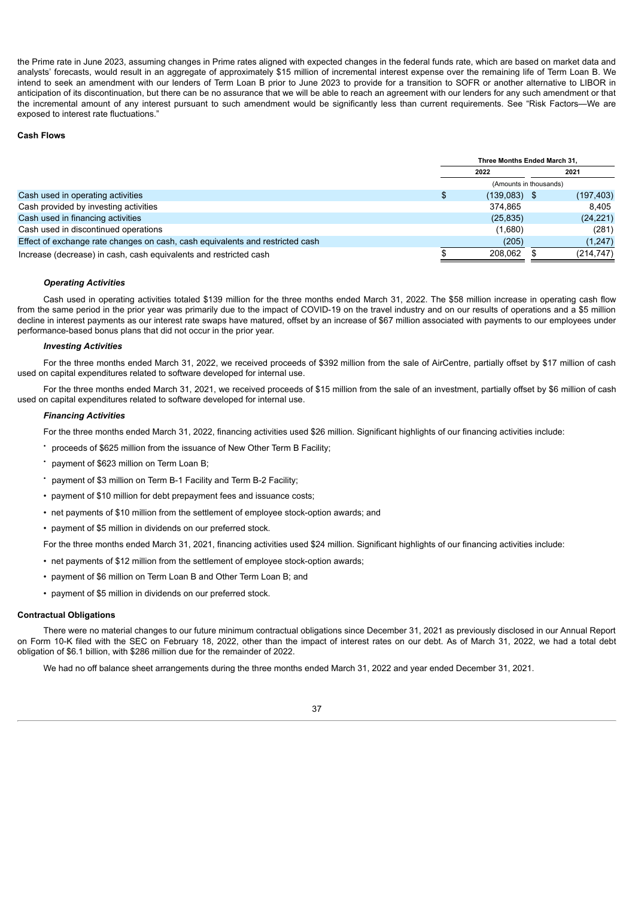the Prime rate in June 2023, assuming changes in Prime rates aligned with expected changes in the federal funds rate, which are based on market data and analysts' forecasts, would result in an aggregate of approximately \$15 million of incremental interest expense over the remaining life of Term Loan B. We intend to seek an amendment with our lenders of Term Loan B prior to June 2023 to provide for a transition to SOFR or another alternative to LIBOR in anticipation of its discontinuation, but there can be no assurance that we will be able to reach an agreement with our lenders for any such amendment or that the incremental amount of any interest pursuant to such amendment would be significantly less than current requirements. See "Risk Factors—We are exposed to interest rate fluctuations."

#### **Cash Flows**

|                                                                               | Three Months Ended March 31. |                        |            |  |  |
|-------------------------------------------------------------------------------|------------------------------|------------------------|------------|--|--|
|                                                                               | 2021<br>2022                 |                        |            |  |  |
|                                                                               |                              | (Amounts in thousands) |            |  |  |
| Cash used in operating activities                                             | $(139,083)$ \$               |                        | (197, 403) |  |  |
| Cash provided by investing activities                                         | 374.865                      |                        | 8.405      |  |  |
| Cash used in financing activities                                             | (25, 835)                    |                        | (24, 221)  |  |  |
| Cash used in discontinued operations                                          | (1,680)                      |                        | (281)      |  |  |
| Effect of exchange rate changes on cash, cash equivalents and restricted cash | (205)                        |                        | (1,247)    |  |  |
| Increase (decrease) in cash, cash equivalents and restricted cash             | 208.062                      |                        | (214, 747) |  |  |

#### *Operating Activities*

Cash used in operating activities totaled \$139 million for the three months ended March 31, 2022. The \$58 million increase in operating cash flow from the same period in the prior year was primarily due to the impact of COVID-19 on the travel industry and on our results of operations and a \$5 million decline in interest payments as our interest rate swaps have matured, offset by an increase of \$67 million associated with payments to our employees under performance-based bonus plans that did not occur in the prior year.

#### *Investing Activities*

For the three months ended March 31, 2022, we received proceeds of \$392 million from the sale of AirCentre, partially offset by \$17 million of cash used on capital expenditures related to software developed for internal use.

For the three months ended March 31, 2021, we received proceeds of \$15 million from the sale of an investment, partially offset by \$6 million of cash used on capital expenditures related to software developed for internal use.

#### *Financing Activities*

For the three months ended March 31, 2022, financing activities used \$26 million. Significant highlights of our financing activities include:

- proceeds of \$625 million from the issuance of New Other Term B Facility; *•*
- payment of \$623 million on Term Loan B; *•*
- payment of \$3 million on Term B-1 Facility and Term B-2 Facility; *•*
- payment of \$10 million for debt prepayment fees and issuance costs;
- net payments of \$10 million from the settlement of employee stock-option awards; and
- payment of \$5 million in dividends on our preferred stock.

For the three months ended March 31, 2021, financing activities used \$24 million. Significant highlights of our financing activities include:

- net payments of \$12 million from the settlement of employee stock-option awards;
- payment of \$6 million on Term Loan B and Other Term Loan B; and
- payment of \$5 million in dividends on our preferred stock.

#### **Contractual Obligations**

There were no material changes to our future minimum contractual obligations since December 31, 2021 as previously disclosed in our Annual Report on Form 10-K filed with the SEC on February 18, 2022, other than the impact of interest rates on our debt. As of March 31, 2022, we had a total debt obligation of \$6.1 billion, with \$286 million due for the remainder of 2022.

We had no off balance sheet arrangements during the three months ended March 31, 2022 and year ended December 31, 2021.

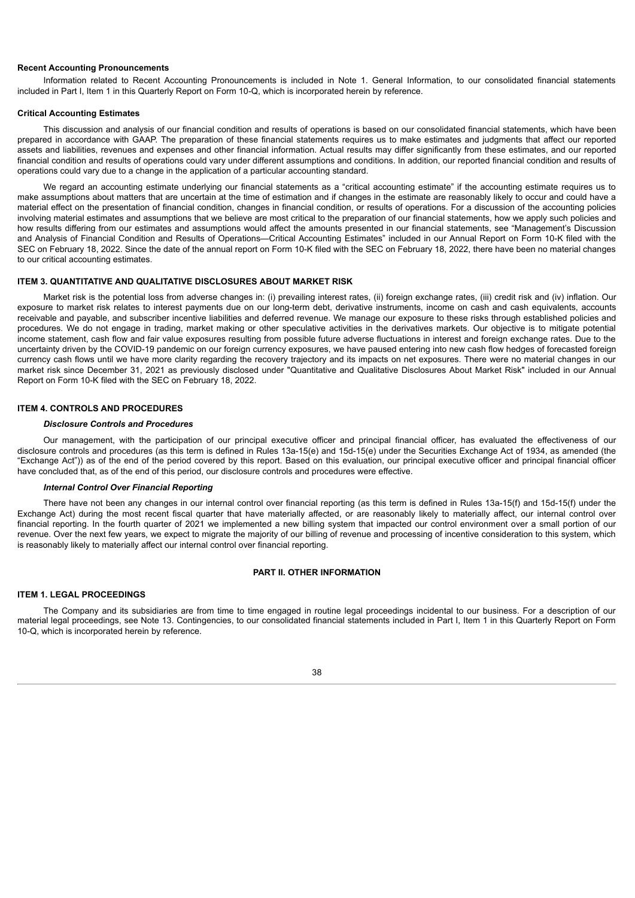#### **Recent Accounting Pronouncements**

Information related to Recent Accounting Pronouncements is included in Note 1. General Information, to our consolidated financial statements included in Part I, Item 1 in this Quarterly Report on Form 10-Q, which is incorporated herein by reference.

#### **Critical Accounting Estimates**

This discussion and analysis of our financial condition and results of operations is based on our consolidated financial statements, which have been prepared in accordance with GAAP. The preparation of these financial statements requires us to make estimates and judgments that affect our reported assets and liabilities, revenues and expenses and other financial information. Actual results may differ significantly from these estimates, and our reported financial condition and results of operations could vary under different assumptions and conditions. In addition, our reported financial condition and results of operations could vary due to a change in the application of a particular accounting standard.

We regard an accounting estimate underlying our financial statements as a "critical accounting estimate" if the accounting estimate requires us to make assumptions about matters that are uncertain at the time of estimation and if changes in the estimate are reasonably likely to occur and could have a material effect on the presentation of financial condition, changes in financial condition, or results of operations. For a discussion of the accounting policies involving material estimates and assumptions that we believe are most critical to the preparation of our financial statements, how we apply such policies and how results differing from our estimates and assumptions would affect the amounts presented in our financial statements, see "Management's Discussion and Analysis of Financial Condition and Results of Operations—Critical Accounting Estimates" included in our Annual Report on Form 10-K filed with the SEC on February 18, 2022. Since the date of the annual report on Form 10-K filed with the SEC on February 18, 2022, there have been no material changes to our critical accounting estimates.

#### <span id="page-39-0"></span>**ITEM 3. QUANTITATIVE AND QUALITATIVE DISCLOSURES ABOUT MARKET RISK**

Market risk is the potential loss from adverse changes in: (i) prevailing interest rates, (ii) foreign exchange rates, (iii) credit risk and (iv) inflation. Our exposure to market risk relates to interest payments due on our long-term debt, derivative instruments, income on cash and cash equivalents, accounts receivable and payable, and subscriber incentive liabilities and deferred revenue. We manage our exposure to these risks through established policies and procedures. We do not engage in trading, market making or other speculative activities in the derivatives markets. Our objective is to mitigate potential income statement, cash flow and fair value exposures resulting from possible future adverse fluctuations in interest and foreign exchange rates. Due to the uncertainty driven by the COVID-19 pandemic on our foreign currency exposures, we have paused entering into new cash flow hedges of forecasted foreign currency cash flows until we have more clarity regarding the recovery trajectory and its impacts on net exposures. There were no material changes in our market risk since December 31, 2021 as previously disclosed under "Quantitative and Qualitative Disclosures About Market Risk" included in our Annual Report on Form 10-K filed with the SEC on February 18, 2022.

#### <span id="page-39-1"></span>**ITEM 4. CONTROLS AND PROCEDURES**

#### *Disclosure Controls and Procedures*

Our management, with the participation of our principal executive officer and principal financial officer, has evaluated the effectiveness of our disclosure controls and procedures (as this term is defined in Rules 13a-15(e) and 15d-15(e) under the Securities Exchange Act of 1934, as amended (the "Exchange Act")) as of the end of the period covered by this report. Based on this evaluation, our principal executive officer and principal financial officer have concluded that, as of the end of this period, our disclosure controls and procedures were effective.

#### *Internal Control Over Financial Reporting*

There have not been any changes in our internal control over financial reporting (as this term is defined in Rules 13a-15(f) and 15d-15(f) under the Exchange Act) during the most recent fiscal quarter that have materially affected, or are reasonably likely to materially affect, our internal control over financial reporting. In the fourth quarter of 2021 we implemented a new billing system that impacted our control environment over a small portion of our revenue. Over the next few years, we expect to migrate the majority of our billing of revenue and processing of incentive consideration to this system, which is reasonably likely to materially affect our internal control over financial reporting.

#### **PART II. OTHER INFORMATION**

#### <span id="page-39-3"></span><span id="page-39-2"></span>**ITEM 1. LEGAL PROCEEDINGS**

<span id="page-39-4"></span>The Company and its subsidiaries are from time to time engaged in routine legal proceedings incidental to our business. For a description of our material legal proceedings, see Note 13. Contingencies, to our consolidated financial statements included in Part I, Item 1 in this Quarterly Report on Form 10-Q, which is incorporated herein by reference.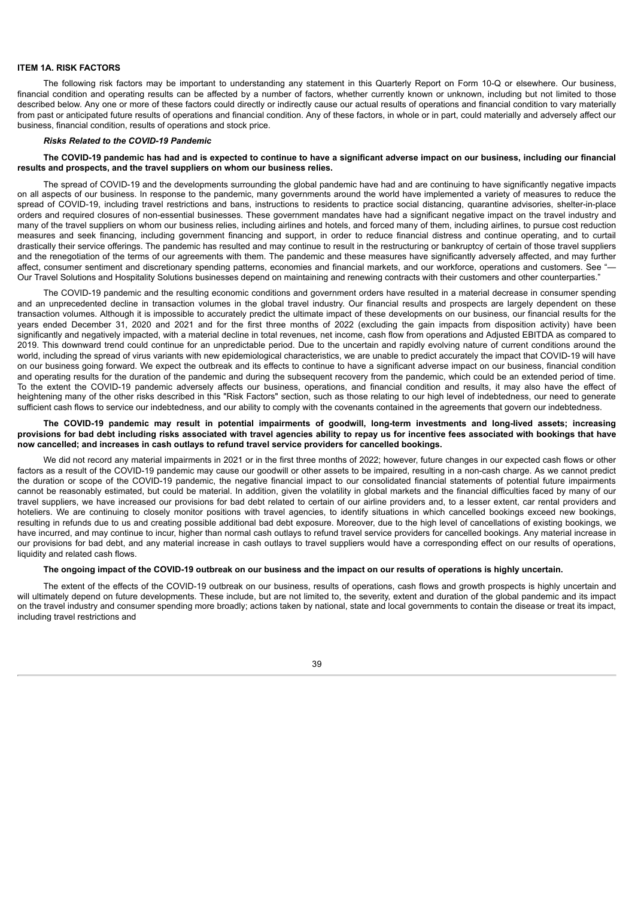#### **ITEM 1A. RISK FACTORS**

The following risk factors may be important to understanding any statement in this Quarterly Report on Form 10-Q or elsewhere. Our business, financial condition and operating results can be affected by a number of factors, whether currently known or unknown, including but not limited to those described below. Any one or more of these factors could directly or indirectly cause our actual results of operations and financial condition to vary materially from past or anticipated future results of operations and financial condition. Any of these factors, in whole or in part, could materially and adversely affect our business, financial condition, results of operations and stock price.

#### *Risks Related to the COVID-19 Pandemic*

#### **The COVID-19 pandemic has had and is expected to continue to have a significant adverse impact on our business, including our financial results and prospects, and the travel suppliers on whom our business relies.**

The spread of COVID-19 and the developments surrounding the global pandemic have had and are continuing to have significantly negative impacts on all aspects of our business. In response to the pandemic, many governments around the world have implemented a variety of measures to reduce the spread of COVID-19, including travel restrictions and bans, instructions to residents to practice social distancing, quarantine advisories, shelter-in-place orders and required closures of non-essential businesses. These government mandates have had a significant negative impact on the travel industry and many of the travel suppliers on whom our business relies, including airlines and hotels, and forced many of them, including airlines, to pursue cost reduction measures and seek financing, including government financing and support, in order to reduce financial distress and continue operating, and to curtail drastically their service offerings. The pandemic has resulted and may continue to result in the restructuring or bankruptcy of certain of those travel suppliers and the renegotiation of the terms of our agreements with them. The pandemic and these measures have significantly adversely affected, and may further affect, consumer sentiment and discretionary spending patterns, economies and financial markets, and our workforce, operations and customers. See "-Our Travel Solutions and Hospitality Solutions businesses depend on maintaining and renewing contracts with their customers and other counterparties."

The COVID-19 pandemic and the resulting economic conditions and government orders have resulted in a material decrease in consumer spending and an unprecedented decline in transaction volumes in the global travel industry. Our financial results and prospects are largely dependent on these transaction volumes. Although it is impossible to accurately predict the ultimate impact of these developments on our business, our financial results for the years ended December 31, 2020 and 2021 and for the first three months of 2022 (excluding the gain impacts from disposition activity) have been significantly and negatively impacted, with a material decline in total revenues, net income, cash flow from operations and Adjusted EBITDA as compared to 2019. This downward trend could continue for an unpredictable period. Due to the uncertain and rapidly evolving nature of current conditions around the world, including the spread of virus variants with new epidemiological characteristics, we are unable to predict accurately the impact that COVID-19 will have on our business going forward. We expect the outbreak and its effects to continue to have a significant adverse impact on our business, financial condition and operating results for the duration of the pandemic and during the subsequent recovery from the pandemic, which could be an extended period of time. To the extent the COVID-19 pandemic adversely affects our business, operations, and financial condition and results, it may also have the effect of heightening many of the other risks described in this "Risk Factors" section, such as those relating to our high level of indebtedness, our need to generate sufficient cash flows to service our indebtedness, and our ability to comply with the covenants contained in the agreements that govern our indebtedness.

#### **The COVID-19 pandemic may result in potential impairments of goodwill, long-term investments and long-lived assets; increasing provisions for bad debt including risks associated with travel agencies ability to repay us for incentive fees associated with bookings that have now cancelled; and increases in cash outlays to refund travel service providers for cancelled bookings.**

We did not record any material impairments in 2021 or in the first three months of 2022; however, future changes in our expected cash flows or other factors as a result of the COVID-19 pandemic may cause our goodwill or other assets to be impaired, resulting in a non-cash charge. As we cannot predict the duration or scope of the COVID-19 pandemic, the negative financial impact to our consolidated financial statements of potential future impairments cannot be reasonably estimated, but could be material. In addition, given the volatility in global markets and the financial difficulties faced by many of our travel suppliers, we have increased our provisions for bad debt related to certain of our airline providers and, to a lesser extent, car rental providers and hoteliers. We are continuing to closely monitor positions with travel agencies, to identify situations in which cancelled bookings exceed new bookings, resulting in refunds due to us and creating possible additional bad debt exposure. Moreover, due to the high level of cancellations of existing bookings, we have incurred, and may continue to incur, higher than normal cash outlays to refund travel service providers for cancelled bookings. Any material increase in our provisions for bad debt, and any material increase in cash outlays to travel suppliers would have a corresponding effect on our results of operations, liquidity and related cash flows.

#### **The ongoing impact of the COVID-19 outbreak on our business and the impact on our results of operations is highly uncertain.**

The extent of the effects of the COVID-19 outbreak on our business, results of operations, cash flows and growth prospects is highly uncertain and will ultimately depend on future developments. These include, but are not limited to, the severity, extent and duration of the global pandemic and its impact on the travel industry and consumer spending more broadly; actions taken by national, state and local governments to contain the disease or treat its impact, including travel restrictions and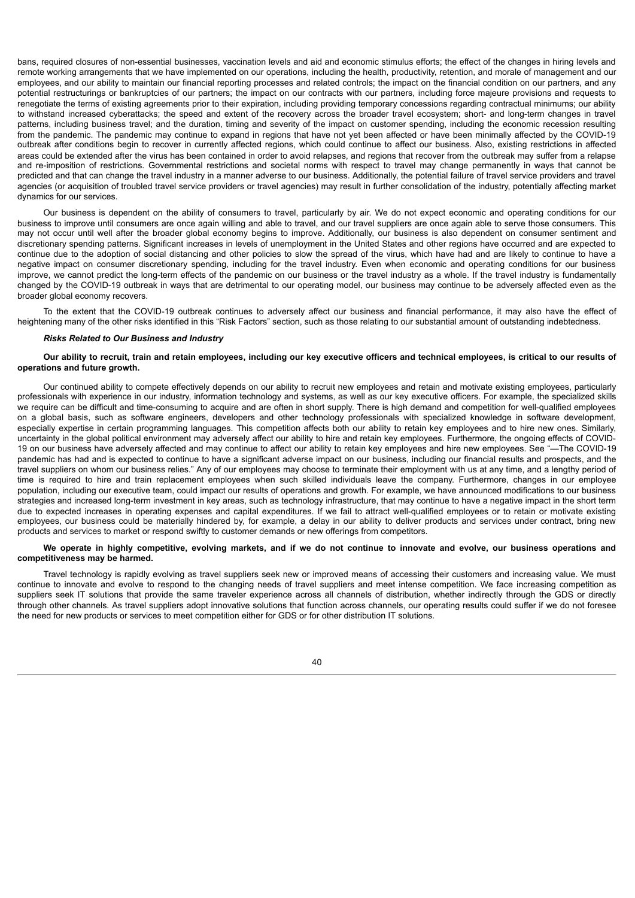bans, required closures of non-essential businesses, vaccination levels and aid and economic stimulus efforts; the effect of the changes in hiring levels and remote working arrangements that we have implemented on our operations, including the health, productivity, retention, and morale of management and our employees, and our ability to maintain our financial reporting processes and related controls; the impact on the financial condition on our partners, and any potential restructurings or bankruptcies of our partners; the impact on our contracts with our partners, including force majeure provisions and requests to renegotiate the terms of existing agreements prior to their expiration, including providing temporary concessions regarding contractual minimums; our ability to withstand increased cyberattacks; the speed and extent of the recovery across the broader travel ecosystem; short- and long-term changes in travel patterns, including business travel; and the duration, timing and severity of the impact on customer spending, including the economic recession resulting from the pandemic. The pandemic may continue to expand in regions that have not yet been affected or have been minimally affected by the COVID-19 outbreak after conditions begin to recover in currently affected regions, which could continue to affect our business. Also, existing restrictions in affected areas could be extended after the virus has been contained in order to avoid relapses, and regions that recover from the outbreak may suffer from a relapse and re-imposition of restrictions. Governmental restrictions and societal norms with respect to travel may change permanently in ways that cannot be predicted and that can change the travel industry in a manner adverse to our business. Additionally, the potential failure of travel service providers and travel agencies (or acquisition of troubled travel service providers or travel agencies) may result in further consolidation of the industry, potentially affecting market dynamics for our services.

Our business is dependent on the ability of consumers to travel, particularly by air. We do not expect economic and operating conditions for our business to improve until consumers are once again willing and able to travel, and our travel suppliers are once again able to serve those consumers. This may not occur until well after the broader global economy begins to improve. Additionally, our business is also dependent on consumer sentiment and discretionary spending patterns. Significant increases in levels of unemployment in the United States and other regions have occurred and are expected to continue due to the adoption of social distancing and other policies to slow the spread of the virus, which have had and are likely to continue to have a negative impact on consumer discretionary spending, including for the travel industry. Even when economic and operating conditions for our business improve, we cannot predict the long-term effects of the pandemic on our business or the travel industry as a whole. If the travel industry is fundamentally changed by the COVID-19 outbreak in ways that are detrimental to our operating model, our business may continue to be adversely affected even as the broader global economy recovers.

To the extent that the COVID-19 outbreak continues to adversely affect our business and financial performance, it may also have the effect of heightening many of the other risks identified in this "Risk Factors" section, such as those relating to our substantial amount of outstanding indebtedness.

#### *Risks Related to Our Business and Industry*

#### **Our ability to recruit, train and retain employees, including our key executive officers and technical employees, is critical to our results of operations and future growth.**

Our continued ability to compete effectively depends on our ability to recruit new employees and retain and motivate existing employees, particularly professionals with experience in our industry, information technology and systems, as well as our key executive officers. For example, the specialized skills we require can be difficult and time-consuming to acquire and are often in short supply. There is high demand and competition for well-qualified employees on a global basis, such as software engineers, developers and other technology professionals with specialized knowledge in software development, especially expertise in certain programming languages. This competition affects both our ability to retain key employees and to hire new ones. Similarly, uncertainty in the global political environment may adversely affect our ability to hire and retain key employees. Furthermore, the ongoing effects of COVID-19 on our business have adversely affected and may continue to affect our ability to retain key employees and hire new employees. See "—The COVID-19 pandemic has had and is expected to continue to have a significant adverse impact on our business, including our financial results and prospects, and the travel suppliers on whom our business relies." Any of our employees may choose to terminate their employment with us at any time, and a lengthy period of time is required to hire and train replacement employees when such skilled individuals leave the company. Furthermore, changes in our employee population, including our executive team, could impact our results of operations and growth. For example, we have announced modifications to our business strategies and increased long-term investment in key areas, such as technology infrastructure, that may continue to have a negative impact in the short term due to expected increases in operating expenses and capital expenditures. If we fail to attract well-qualified employees or to retain or motivate existing employees, our business could be materially hindered by, for example, a delay in our ability to deliver products and services under contract, bring new products and services to market or respond swiftly to customer demands or new offerings from competitors.

#### **We operate in highly competitive, evolving markets, and if we do not continue to innovate and evolve, our business operations and competitiveness may be harmed.**

Travel technology is rapidly evolving as travel suppliers seek new or improved means of accessing their customers and increasing value. We must continue to innovate and evolve to respond to the changing needs of travel suppliers and meet intense competition. We face increasing competition as suppliers seek IT solutions that provide the same traveler experience across all channels of distribution, whether indirectly through the GDS or directly through other channels. As travel suppliers adopt innovative solutions that function across channels, our operating results could suffer if we do not foresee the need for new products or services to meet competition either for GDS or for other distribution IT solutions.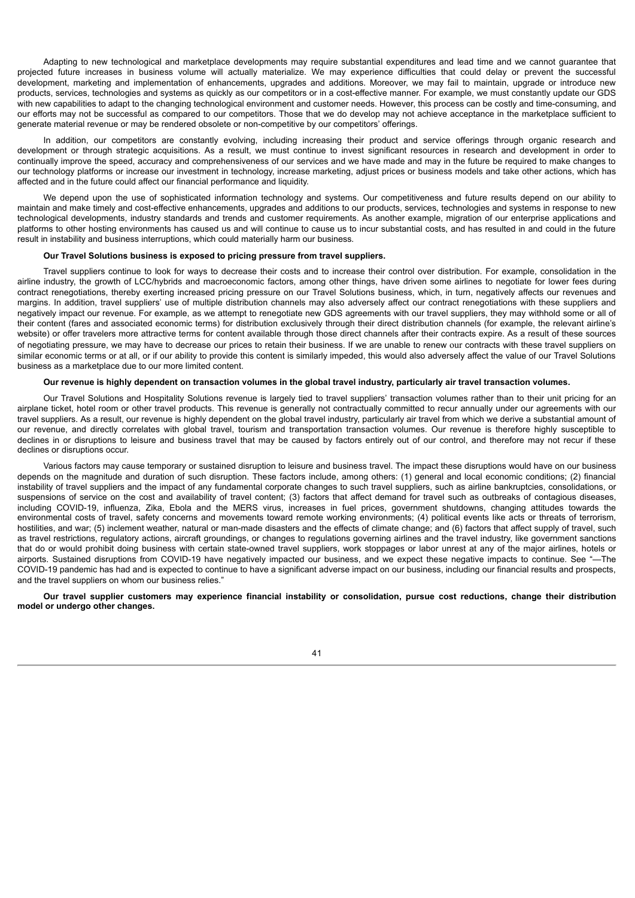Adapting to new technological and marketplace developments may require substantial expenditures and lead time and we cannot guarantee that projected future increases in business volume will actually materialize. We may experience difficulties that could delay or prevent the successful development, marketing and implementation of enhancements, upgrades and additions. Moreover, we may fail to maintain, upgrade or introduce new products, services, technologies and systems as quickly as our competitors or in a cost-effective manner. For example, we must constantly update our GDS with new capabilities to adapt to the changing technological environment and customer needs. However, this process can be costly and time-consuming, and our efforts may not be successful as compared to our competitors. Those that we do develop may not achieve acceptance in the marketplace sufficient to generate material revenue or may be rendered obsolete or non-competitive by our competitors' offerings.

In addition, our competitors are constantly evolving, including increasing their product and service offerings through organic research and development or through strategic acquisitions. As a result, we must continue to invest significant resources in research and development in order to continually improve the speed, accuracy and comprehensiveness of our services and we have made and may in the future be required to make changes to our technology platforms or increase our investment in technology, increase marketing, adjust prices or business models and take other actions, which has affected and in the future could affect our financial performance and liquidity.

We depend upon the use of sophisticated information technology and systems. Our competitiveness and future results depend on our ability to maintain and make timely and cost-effective enhancements, upgrades and additions to our products, services, technologies and systems in response to new technological developments, industry standards and trends and customer requirements. As another example, migration of our enterprise applications and platforms to other hosting environments has caused us and will continue to cause us to incur substantial costs, and has resulted in and could in the future result in instability and business interruptions, which could materially harm our business.

#### **Our Travel Solutions business is exposed to pricing pressure from travel suppliers.**

Travel suppliers continue to look for ways to decrease their costs and to increase their control over distribution. For example, consolidation in the airline industry, the growth of LCC/hybrids and macroeconomic factors, among other things, have driven some airlines to negotiate for lower fees during contract renegotiations, thereby exerting increased pricing pressure on our Travel Solutions business, which, in turn, negatively affects our revenues and margins. In addition, travel suppliers' use of multiple distribution channels may also adversely affect our contract renegotiations with these suppliers and negatively impact our revenue. For example, as we attempt to renegotiate new GDS agreements with our travel suppliers, they may withhold some or all of their content (fares and associated economic terms) for distribution exclusively through their direct distribution channels (for example, the relevant airline's website) or offer travelers more attractive terms for content available through those direct channels after their contracts expire. As a result of these sources of negotiating pressure, we may have to decrease our prices to retain their business. If we are unable to renew our contracts with these travel suppliers on similar economic terms or at all, or if our ability to provide this content is similarly impeded, this would also adversely affect the value of our Travel Solutions business as a marketplace due to our more limited content.

#### **Our revenue is highly dependent on transaction volumes in the global travel industry, particularly air travel transaction volumes.**

Our Travel Solutions and Hospitality Solutions revenue is largely tied to travel suppliers' transaction volumes rather than to their unit pricing for an airplane ticket, hotel room or other travel products. This revenue is generally not contractually committed to recur annually under our agreements with our travel suppliers. As a result, our revenue is highly dependent on the global travel industry, particularly air travel from which we derive a substantial amount of our revenue, and directly correlates with global travel, tourism and transportation transaction volumes. Our revenue is therefore highly susceptible to declines in or disruptions to leisure and business travel that may be caused by factors entirely out of our control, and therefore may not recur if these declines or disruptions occur.

Various factors may cause temporary or sustained disruption to leisure and business travel. The impact these disruptions would have on our business depends on the magnitude and duration of such disruption. These factors include, among others: (1) general and local economic conditions; (2) financial instability of travel suppliers and the impact of any fundamental corporate changes to such travel suppliers, such as airline bankruptcies, consolidations, or suspensions of service on the cost and availability of travel content; (3) factors that affect demand for travel such as outbreaks of contagious diseases, including COVID-19, influenza, Zika, Ebola and the MERS virus, increases in fuel prices, government shutdowns, changing attitudes towards the environmental costs of travel, safety concerns and movements toward remote working environments; (4) political events like acts or threats of terrorism, hostilities, and war; (5) inclement weather, natural or man-made disasters and the effects of climate change; and (6) factors that affect supply of travel, such as travel restrictions, regulatory actions, aircraft groundings, or changes to regulations governing airlines and the travel industry, like government sanctions that do or would prohibit doing business with certain state-owned travel suppliers, work stoppages or labor unrest at any of the major airlines, hotels or airports. Sustained disruptions from COVID-19 have negatively impacted our business, and we expect these negative impacts to continue. See "—The COVID-19 pandemic has had and is expected to continue to have a significant adverse impact on our business, including our financial results and prospects, and the travel suppliers on whom our business relies."

#### **Our travel supplier customers may experience financial instability or consolidation, pursue cost reductions, change their distribution model or undergo other changes.**

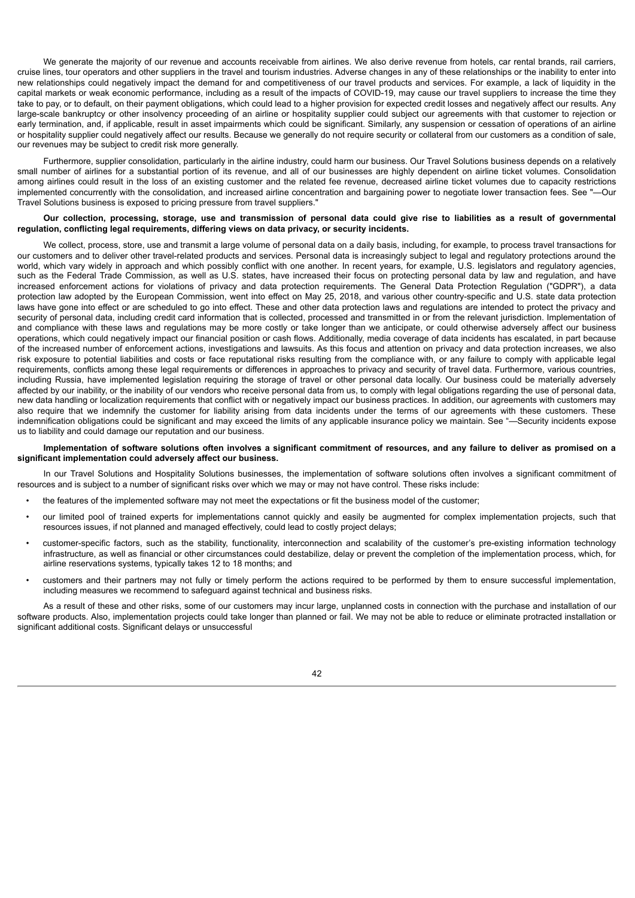We generate the majority of our revenue and accounts receivable from airlines. We also derive revenue from hotels, car rental brands, rail carriers, cruise lines, tour operators and other suppliers in the travel and tourism industries. Adverse changes in any of these relationships or the inability to enter into new relationships could negatively impact the demand for and competitiveness of our travel products and services. For example, a lack of liquidity in the capital markets or weak economic performance, including as a result of the impacts of COVID-19, may cause our travel suppliers to increase the time they take to pay, or to default, on their payment obligations, which could lead to a higher provision for expected credit losses and negatively affect our results. Any large-scale bankruptcy or other insolvency proceeding of an airline or hospitality supplier could subject our agreements with that customer to rejection or early termination, and, if applicable, result in asset impairments which could be significant. Similarly, any suspension or cessation of operations of an airline or hospitality supplier could negatively affect our results. Because we generally do not require security or collateral from our customers as a condition of sale, our revenues may be subject to credit risk more generally.

Furthermore, supplier consolidation, particularly in the airline industry, could harm our business. Our Travel Solutions business depends on a relatively small number of airlines for a substantial portion of its revenue, and all of our businesses are highly dependent on airline ticket volumes. Consolidation among airlines could result in the loss of an existing customer and the related fee revenue, decreased airline ticket volumes due to capacity restrictions implemented concurrently with the consolidation, and increased airline concentration and bargaining power to negotiate lower transaction fees. See "—Our Travel Solutions business is exposed to pricing pressure from travel suppliers."

#### **Our collection, processing, storage, use and transmission of personal data could give rise to liabilities as a result of governmental regulation, conflicting legal requirements, differing views on data privacy, or security incidents.**

We collect, process, store, use and transmit a large volume of personal data on a daily basis, including, for example, to process travel transactions for our customers and to deliver other travel-related products and services. Personal data is increasingly subject to legal and regulatory protections around the world, which vary widely in approach and which possibly conflict with one another. In recent years, for example, U.S. legislators and regulatory agencies, such as the Federal Trade Commission, as well as U.S. states, have increased their focus on protecting personal data by law and regulation, and have increased enforcement actions for violations of privacy and data protection requirements. The General Data Protection Regulation ("GDPR"), a data protection law adopted by the European Commission, went into effect on May 25, 2018, and various other country-specific and U.S. state data protection laws have gone into effect or are scheduled to go into effect. These and other data protection laws and regulations are intended to protect the privacy and security of personal data, including credit card information that is collected, processed and transmitted in or from the relevant jurisdiction. Implementation of and compliance with these laws and regulations may be more costly or take longer than we anticipate, or could otherwise adversely affect our business operations, which could negatively impact our financial position or cash flows. Additionally, media coverage of data incidents has escalated, in part because of the increased number of enforcement actions, investigations and lawsuits. As this focus and attention on privacy and data protection increases, we also risk exposure to potential liabilities and costs or face reputational risks resulting from the compliance with, or any failure to comply with applicable legal requirements, conflicts among these legal requirements or differences in approaches to privacy and security of travel data. Furthermore, various countries, including Russia, have implemented legislation requiring the storage of travel or other personal data locally. Our business could be materially adversely affected by our inability, or the inability of our vendors who receive personal data from us, to comply with legal obligations regarding the use of personal data, new data handling or localization requirements that conflict with or negatively impact our business practices. In addition, our agreements with customers may also require that we indemnify the customer for liability arising from data incidents under the terms of our agreements with these customers. These indemnification obligations could be significant and may exceed the limits of any applicable insurance policy we maintain. See "—Security incidents expose us to liability and could damage our reputation and our business.

#### **Implementation of software solutions often involves a significant commitment of resources, and any failure to deliver as promised on a significant implementation could adversely affect our business.**

In our Travel Solutions and Hospitality Solutions businesses, the implementation of software solutions often involves a significant commitment of resources and is subject to a number of significant risks over which we may or may not have control. These risks include:

- the features of the implemented software may not meet the expectations or fit the business model of the customer;
- our limited pool of trained experts for implementations cannot quickly and easily be augmented for complex implementation projects, such that resources issues, if not planned and managed effectively, could lead to costly project delays;
- customer-specific factors, such as the stability, functionality, interconnection and scalability of the customer's pre-existing information technology infrastructure, as well as financial or other circumstances could destabilize, delay or prevent the completion of the implementation process, which, for airline reservations systems, typically takes 12 to 18 months; and
- customers and their partners may not fully or timely perform the actions required to be performed by them to ensure successful implementation, including measures we recommend to safeguard against technical and business risks.

As a result of these and other risks, some of our customers may incur large, unplanned costs in connection with the purchase and installation of our software products. Also, implementation projects could take longer than planned or fail. We may not be able to reduce or eliminate protracted installation or significant additional costs. Significant delays or unsuccessful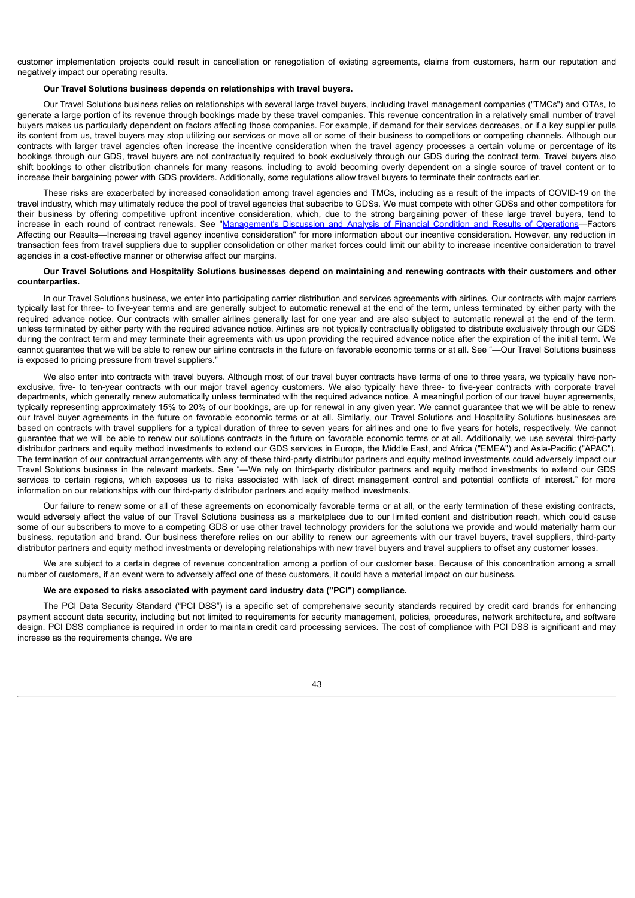customer implementation projects could result in cancellation or renegotiation of existing agreements, claims from customers, harm our reputation and negatively impact our operating results.

#### **Our Travel Solutions business depends on relationships with travel buyers.**

Our Travel Solutions business relies on relationships with several large travel buyers, including travel management companies ("TMCs") and OTAs, to generate a large portion of its revenue through bookings made by these travel companies. This revenue concentration in a relatively small number of travel buyers makes us particularly dependent on factors affecting those companies. For example, if demand for their services decreases, or if a key supplier pulls its content from us, travel buyers may stop utilizing our services or move all or some of their business to competitors or competing channels. Although our contracts with larger travel agencies often increase the incentive consideration when the travel agency processes a certain volume or percentage of its bookings through our GDS, travel buyers are not contractually required to book exclusively through our GDS during the contract term. Travel buyers also shift bookings to other distribution channels for many reasons, including to avoid becoming overly dependent on a single source of travel content or to increase their bargaining power with GDS providers. Additionally, some regulations allow travel buyers to terminate their contracts earlier.

These risks are exacerbated by increased consolidation among travel agencies and TMCs, including as a result of the impacts of COVID-19 on the travel industry, which may ultimately reduce the pool of travel agencies that subscribe to GDSs. We must compete with other GDSs and other competitors for their business by offering competitive upfront incentive consideration, which, due to the strong bargaining power of these large travel buyers, tend to increase in each round of contract renewals. See "Management's Discussion and Analysis of Financial Condition and Results of Operations-Factors Affecting our Results—Increasing travel agency incentive consideration" for more information about our incentive consideration. However, any reduction in transaction fees from travel suppliers due to supplier consolidation or other market forces could limit our ability to increase incentive consideration to travel agencies in a cost-effective manner or otherwise affect our margins.

#### **Our Travel Solutions and Hospitality Solutions businesses depend on maintaining and renewing contracts with their customers and other counterparties.**

In our Travel Solutions business, we enter into participating carrier distribution and services agreements with airlines. Our contracts with major carriers typically last for three- to five-year terms and are generally subject to automatic renewal at the end of the term, unless terminated by either party with the required advance notice. Our contracts with smaller airlines generally last for one year and are also subject to automatic renewal at the end of the term, unless terminated by either party with the required advance notice. Airlines are not typically contractually obligated to distribute exclusively through our GDS during the contract term and may terminate their agreements with us upon providing the required advance notice after the expiration of the initial term. We cannot guarantee that we will be able to renew our airline contracts in the future on favorable economic terms or at all. See "—Our Travel Solutions business is exposed to pricing pressure from travel suppliers."

We also enter into contracts with travel buyers. Although most of our travel buyer contracts have terms of one to three years, we typically have nonexclusive, five- to ten-year contracts with our major travel agency customers. We also typically have three- to five-year contracts with corporate travel departments, which generally renew automatically unless terminated with the required advance notice. A meaningful portion of our travel buyer agreements, typically representing approximately 15% to 20% of our bookings, are up for renewal in any given year. We cannot guarantee that we will be able to renew our travel buyer agreements in the future on favorable economic terms or at all. Similarly, our Travel Solutions and Hospitality Solutions businesses are based on contracts with travel suppliers for a typical duration of three to seven years for airlines and one to five years for hotels, respectively. We cannot guarantee that we will be able to renew our solutions contracts in the future on favorable economic terms or at all. Additionally, we use several third-party distributor partners and equity method investments to extend our GDS services in Europe, the Middle East, and Africa ("EMEA") and Asia-Pacific ("APAC"). The termination of our contractual arrangements with any of these third-party distributor partners and equity method investments could adversely impact our Travel Solutions business in the relevant markets. See "—We rely on third-party distributor partners and equity method investments to extend our GDS services to certain regions, which exposes us to risks associated with lack of direct management control and potential conflicts of interest." for more information on our relationships with our third-party distributor partners and equity method investments.

Our failure to renew some or all of these agreements on economically favorable terms or at all, or the early termination of these existing contracts, would adversely affect the value of our Travel Solutions business as a marketplace due to our limited content and distribution reach, which could cause some of our subscribers to move to a competing GDS or use other travel technology providers for the solutions we provide and would materially harm our business, reputation and brand. Our business therefore relies on our ability to renew our agreements with our travel buyers, travel suppliers, third-party distributor partners and equity method investments or developing relationships with new travel buyers and travel suppliers to offset any customer losses.

We are subject to a certain degree of revenue concentration among a portion of our customer base. Because of this concentration among a small number of customers, if an event were to adversely affect one of these customers, it could have a material impact on our business.

#### **We are exposed to risks associated with payment card industry data ("PCI") compliance.**

The PCI Data Security Standard ("PCI DSS") is a specific set of comprehensive security standards required by credit card brands for enhancing payment account data security, including but not limited to requirements for security management, policies, procedures, network architecture, and software design. PCI DSS compliance is required in order to maintain credit card processing services. The cost of compliance with PCI DSS is significant and may increase as the requirements change. We are

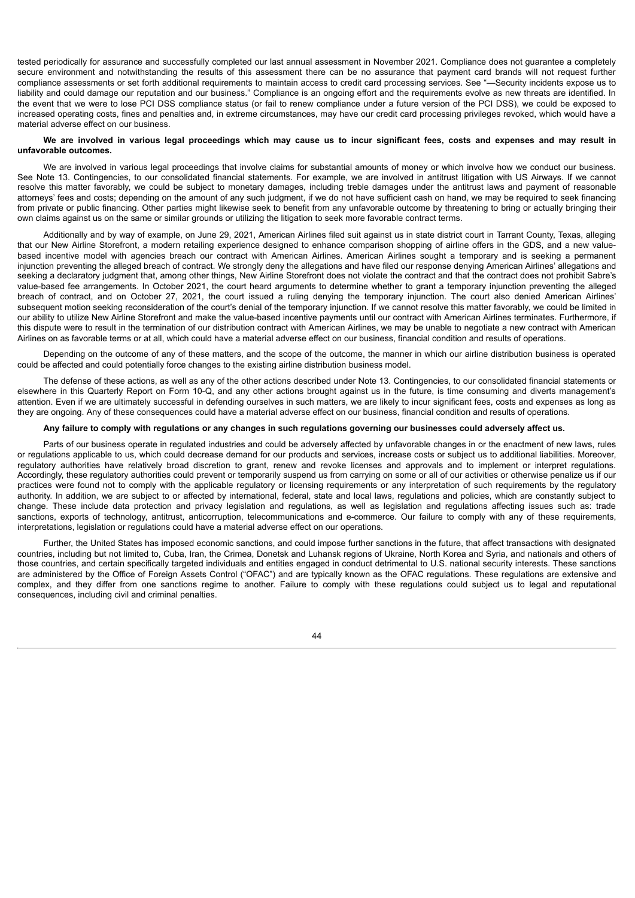tested periodically for assurance and successfully completed our last annual assessment in November 2021. Compliance does not guarantee a completely secure environment and notwithstanding the results of this assessment there can be no assurance that payment card brands will not request further compliance assessments or set forth additional requirements to maintain access to credit card processing services. See "—Security incidents expose us to liability and could damage our reputation and our business." Compliance is an ongoing effort and the requirements evolve as new threats are identified. In the event that we were to lose PCI DSS compliance status (or fail to renew compliance under a future version of the PCI DSS), we could be exposed to increased operating costs, fines and penalties and, in extreme circumstances, may have our credit card processing privileges revoked, which would have a material adverse effect on our business.

#### **We are involved in various legal proceedings which may cause us to incur significant fees, costs and expenses and may result in unfavorable outcomes.**

We are involved in various legal proceedings that involve claims for substantial amounts of money or which involve how we conduct our business. See Note 13. Contingencies, to our consolidated financial statements. For example, we are involved in antitrust litigation with US Airways. If we cannot resolve this matter favorably, we could be subject to monetary damages, including treble damages under the antitrust laws and payment of reasonable attorneys' fees and costs; depending on the amount of any such judgment, if we do not have sufficient cash on hand, we may be required to seek financing from private or public financing. Other parties might likewise seek to benefit from any unfavorable outcome by threatening to bring or actually bringing their own claims against us on the same or similar grounds or utilizing the litigation to seek more favorable contract terms.

Additionally and by way of example, on June 29, 2021, American Airlines filed suit against us in state district court in Tarrant County, Texas, alleging that our New Airline Storefront, a modern retailing experience designed to enhance comparison shopping of airline offers in the GDS, and a new valuebased incentive model with agencies breach our contract with American Airlines. American Airlines sought a temporary and is seeking a permanent injunction preventing the alleged breach of contract. We strongly deny the allegations and have filed our response denying American Airlines' allegations and seeking a declaratory judgment that, among other things, New Airline Storefront does not violate the contract and that the contract does not prohibit Sabre's value-based fee arrangements. In October 2021, the court heard arguments to determine whether to grant a temporary injunction preventing the alleged breach of contract, and on October 27, 2021, the court issued a ruling denying the temporary injunction. The court also denied American Airlines' subsequent motion seeking reconsideration of the court's denial of the temporary injunction. If we cannot resolve this matter favorably, we could be limited in our ability to utilize New Airline Storefront and make the value-based incentive payments until our contract with American Airlines terminates. Furthermore, if this dispute were to result in the termination of our distribution contract with American Airlines, we may be unable to negotiate a new contract with American Airlines on as favorable terms or at all, which could have a material adverse effect on our business, financial condition and results of operations.

Depending on the outcome of any of these matters, and the scope of the outcome, the manner in which our airline distribution business is operated could be affected and could potentially force changes to the existing airline distribution business model.

The defense of these actions, as well as any of the other actions described under Note 13. Contingencies, to our consolidated financial statements or elsewhere in this Quarterly Report on Form 10-Q, and any other actions brought against us in the future, is time consuming and diverts management's attention. Even if we are ultimately successful in defending ourselves in such matters, we are likely to incur significant fees, costs and expenses as long as they are ongoing. Any of these consequences could have a material adverse effect on our business, financial condition and results of operations.

#### **Any failure to comply with regulations or any changes in such regulations governing our businesses could adversely affect us.**

Parts of our business operate in regulated industries and could be adversely affected by unfavorable changes in or the enactment of new laws, rules or regulations applicable to us, which could decrease demand for our products and services, increase costs or subject us to additional liabilities. Moreover, regulatory authorities have relatively broad discretion to grant, renew and revoke licenses and approvals and to implement or interpret regulations. Accordingly, these regulatory authorities could prevent or temporarily suspend us from carrying on some or all of our activities or otherwise penalize us if our practices were found not to comply with the applicable regulatory or licensing requirements or any interpretation of such requirements by the regulatory authority. In addition, we are subject to or affected by international, federal, state and local laws, regulations and policies, which are constantly subject to change. These include data protection and privacy legislation and regulations, as well as legislation and regulations affecting issues such as: trade sanctions, exports of technology, antitrust, anticorruption, telecommunications and e-commerce. Our failure to comply with any of these requirements, interpretations, legislation or regulations could have a material adverse effect on our operations.

Further, the United States has imposed economic sanctions, and could impose further sanctions in the future, that affect transactions with designated countries, including but not limited to, Cuba, Iran, the Crimea, Donetsk and Luhansk regions of Ukraine, North Korea and Syria, and nationals and others of those countries, and certain specifically targeted individuals and entities engaged in conduct detrimental to U.S. national security interests. These sanctions are administered by the Office of Foreign Assets Control ("OFAC") and are typically known as the OFAC regulations. These regulations are extensive and complex, and they differ from one sanctions regime to another. Failure to comply with these regulations could subject us to legal and reputational consequences, including civil and criminal penalties.

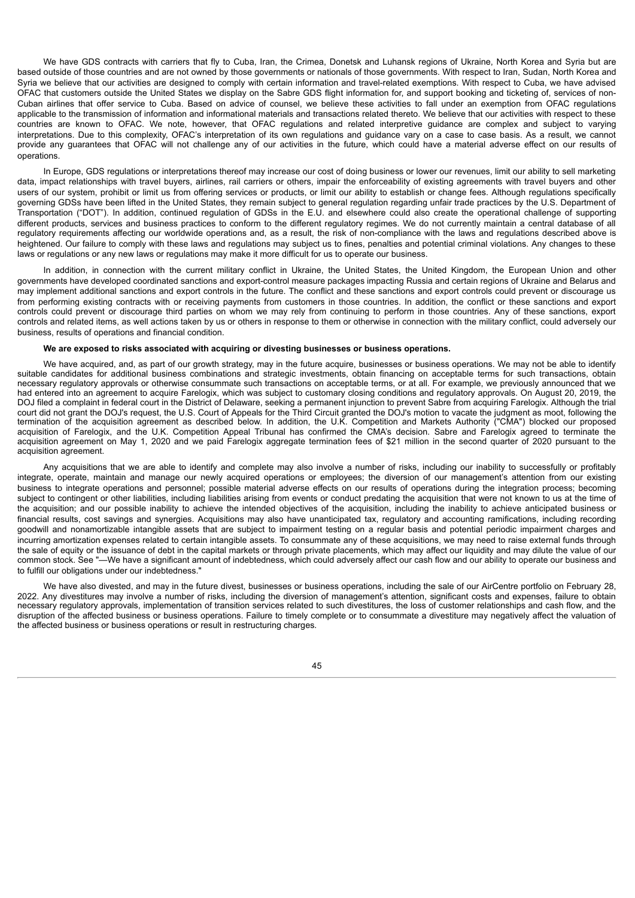We have GDS contracts with carriers that fly to Cuba, Iran, the Crimea, Donetsk and Luhansk regions of Ukraine, North Korea and Syria but are based outside of those countries and are not owned by those governments or nationals of those governments. With respect to Iran, Sudan, North Korea and Syria we believe that our activities are designed to comply with certain information and travel-related exemptions. With respect to Cuba, we have advised OFAC that customers outside the United States we display on the Sabre GDS flight information for, and support booking and ticketing of, services of non-Cuban airlines that offer service to Cuba. Based on advice of counsel, we believe these activities to fall under an exemption from OFAC regulations applicable to the transmission of information and informational materials and transactions related thereto. We believe that our activities with respect to these countries are known to OFAC. We note, however, that OFAC regulations and related interpretive guidance are complex and subject to varying interpretations. Due to this complexity, OFAC's interpretation of its own regulations and guidance vary on a case to case basis. As a result, we cannot provide any guarantees that OFAC will not challenge any of our activities in the future, which could have a material adverse effect on our results of operations.

In Europe, GDS regulations or interpretations thereof may increase our cost of doing business or lower our revenues, limit our ability to sell marketing data, impact relationships with travel buyers, airlines, rail carriers or others, impair the enforceability of existing agreements with travel buyers and other users of our system, prohibit or limit us from offering services or products, or limit our ability to establish or change fees. Although regulations specifically governing GDSs have been lifted in the United States, they remain subject to general regulation regarding unfair trade practices by the U.S. Department of Transportation ("DOT"). In addition, continued regulation of GDSs in the E.U. and elsewhere could also create the operational challenge of supporting different products, services and business practices to conform to the different regulatory regimes. We do not currently maintain a central database of all regulatory requirements affecting our worldwide operations and, as a result, the risk of non-compliance with the laws and regulations described above is heightened. Our failure to comply with these laws and regulations may subject us to fines, penalties and potential criminal violations. Any changes to these laws or regulations or any new laws or regulations may make it more difficult for us to operate our business.

In addition, in connection with the current military conflict in Ukraine, the United States, the United Kingdom, the European Union and other governments have developed coordinated sanctions and export-control measure packages impacting Russia and certain regions of Ukraine and Belarus and may implement additional sanctions and export controls in the future. The conflict and these sanctions and export controls could prevent or discourage us from performing existing contracts with or receiving payments from customers in those countries. In addition, the conflict or these sanctions and export controls could prevent or discourage third parties on whom we may rely from continuing to perform in those countries. Any of these sanctions, export controls and related items, as well actions taken by us or others in response to them or otherwise in connection with the military conflict, could adversely our business, results of operations and financial condition.

#### **We are exposed to risks associated with acquiring or divesting businesses or business operations.**

We have acquired, and, as part of our growth strategy, may in the future acquire, businesses or business operations. We may not be able to identify suitable candidates for additional business combinations and strategic investments, obtain financing on acceptable terms for such transactions, obtain necessary regulatory approvals or otherwise consummate such transactions on acceptable terms, or at all. For example, we previously announced that we had entered into an agreement to acquire Farelogix, which was subject to customary closing conditions and regulatory approvals. On August 20, 2019, the DOJ filed a complaint in federal court in the District of Delaware, seeking a permanent injunction to prevent Sabre from acquiring Farelogix. Although the trial court did not grant the DOJ's request, the U.S. Court of Appeals for the Third Circuit granted the DOJ's motion to vacate the judgment as moot, following the termination of the acquisition agreement as described below. In addition, the U.K. Competition and Markets Authority ("CMA") blocked our proposed acquisition of Farelogix, and the U.K. Competition Appeal Tribunal has confirmed the CMA's decision. Sabre and Farelogix agreed to terminate the acquisition agreement on May 1, 2020 and we paid Farelogix aggregate termination fees of \$21 million in the second quarter of 2020 pursuant to the acquisition agreement.

Any acquisitions that we are able to identify and complete may also involve a number of risks, including our inability to successfully or profitably integrate, operate, maintain and manage our newly acquired operations or employees; the diversion of our management's attention from our existing business to integrate operations and personnel; possible material adverse effects on our results of operations during the integration process; becoming subject to contingent or other liabilities, including liabilities arising from events or conduct predating the acquisition that were not known to us at the time of the acquisition; and our possible inability to achieve the intended objectives of the acquisition, including the inability to achieve anticipated business or financial results, cost savings and synergies. Acquisitions may also have unanticipated tax, regulatory and accounting ramifications, including recording goodwill and nonamortizable intangible assets that are subject to impairment testing on a regular basis and potential periodic impairment charges and incurring amortization expenses related to certain intangible assets. To consummate any of these acquisitions, we may need to raise external funds through the sale of equity or the issuance of debt in the capital markets or through private placements, which may affect our liquidity and may dilute the value of our common stock. See "—We have a significant amount of indebtedness, which could adversely affect our cash flow and our ability to operate our business and to fulfill our obligations under our indebtedness."

We have also divested, and may in the future divest, businesses or business operations, including the sale of our AirCentre portfolio on February 28, 2022. Any divestitures may involve a number of risks, including the diversion of management's attention, significant costs and expenses, failure to obtain necessary regulatory approvals, implementation of transition services related to such divestitures, the loss of customer relationships and cash flow, and the disruption of the affected business or business operations. Failure to timely complete or to consummate a divestiture may negatively affect the valuation of the affected business or business operations or result in restructuring charges.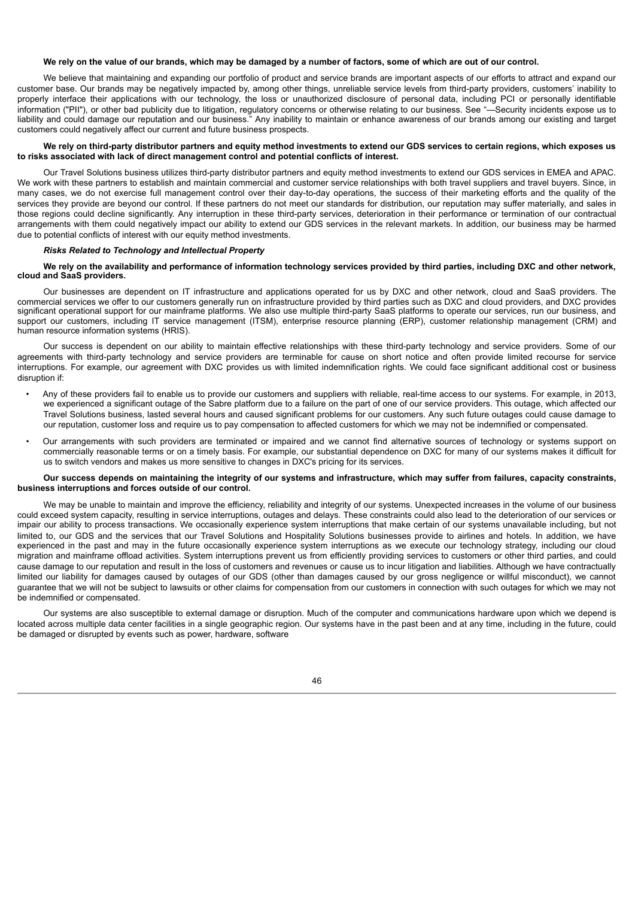#### **We rely on the value of our brands, which may be damaged by a number of factors, some of which are out of our control.**

We believe that maintaining and expanding our portfolio of product and service brands are important aspects of our efforts to attract and expand our customer base. Our brands may be negatively impacted by, among other things, unreliable service levels from third-party providers, customers' inability to properly interface their applications with our technology, the loss or unauthorized disclosure of personal data, including PCI or personally identifiable information ("PII"), or other bad publicity due to litigation, regulatory concerns or otherwise relating to our business. See "—Security incidents expose us to liability and could damage our reputation and our business." Any inability to maintain or enhance awareness of our brands among our existing and target customers could negatively affect our current and future business prospects.

#### **We rely on third-party distributor partners and equity method investments to extend our GDS services to certain regions, which exposes us to risks associated with lack of direct management control and potential conflicts of interest.**

Our Travel Solutions business utilizes third-party distributor partners and equity method investments to extend our GDS services in EMEA and APAC. We work with these partners to establish and maintain commercial and customer service relationships with both travel suppliers and travel buyers. Since, in many cases, we do not exercise full management control over their day-to-day operations, the success of their marketing efforts and the quality of the services they provide are beyond our control. If these partners do not meet our standards for distribution, our reputation may suffer materially, and sales in those regions could decline significantly. Any interruption in these third-party services, deterioration in their performance or termination of our contractual arrangements with them could negatively impact our ability to extend our GDS services in the relevant markets. In addition, our business may be harmed due to potential conflicts of interest with our equity method investments.

#### *Risks Related to Technology and Intellectual Property*

#### **We rely on the availability and performance of information technology services provided by third parties, including DXC and other network, cloud and SaaS providers.**

Our businesses are dependent on IT infrastructure and applications operated for us by DXC and other network, cloud and SaaS providers. The commercial services we offer to our customers generally run on infrastructure provided by third parties such as DXC and cloud providers, and DXC provides significant operational support for our mainframe platforms. We also use multiple third-party SaaS platforms to operate our services, run our business, and support our customers, including IT service management (ITSM), enterprise resource planning (ERP), customer relationship management (CRM) and human resource information systems (HRIS).

Our success is dependent on our ability to maintain effective relationships with these third-party technology and service providers. Some of our agreements with third-party technology and service providers are terminable for cause on short notice and often provide limited recourse for service interruptions. For example, our agreement with DXC provides us with limited indemnification rights. We could face significant additional cost or business disruption if:

- Any of these providers fail to enable us to provide our customers and suppliers with reliable, real-time access to our systems. For example, in 2013, we experienced a significant outage of the Sabre platform due to a failure on the part of one of our service providers. This outage, which affected our Travel Solutions business, lasted several hours and caused significant problems for our customers. Any such future outages could cause damage to our reputation, customer loss and require us to pay compensation to affected customers for which we may not be indemnified or compensated.
- Our arrangements with such providers are terminated or impaired and we cannot find alternative sources of technology or systems support on commercially reasonable terms or on a timely basis. For example, our substantial dependence on DXC for many of our systems makes it difficult for us to switch vendors and makes us more sensitive to changes in DXC's pricing for its services.

#### **Our success depends on maintaining the integrity of our systems and infrastructure, which may suffer from failures, capacity constraints, business interruptions and forces outside of our control.**

We may be unable to maintain and improve the efficiency, reliability and integrity of our systems. Unexpected increases in the volume of our business could exceed system capacity, resulting in service interruptions, outages and delays. These constraints could also lead to the deterioration of our services or impair our ability to process transactions. We occasionally experience system interruptions that make certain of our systems unavailable including, but not limited to, our GDS and the services that our Travel Solutions and Hospitality Solutions businesses provide to airlines and hotels. In addition, we have experienced in the past and may in the future occasionally experience system interruptions as we execute our technology strategy, including our cloud migration and mainframe offload activities. System interruptions prevent us from efficiently providing services to customers or other third parties, and could cause damage to our reputation and result in the loss of customers and revenues or cause us to incur litigation and liabilities. Although we have contractually limited our liability for damages caused by outages of our GDS (other than damages caused by our gross negligence or willful misconduct), we cannot guarantee that we will not be subject to lawsuits or other claims for compensation from our customers in connection with such outages for which we may not be indemnified or compensated.

Our systems are also susceptible to external damage or disruption. Much of the computer and communications hardware upon which we depend is located across multiple data center facilities in a single geographic region. Our systems have in the past been and at any time, including in the future, could be damaged or disrupted by events such as power, hardware, software

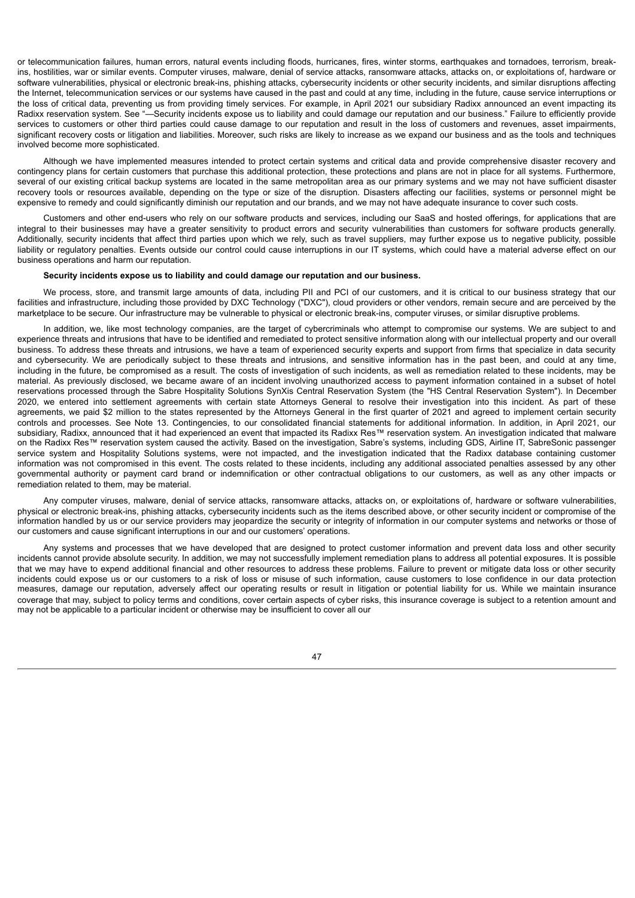or telecommunication failures, human errors, natural events including floods, hurricanes, fires, winter storms, earthquakes and tornadoes, terrorism, breakins, hostilities, war or similar events. Computer viruses, malware, denial of service attacks, ransomware attacks, attacks on, or exploitations of, hardware or software vulnerabilities, physical or electronic break-ins, phishing attacks, cybersecurity incidents or other security incidents, and similar disruptions affecting the Internet, telecommunication services or our systems have caused in the past and could at any time, including in the future, cause service interruptions or the loss of critical data, preventing us from providing timely services. For example, in April 2021 our subsidiary Radixx announced an event impacting its Radixx reservation system. See "—Security incidents expose us to liability and could damage our reputation and our business." Failure to efficiently provide services to customers or other third parties could cause damage to our reputation and result in the loss of customers and revenues, asset impairments, significant recovery costs or litigation and liabilities. Moreover, such risks are likely to increase as we expand our business and as the tools and techniques involved become more sophisticated.

Although we have implemented measures intended to protect certain systems and critical data and provide comprehensive disaster recovery and contingency plans for certain customers that purchase this additional protection, these protections and plans are not in place for all systems. Furthermore, several of our existing critical backup systems are located in the same metropolitan area as our primary systems and we may not have sufficient disaster recovery tools or resources available, depending on the type or size of the disruption. Disasters affecting our facilities, systems or personnel might be expensive to remedy and could significantly diminish our reputation and our brands, and we may not have adequate insurance to cover such costs.

Customers and other end-users who rely on our software products and services, including our SaaS and hosted offerings, for applications that are integral to their businesses may have a greater sensitivity to product errors and security vulnerabilities than customers for software products generally. Additionally, security incidents that affect third parties upon which we rely, such as travel suppliers, may further expose us to negative publicity, possible liability or regulatory penalties. Events outside our control could cause interruptions in our IT systems, which could have a material adverse effect on our business operations and harm our reputation.

#### **Security incidents expose us to liability and could damage our reputation and our business.**

We process, store, and transmit large amounts of data, including PII and PCI of our customers, and it is critical to our business strategy that our facilities and infrastructure, including those provided by DXC Technology ("DXC"), cloud providers or other vendors, remain secure and are perceived by the marketplace to be secure. Our infrastructure may be vulnerable to physical or electronic break-ins, computer viruses, or similar disruptive problems.

In addition, we, like most technology companies, are the target of cybercriminals who attempt to compromise our systems. We are subject to and experience threats and intrusions that have to be identified and remediated to protect sensitive information along with our intellectual property and our overall business. To address these threats and intrusions, we have a team of experienced security experts and support from firms that specialize in data security and cybersecurity. We are periodically subject to these threats and intrusions, and sensitive information has in the past been, and could at any time, including in the future, be compromised as a result. The costs of investigation of such incidents, as well as remediation related to these incidents, may be material. As previously disclosed, we became aware of an incident involving unauthorized access to payment information contained in a subset of hotel reservations processed through the Sabre Hospitality Solutions SynXis Central Reservation System (the "HS Central Reservation System"). In December 2020, we entered into settlement agreements with certain state Attorneys General to resolve their investigation into this incident. As part of these agreements, we paid \$2 million to the states represented by the Attorneys General in the first quarter of 2021 and agreed to implement certain security controls and processes. See Note 13. Contingencies, to our consolidated financial statements for additional information. In addition, in April 2021, our subsidiary, Radixx, announced that it had experienced an event that impacted its Radixx Res™ reservation system. An investigation indicated that malware on the Radixx Res™ reservation system caused the activity. Based on the investigation, Sabre's systems, including GDS, Airline IT, SabreSonic passenger service system and Hospitality Solutions systems, were not impacted, and the investigation indicated that the Radixx database containing customer information was not compromised in this event. The costs related to these incidents, including any additional associated penalties assessed by any other governmental authority or payment card brand or indemnification or other contractual obligations to our customers, as well as any other impacts or remediation related to them, may be material.

Any computer viruses, malware, denial of service attacks, ransomware attacks, attacks on, or exploitations of, hardware or software vulnerabilities, physical or electronic break-ins, phishing attacks, cybersecurity incidents such as the items described above, or other security incident or compromise of the information handled by us or our service providers may jeopardize the security or integrity of information in our computer systems and networks or those of our customers and cause significant interruptions in our and our customers' operations.

Any systems and processes that we have developed that are designed to protect customer information and prevent data loss and other security incidents cannot provide absolute security. In addition, we may not successfully implement remediation plans to address all potential exposures. It is possible that we may have to expend additional financial and other resources to address these problems. Failure to prevent or mitigate data loss or other security incidents could expose us or our customers to a risk of loss or misuse of such information, cause customers to lose confidence in our data protection measures, damage our reputation, adversely affect our operating results or result in litigation or potential liability for us. While we maintain insurance coverage that may, subject to policy terms and conditions, cover certain aspects of cyber risks, this insurance coverage is subject to a retention amount and may not be applicable to a particular incident or otherwise may be insufficient to cover all our

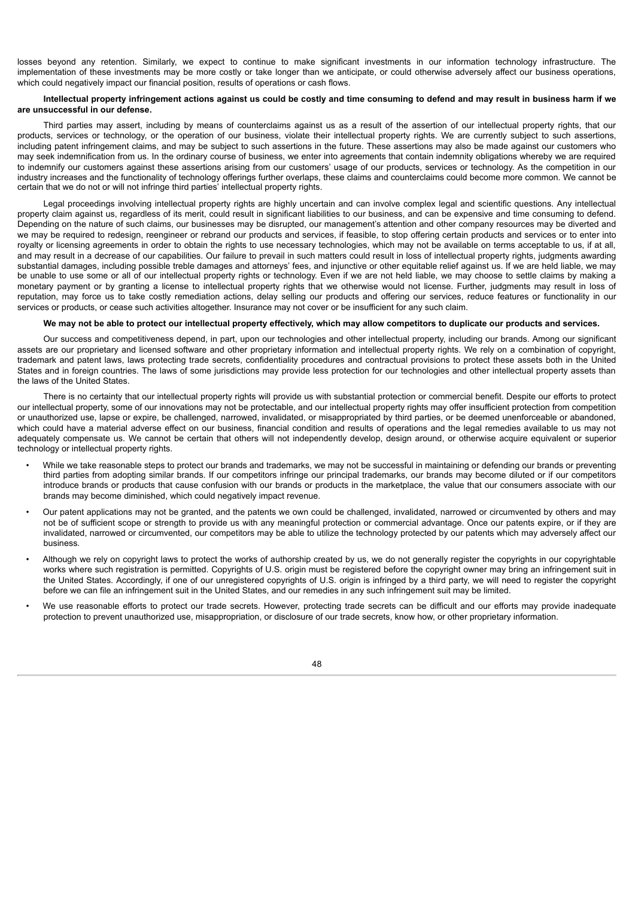losses beyond any retention. Similarly, we expect to continue to make significant investments in our information technology infrastructure. The implementation of these investments may be more costly or take longer than we anticipate, or could otherwise adversely affect our business operations, which could negatively impact our financial position, results of operations or cash flows.

#### **Intellectual property infringement actions against us could be costly and time consuming to defend and may result in business harm if we are unsuccessful in our defense.**

Third parties may assert, including by means of counterclaims against us as a result of the assertion of our intellectual property rights, that our products, services or technology, or the operation of our business, violate their intellectual property rights. We are currently subject to such assertions, including patent infringement claims, and may be subject to such assertions in the future. These assertions may also be made against our customers who may seek indemnification from us. In the ordinary course of business, we enter into agreements that contain indemnity obligations whereby we are required to indemnify our customers against these assertions arising from our customers' usage of our products, services or technology. As the competition in our industry increases and the functionality of technology offerings further overlaps, these claims and counterclaims could become more common. We cannot be certain that we do not or will not infringe third parties' intellectual property rights.

Legal proceedings involving intellectual property rights are highly uncertain and can involve complex legal and scientific questions. Any intellectual property claim against us, regardless of its merit, could result in significant liabilities to our business, and can be expensive and time consuming to defend. Depending on the nature of such claims, our businesses may be disrupted, our management's attention and other company resources may be diverted and we may be required to redesign, reengineer or rebrand our products and services, if feasible, to stop offering certain products and services or to enter into royalty or licensing agreements in order to obtain the rights to use necessary technologies, which may not be available on terms acceptable to us, if at all, and may result in a decrease of our capabilities. Our failure to prevail in such matters could result in loss of intellectual property rights, judgments awarding substantial damages, including possible treble damages and attorneys' fees, and injunctive or other equitable relief against us. If we are held liable, we may be unable to use some or all of our intellectual property rights or technology. Even if we are not held liable, we may choose to settle claims by making a monetary payment or by granting a license to intellectual property rights that we otherwise would not license. Further, judgments may result in loss of reputation, may force us to take costly remediation actions, delay selling our products and offering our services, reduce features or functionality in our services or products, or cease such activities altogether. Insurance may not cover or be insufficient for any such claim.

#### **We may not be able to protect our intellectual property effectively, which may allow competitors to duplicate our products and services.**

Our success and competitiveness depend, in part, upon our technologies and other intellectual property, including our brands. Among our significant assets are our proprietary and licensed software and other proprietary information and intellectual property rights. We rely on a combination of copyright, trademark and patent laws, laws protecting trade secrets, confidentiality procedures and contractual provisions to protect these assets both in the United States and in foreign countries. The laws of some jurisdictions may provide less protection for our technologies and other intellectual property assets than the laws of the United States.

There is no certainty that our intellectual property rights will provide us with substantial protection or commercial benefit. Despite our efforts to protect our intellectual property, some of our innovations may not be protectable, and our intellectual property rights may offer insufficient protection from competition or unauthorized use, lapse or expire, be challenged, narrowed, invalidated, or misappropriated by third parties, or be deemed unenforceable or abandoned, which could have a material adverse effect on our business, financial condition and results of operations and the legal remedies available to us may not adequately compensate us. We cannot be certain that others will not independently develop, design around, or otherwise acquire equivalent or superior technology or intellectual property rights.

- While we take reasonable steps to protect our brands and trademarks, we may not be successful in maintaining or defending our brands or preventing third parties from adopting similar brands. If our competitors infringe our principal trademarks, our brands may become diluted or if our competitors introduce brands or products that cause confusion with our brands or products in the marketplace, the value that our consumers associate with our brands may become diminished, which could negatively impact revenue.
- Our patent applications may not be granted, and the patents we own could be challenged, invalidated, narrowed or circumvented by others and may not be of sufficient scope or strength to provide us with any meaningful protection or commercial advantage. Once our patents expire, or if they are invalidated, narrowed or circumvented, our competitors may be able to utilize the technology protected by our patents which may adversely affect our business.
- Although we rely on copyright laws to protect the works of authorship created by us, we do not generally register the copyrights in our copyrightable works where such registration is permitted. Copyrights of U.S. origin must be registered before the copyright owner may bring an infringement suit in the United States. Accordingly, if one of our unregistered copyrights of U.S. origin is infringed by a third party, we will need to register the copyright before we can file an infringement suit in the United States, and our remedies in any such infringement suit may be limited.
- We use reasonable efforts to protect our trade secrets. However, protecting trade secrets can be difficult and our efforts may provide inadequate protection to prevent unauthorized use, misappropriation, or disclosure of our trade secrets, know how, or other proprietary information.

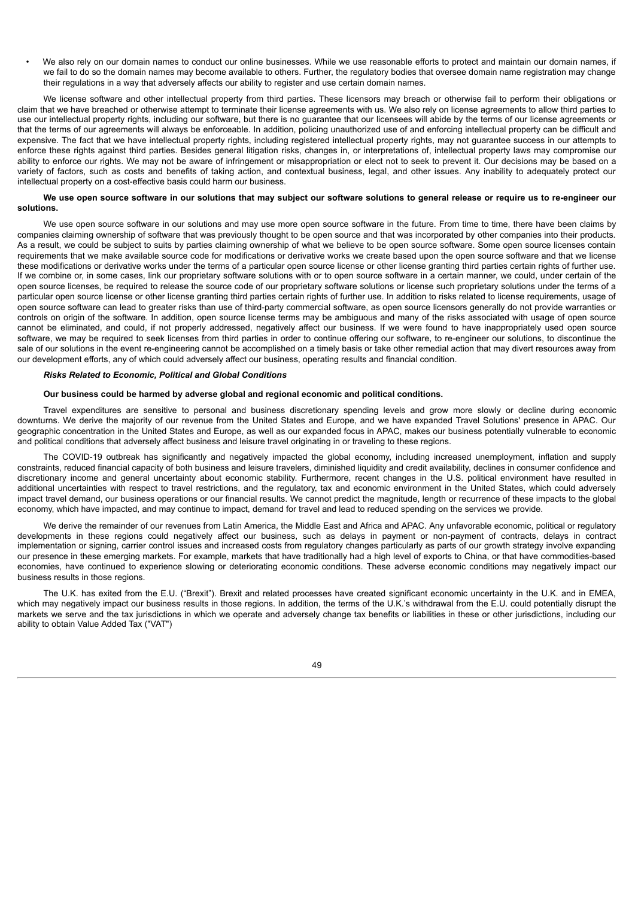• We also rely on our domain names to conduct our online businesses. While we use reasonable efforts to protect and maintain our domain names, if we fail to do so the domain names may become available to others. Further, the regulatory bodies that oversee domain name registration may change their regulations in a way that adversely affects our ability to register and use certain domain names.

We license software and other intellectual property from third parties. These licensors may breach or otherwise fail to perform their obligations or claim that we have breached or otherwise attempt to terminate their license agreements with us. We also rely on license agreements to allow third parties to use our intellectual property rights, including our software, but there is no guarantee that our licensees will abide by the terms of our license agreements or that the terms of our agreements will always be enforceable. In addition, policing unauthorized use of and enforcing intellectual property can be difficult and expensive. The fact that we have intellectual property rights, including registered intellectual property rights, may not guarantee success in our attempts to enforce these rights against third parties. Besides general litigation risks, changes in, or interpretations of, intellectual property laws may compromise our ability to enforce our rights. We may not be aware of infringement or misappropriation or elect not to seek to prevent it. Our decisions may be based on a variety of factors, such as costs and benefits of taking action, and contextual business, legal, and other issues. Any inability to adequately protect our intellectual property on a cost-effective basis could harm our business.

#### **We use open source software in our solutions that may subject our software solutions to general release or require us to re-engineer our solutions.**

We use open source software in our solutions and may use more open source software in the future. From time to time, there have been claims by companies claiming ownership of software that was previously thought to be open source and that was incorporated by other companies into their products. As a result, we could be subject to suits by parties claiming ownership of what we believe to be open source software. Some open source licenses contain requirements that we make available source code for modifications or derivative works we create based upon the open source software and that we license these modifications or derivative works under the terms of a particular open source license or other license granting third parties certain rights of further use. If we combine or, in some cases, link our proprietary software solutions with or to open source software in a certain manner, we could, under certain of the open source licenses, be required to release the source code of our proprietary software solutions or license such proprietary solutions under the terms of a particular open source license or other license granting third parties certain rights of further use. In addition to risks related to license requirements, usage of open source software can lead to greater risks than use of third-party commercial software, as open source licensors generally do not provide warranties or controls on origin of the software. In addition, open source license terms may be ambiguous and many of the risks associated with usage of open source cannot be eliminated, and could, if not properly addressed, negatively affect our business. If we were found to have inappropriately used open source software, we may be required to seek licenses from third parties in order to continue offering our software, to re-engineer our solutions, to discontinue the sale of our solutions in the event re-engineering cannot be accomplished on a timely basis or take other remedial action that may divert resources away from our development efforts, any of which could adversely affect our business, operating results and financial condition.

#### *Risks Related to Economic, Political and Global Conditions*

#### **Our business could be harmed by adverse global and regional economic and political conditions.**

Travel expenditures are sensitive to personal and business discretionary spending levels and grow more slowly or decline during economic downturns. We derive the majority of our revenue from the United States and Europe, and we have expanded Travel Solutions' presence in APAC. Our geographic concentration in the United States and Europe, as well as our expanded focus in APAC, makes our business potentially vulnerable to economic and political conditions that adversely affect business and leisure travel originating in or traveling to these regions.

The COVID-19 outbreak has significantly and negatively impacted the global economy, including increased unemployment, inflation and supply constraints, reduced financial capacity of both business and leisure travelers, diminished liquidity and credit availability, declines in consumer confidence and discretionary income and general uncertainty about economic stability. Furthermore, recent changes in the U.S. political environment have resulted in additional uncertainties with respect to travel restrictions, and the regulatory, tax and economic environment in the United States, which could adversely impact travel demand, our business operations or our financial results. We cannot predict the magnitude, length or recurrence of these impacts to the global economy, which have impacted, and may continue to impact, demand for travel and lead to reduced spending on the services we provide.

We derive the remainder of our revenues from Latin America, the Middle East and Africa and APAC. Any unfavorable economic, political or regulatory developments in these regions could negatively affect our business, such as delays in payment or non-payment of contracts, delays in contract implementation or signing, carrier control issues and increased costs from regulatory changes particularly as parts of our growth strategy involve expanding our presence in these emerging markets. For example, markets that have traditionally had a high level of exports to China, or that have commodities-based economies, have continued to experience slowing or deteriorating economic conditions. These adverse economic conditions may negatively impact our business results in those regions.

The U.K. has exited from the E.U. ("Brexit"). Brexit and related processes have created significant economic uncertainty in the U.K. and in EMEA, which may negatively impact our business results in those regions. In addition, the terms of the U.K.'s withdrawal from the E.U. could potentially disrupt the markets we serve and the tax jurisdictions in which we operate and adversely change tax benefits or liabilities in these or other jurisdictions, including our ability to obtain Value Added Tax ("VAT")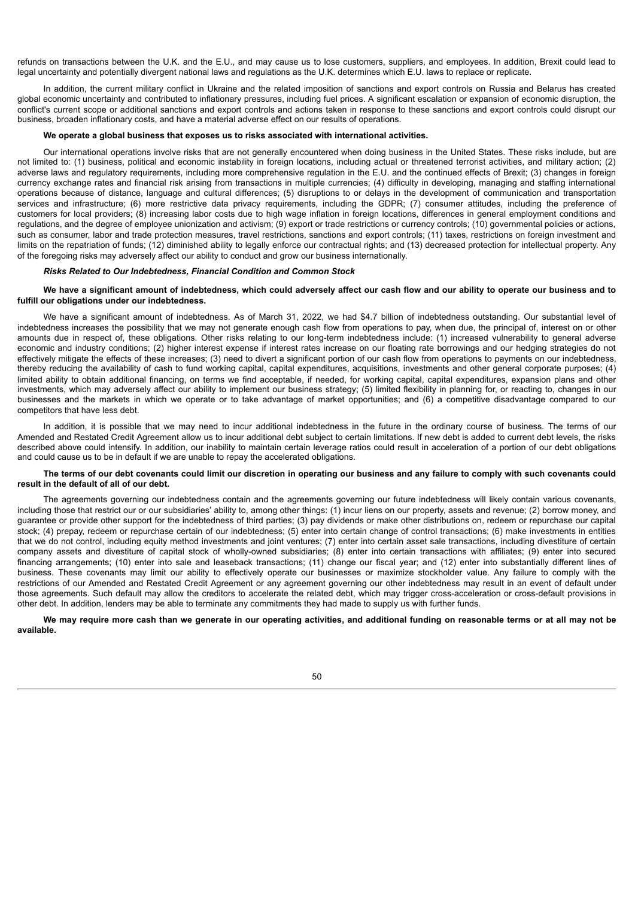refunds on transactions between the U.K. and the E.U., and may cause us to lose customers, suppliers, and employees. In addition, Brexit could lead to legal uncertainty and potentially divergent national laws and regulations as the U.K. determines which E.U. laws to replace or replicate.

In addition, the current military conflict in Ukraine and the related imposition of sanctions and export controls on Russia and Belarus has created global economic uncertainty and contributed to inflationary pressures, including fuel prices. A significant escalation or expansion of economic disruption, the conflict's current scope or additional sanctions and export controls and actions taken in response to these sanctions and export controls could disrupt our business, broaden inflationary costs, and have a material adverse effect on our results of operations.

#### **We operate a global business that exposes us to risks associated with international activities.**

Our international operations involve risks that are not generally encountered when doing business in the United States. These risks include, but are not limited to: (1) business, political and economic instability in foreign locations, including actual or threatened terrorist activities, and military action; (2) adverse laws and regulatory requirements, including more comprehensive regulation in the E.U. and the continued effects of Brexit; (3) changes in foreign currency exchange rates and financial risk arising from transactions in multiple currencies; (4) difficulty in developing, managing and staffing international operations because of distance, language and cultural differences; (5) disruptions to or delays in the development of communication and transportation services and infrastructure; (6) more restrictive data privacy requirements, including the GDPR; (7) consumer attitudes, including the preference of customers for local providers; (8) increasing labor costs due to high wage inflation in foreign locations, differences in general employment conditions and regulations, and the degree of employee unionization and activism; (9) export or trade restrictions or currency controls; (10) governmental policies or actions, such as consumer, labor and trade protection measures, travel restrictions, sanctions and export controls; (11) taxes, restrictions on foreign investment and limits on the repatriation of funds; (12) diminished ability to legally enforce our contractual rights; and (13) decreased protection for intellectual property. Any of the foregoing risks may adversely affect our ability to conduct and grow our business internationally.

#### *Risks Related to Our Indebtedness, Financial Condition and Common Stock*

#### **We have a significant amount of indebtedness, which could adversely affect our cash flow and our ability to operate our business and to fulfill our obligations under our indebtedness.**

We have a significant amount of indebtedness. As of March 31, 2022, we had \$4.7 billion of indebtedness outstanding. Our substantial level of indebtedness increases the possibility that we may not generate enough cash flow from operations to pay, when due, the principal of, interest on or other amounts due in respect of, these obligations. Other risks relating to our long-term indebtedness include: (1) increased vulnerability to general adverse economic and industry conditions; (2) higher interest expense if interest rates increase on our floating rate borrowings and our hedging strategies do not effectively mitigate the effects of these increases; (3) need to divert a significant portion of our cash flow from operations to payments on our indebtedness, thereby reducing the availability of cash to fund working capital, capital expenditures, acquisitions, investments and other general corporate purposes; (4) limited ability to obtain additional financing, on terms we find acceptable, if needed, for working capital, capital expenditures, expansion plans and other investments, which may adversely affect our ability to implement our business strategy; (5) limited flexibility in planning for, or reacting to, changes in our businesses and the markets in which we operate or to take advantage of market opportunities; and (6) a competitive disadvantage compared to our competitors that have less debt.

In addition, it is possible that we may need to incur additional indebtedness in the future in the ordinary course of business. The terms of our Amended and Restated Credit Agreement allow us to incur additional debt subject to certain limitations. If new debt is added to current debt levels, the risks described above could intensify. In addition, our inability to maintain certain leverage ratios could result in acceleration of a portion of our debt obligations and could cause us to be in default if we are unable to repay the accelerated obligations.

#### **The terms of our debt covenants could limit our discretion in operating our business and any failure to comply with such covenants could result in the default of all of our debt.**

The agreements governing our indebtedness contain and the agreements governing our future indebtedness will likely contain various covenants, including those that restrict our or our subsidiaries' ability to, among other things: (1) incur liens on our property, assets and revenue; (2) borrow money, and guarantee or provide other support for the indebtedness of third parties; (3) pay dividends or make other distributions on, redeem or repurchase our capital stock; (4) prepay, redeem or repurchase certain of our indebtedness; (5) enter into certain change of control transactions; (6) make investments in entities that we do not control, including equity method investments and joint ventures; (7) enter into certain asset sale transactions, including divestiture of certain company assets and divestiture of capital stock of wholly-owned subsidiaries; (8) enter into certain transactions with affiliates; (9) enter into secured financing arrangements; (10) enter into sale and leaseback transactions; (11) change our fiscal year; and (12) enter into substantially different lines of business. These covenants may limit our ability to effectively operate our businesses or maximize stockholder value. Any failure to comply with the restrictions of our Amended and Restated Credit Agreement or any agreement governing our other indebtedness may result in an event of default under those agreements. Such default may allow the creditors to accelerate the related debt, which may trigger cross-acceleration or cross-default provisions in other debt. In addition, lenders may be able to terminate any commitments they had made to supply us with further funds.

#### **We may require more cash than we generate in our operating activities, and additional funding on reasonable terms or at all may not be available.**

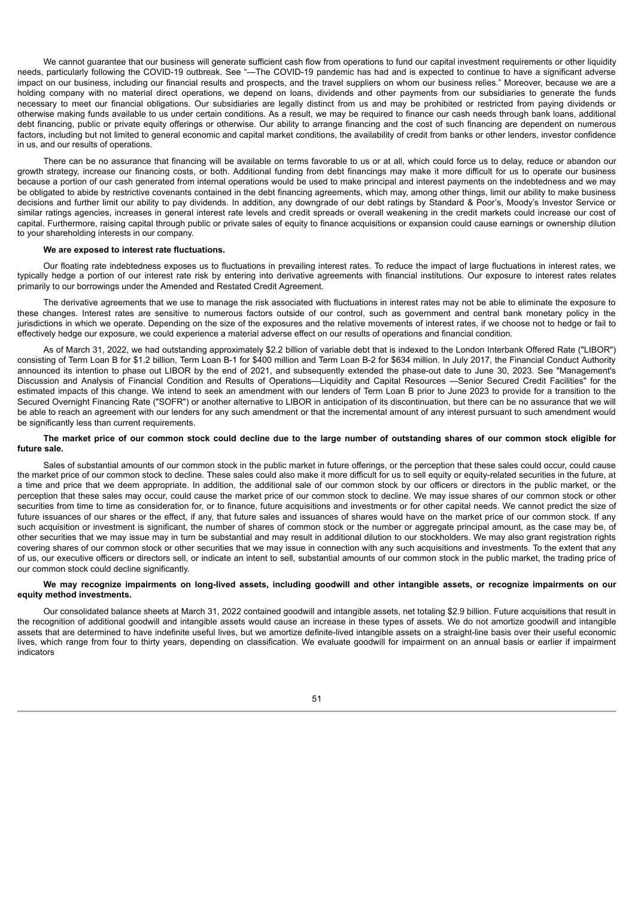We cannot guarantee that our business will generate sufficient cash flow from operations to fund our capital investment requirements or other liquidity needs, particularly following the COVID-19 outbreak. See "—The COVID-19 pandemic has had and is expected to continue to have a significant adverse impact on our business, including our financial results and prospects, and the travel suppliers on whom our business relies." Moreover, because we are a holding company with no material direct operations, we depend on loans, dividends and other payments from our subsidiaries to generate the funds necessary to meet our financial obligations. Our subsidiaries are legally distinct from us and may be prohibited or restricted from paying dividends or otherwise making funds available to us under certain conditions. As a result, we may be required to finance our cash needs through bank loans, additional debt financing, public or private equity offerings or otherwise. Our ability to arrange financing and the cost of such financing are dependent on numerous factors, including but not limited to general economic and capital market conditions, the availability of credit from banks or other lenders, investor confidence in us, and our results of operations.

There can be no assurance that financing will be available on terms favorable to us or at all, which could force us to delay, reduce or abandon our growth strategy, increase our financing costs, or both. Additional funding from debt financings may make it more difficult for us to operate our business because a portion of our cash generated from internal operations would be used to make principal and interest payments on the indebtedness and we may be obligated to abide by restrictive covenants contained in the debt financing agreements, which may, among other things, limit our ability to make business decisions and further limit our ability to pay dividends. In addition, any downgrade of our debt ratings by Standard & Poor's, Moody's Investor Service or similar ratings agencies, increases in general interest rate levels and credit spreads or overall weakening in the credit markets could increase our cost of capital. Furthermore, raising capital through public or private sales of equity to finance acquisitions or expansion could cause earnings or ownership dilution to your shareholding interests in our company.

#### **We are exposed to interest rate fluctuations.**

Our floating rate indebtedness exposes us to fluctuations in prevailing interest rates. To reduce the impact of large fluctuations in interest rates, we typically hedge a portion of our interest rate risk by entering into derivative agreements with financial institutions. Our exposure to interest rates relates primarily to our borrowings under the Amended and Restated Credit Agreement.

The derivative agreements that we use to manage the risk associated with fluctuations in interest rates may not be able to eliminate the exposure to these changes. Interest rates are sensitive to numerous factors outside of our control, such as government and central bank monetary policy in the jurisdictions in which we operate. Depending on the size of the exposures and the relative movements of interest rates, if we choose not to hedge or fail to effectively hedge our exposure, we could experience a material adverse effect on our results of operations and financial condition.

As of March 31, 2022, we had outstanding approximately \$2.2 billion of variable debt that is indexed to the London Interbank Offered Rate ("LIBOR") consisting of Term Loan B for \$1.2 billion, Term Loan B-1 for \$400 million and Term Loan B-2 for \$634 million. In July 2017, the Financial Conduct Authority [announced its intention to phase out LIBOR by the end of 2021, and subsequently extended the phase-out date to June 30, 2023. See "Management's](#page-23-0) Discussion and Analysis of Financial Condition and Results of Operations—Liquidity and Capital Resources —Senior Secured Credit Facilities" for the estimated impacts of this change. We intend to seek an amendment with our lenders of Term Loan B prior to June 2023 to provide for a transition to the Secured Overnight Financing Rate ("SOFR") or another alternative to LIBOR in anticipation of its discontinuation, but there can be no assurance that we will be able to reach an agreement with our lenders for any such amendment or that the incremental amount of any interest pursuant to such amendment would be significantly less than current requirements.

#### **The market price of our common stock could decline due to the large number of outstanding shares of our common stock eligible for future sale.**

Sales of substantial amounts of our common stock in the public market in future offerings, or the perception that these sales could occur, could cause the market price of our common stock to decline. These sales could also make it more difficult for us to sell equity or equity-related securities in the future, at a time and price that we deem appropriate. In addition, the additional sale of our common stock by our officers or directors in the public market, or the perception that these sales may occur, could cause the market price of our common stock to decline. We may issue shares of our common stock or other securities from time to time as consideration for, or to finance, future acquisitions and investments or for other capital needs. We cannot predict the size of future issuances of our shares or the effect, if any, that future sales and issuances of shares would have on the market price of our common stock. If any such acquisition or investment is significant, the number of shares of common stock or the number or aggregate principal amount, as the case may be, of other securities that we may issue may in turn be substantial and may result in additional dilution to our stockholders. We may also grant registration rights covering shares of our common stock or other securities that we may issue in connection with any such acquisitions and investments. To the extent that any of us, our executive officers or directors sell, or indicate an intent to sell, substantial amounts of our common stock in the public market, the trading price of our common stock could decline significantly.

#### **We may recognize impairments on long-lived assets, including goodwill and other intangible assets, or recognize impairments on our equity method investments.**

Our consolidated balance sheets at March 31, 2022 contained goodwill and intangible assets, net totaling \$2.9 billion. Future acquisitions that result in the recognition of additional goodwill and intangible assets would cause an increase in these types of assets. We do not amortize goodwill and intangible assets that are determined to have indefinite useful lives, but we amortize definite-lived intangible assets on a straight-line basis over their useful economic lives, which range from four to thirty years, depending on classification. We evaluate goodwill for impairment on an annual basis or earlier if impairment indicators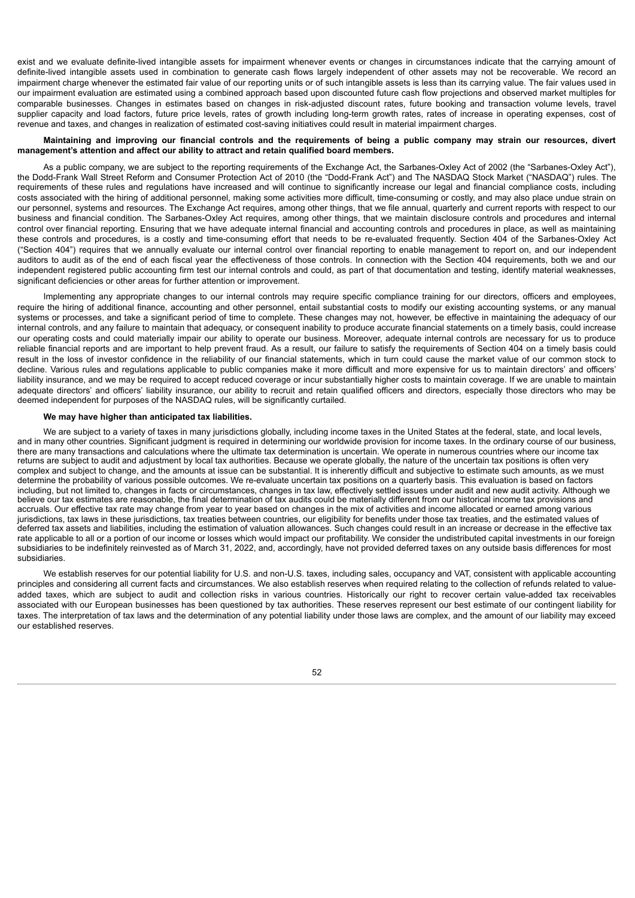exist and we evaluate definite-lived intangible assets for impairment whenever events or changes in circumstances indicate that the carrying amount of definite-lived intangible assets used in combination to generate cash flows largely independent of other assets may not be recoverable. We record an impairment charge whenever the estimated fair value of our reporting units or of such intangible assets is less than its carrying value. The fair values used in our impairment evaluation are estimated using a combined approach based upon discounted future cash flow projections and observed market multiples for comparable businesses. Changes in estimates based on changes in risk-adjusted discount rates, future booking and transaction volume levels, travel supplier capacity and load factors, future price levels, rates of growth including long-term growth rates, rates of increase in operating expenses, cost of revenue and taxes, and changes in realization of estimated cost-saving initiatives could result in material impairment charges.

#### **Maintaining and improving our financial controls and the requirements of being a public company may strain our resources, divert management's attention and affect our ability to attract and retain qualified board members.**

As a public company, we are subject to the reporting requirements of the Exchange Act, the Sarbanes-Oxley Act of 2002 (the "Sarbanes-Oxley Act"), the Dodd-Frank Wall Street Reform and Consumer Protection Act of 2010 (the "Dodd-Frank Act") and The NASDAQ Stock Market ("NASDAQ") rules. The requirements of these rules and regulations have increased and will continue to significantly increase our legal and financial compliance costs, including costs associated with the hiring of additional personnel, making some activities more difficult, time-consuming or costly, and may also place undue strain on our personnel, systems and resources. The Exchange Act requires, among other things, that we file annual, quarterly and current reports with respect to our business and financial condition. The Sarbanes-Oxley Act requires, among other things, that we maintain disclosure controls and procedures and internal control over financial reporting. Ensuring that we have adequate internal financial and accounting controls and procedures in place, as well as maintaining these controls and procedures, is a costly and time-consuming effort that needs to be re-evaluated frequently. Section 404 of the Sarbanes-Oxley Act ("Section 404") requires that we annually evaluate our internal control over financial reporting to enable management to report on, and our independent auditors to audit as of the end of each fiscal year the effectiveness of those controls. In connection with the Section 404 requirements, both we and our independent registered public accounting firm test our internal controls and could, as part of that documentation and testing, identify material weaknesses, significant deficiencies or other areas for further attention or improvement.

Implementing any appropriate changes to our internal controls may require specific compliance training for our directors, officers and employees, require the hiring of additional finance, accounting and other personnel, entail substantial costs to modify our existing accounting systems, or any manual systems or processes, and take a significant period of time to complete. These changes may not, however, be effective in maintaining the adequacy of our internal controls, and any failure to maintain that adequacy, or consequent inability to produce accurate financial statements on a timely basis, could increase our operating costs and could materially impair our ability to operate our business. Moreover, adequate internal controls are necessary for us to produce reliable financial reports and are important to help prevent fraud. As a result, our failure to satisfy the requirements of Section 404 on a timely basis could result in the loss of investor confidence in the reliability of our financial statements, which in turn could cause the market value of our common stock to decline. Various rules and regulations applicable to public companies make it more difficult and more expensive for us to maintain directors' and officers' liability insurance, and we may be required to accept reduced coverage or incur substantially higher costs to maintain coverage. If we are unable to maintain adequate directors' and officers' liability insurance, our ability to recruit and retain qualified officers and directors, especially those directors who may be deemed independent for purposes of the NASDAQ rules, will be significantly curtailed.

#### **We may have higher than anticipated tax liabilities.**

We are subject to a variety of taxes in many jurisdictions globally, including income taxes in the United States at the federal, state, and local levels, and in many other countries. Significant judgment is required in determining our worldwide provision for income taxes. In the ordinary course of our business, there are many transactions and calculations where the ultimate tax determination is uncertain. We operate in numerous countries where our income tax returns are subject to audit and adjustment by local tax authorities. Because we operate globally, the nature of the uncertain tax positions is often very complex and subject to change, and the amounts at issue can be substantial. It is inherently difficult and subjective to estimate such amounts, as we must determine the probability of various possible outcomes. We re-evaluate uncertain tax positions on a quarterly basis. This evaluation is based on factors including, but not limited to, changes in facts or circumstances, changes in tax law, effectively settled issues under audit and new audit activity. Although we believe our tax estimates are reasonable, the final determination of tax audits could be materially different from our historical income tax provisions and accruals. Our effective tax rate may change from year to year based on changes in the mix of activities and income allocated or earned among various jurisdictions, tax laws in these jurisdictions, tax treaties between countries, our eligibility for benefits under those tax treaties, and the estimated values of deferred tax assets and liabilities, including the estimation of valuation allowances. Such changes could result in an increase or decrease in the effective tax rate applicable to all or a portion of our income or losses which would impact our profitability. We consider the undistributed capital investments in our foreign subsidiaries to be indefinitely reinvested as of March 31, 2022, and, accordingly, have not provided deferred taxes on any outside basis differences for most subsidiaries.

We establish reserves for our potential liability for U.S. and non-U.S. taxes, including sales, occupancy and VAT, consistent with applicable accounting principles and considering all current facts and circumstances. We also establish reserves when required relating to the collection of refunds related to valueadded taxes, which are subject to audit and collection risks in various countries. Historically our right to recover certain value-added tax receivables associated with our European businesses has been questioned by tax authorities. These reserves represent our best estimate of our contingent liability for taxes. The interpretation of tax laws and the determination of any potential liability under those laws are complex, and the amount of our liability may exceed our established reserves.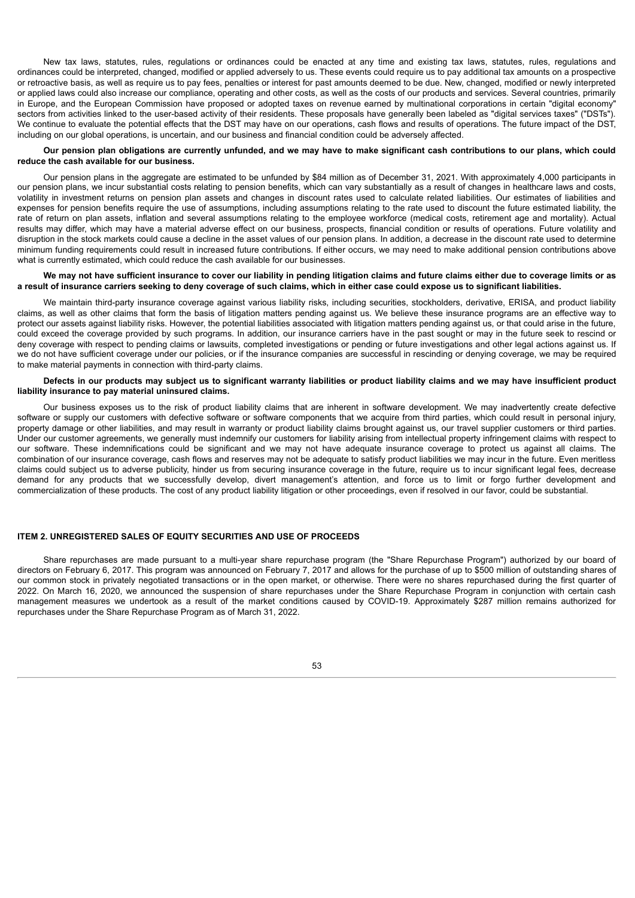New tax laws, statutes, rules, regulations or ordinances could be enacted at any time and existing tax laws, statutes, rules, regulations and ordinances could be interpreted, changed, modified or applied adversely to us. These events could require us to pay additional tax amounts on a prospective or retroactive basis, as well as require us to pay fees, penalties or interest for past amounts deemed to be due. New, changed, modified or newly interpreted or applied laws could also increase our compliance, operating and other costs, as well as the costs of our products and services. Several countries, primarily in Europe, and the European Commission have proposed or adopted taxes on revenue earned by multinational corporations in certain "digital economy" sectors from activities linked to the user-based activity of their residents. These proposals have generally been labeled as "digital services taxes" ("DSTs"). We continue to evaluate the potential effects that the DST may have on our operations, cash flows and results of operations. The future impact of the DST, including on our global operations, is uncertain, and our business and financial condition could be adversely affected.

#### **Our pension plan obligations are currently unfunded, and we may have to make significant cash contributions to our plans, which could reduce the cash available for our business.**

Our pension plans in the aggregate are estimated to be unfunded by \$84 million as of December 31, 2021. With approximately 4,000 participants in our pension plans, we incur substantial costs relating to pension benefits, which can vary substantially as a result of changes in healthcare laws and costs, volatility in investment returns on pension plan assets and changes in discount rates used to calculate related liabilities. Our estimates of liabilities and expenses for pension benefits require the use of assumptions, including assumptions relating to the rate used to discount the future estimated liability, the rate of return on plan assets, inflation and several assumptions relating to the employee workforce (medical costs, retirement age and mortality). Actual results may differ, which may have a material adverse effect on our business, prospects, financial condition or results of operations. Future volatility and disruption in the stock markets could cause a decline in the asset values of our pension plans. In addition, a decrease in the discount rate used to determine minimum funding requirements could result in increased future contributions. If either occurs, we may need to make additional pension contributions above what is currently estimated, which could reduce the cash available for our businesses.

#### **We may not have sufficient insurance to cover our liability in pending litigation claims and future claims either due to coverage limits or as a result of insurance carriers seeking to deny coverage of such claims, which in either case could expose us to significant liabilities.**

We maintain third-party insurance coverage against various liability risks, including securities, stockholders, derivative, ERISA, and product liability claims, as well as other claims that form the basis of litigation matters pending against us. We believe these insurance programs are an effective way to protect our assets against liability risks. However, the potential liabilities associated with litigation matters pending against us, or that could arise in the future, could exceed the coverage provided by such programs. In addition, our insurance carriers have in the past sought or may in the future seek to rescind or deny coverage with respect to pending claims or lawsuits, completed investigations or pending or future investigations and other legal actions against us. If we do not have sufficient coverage under our policies, or if the insurance companies are successful in rescinding or denying coverage, we may be required to make material payments in connection with third-party claims.

#### **Defects in our products may subject us to significant warranty liabilities or product liability claims and we may have insufficient product liability insurance to pay material uninsured claims.**

Our business exposes us to the risk of product liability claims that are inherent in software development. We may inadvertently create defective software or supply our customers with defective software or software components that we acquire from third parties, which could result in personal injury, property damage or other liabilities, and may result in warranty or product liability claims brought against us, our travel supplier customers or third parties. Under our customer agreements, we generally must indemnify our customers for liability arising from intellectual property infringement claims with respect to our software. These indemnifications could be significant and we may not have adequate insurance coverage to protect us against all claims. The combination of our insurance coverage, cash flows and reserves may not be adequate to satisfy product liabilities we may incur in the future. Even meritless claims could subject us to adverse publicity, hinder us from securing insurance coverage in the future, require us to incur significant legal fees, decrease demand for any products that we successfully develop, divert management's attention, and force us to limit or forgo further development and commercialization of these products. The cost of any product liability litigation or other proceedings, even if resolved in our favor, could be substantial.

#### <span id="page-54-0"></span>**ITEM 2. UNREGISTERED SALES OF EQUITY SECURITIES AND USE OF PROCEEDS**

<span id="page-54-1"></span>Share repurchases are made pursuant to a multi-year share repurchase program (the "Share Repurchase Program") authorized by our board of directors on February 6, 2017. This program was announced on February 7, 2017 and allows for the purchase of up to \$500 million of outstanding shares of our common stock in privately negotiated transactions or in the open market, or otherwise. There were no shares repurchased during the first quarter of 2022. On March 16, 2020, we announced the suspension of share repurchases under the Share Repurchase Program in conjunction with certain cash management measures we undertook as a result of the market conditions caused by COVID-19. Approximately \$287 million remains authorized for repurchases under the Share Repurchase Program as of March 31, 2022.

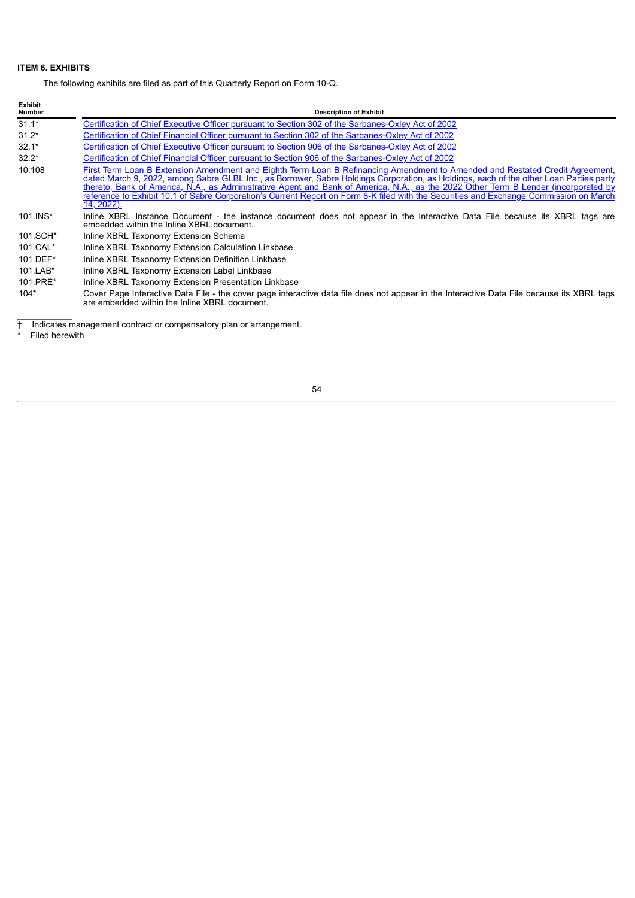# **ITEM 6. EXHIBITS**

The following exhibits are filed as part of this Quarterly Report on Form 10-Q.

| <b>Exhibit</b><br><b>Number</b> | <b>Description of Exhibit</b>                                                                                                                                                                                                                                                                                                                                                                                                                                                                                                                                         |
|---------------------------------|-----------------------------------------------------------------------------------------------------------------------------------------------------------------------------------------------------------------------------------------------------------------------------------------------------------------------------------------------------------------------------------------------------------------------------------------------------------------------------------------------------------------------------------------------------------------------|
| $31.1*$                         | <u>Certification of Chief Executive Officer pursuant to Section 302 of the Sarbanes-Oxley Act of 2002</u>                                                                                                                                                                                                                                                                                                                                                                                                                                                             |
| $31.2*$                         | Certification of Chief Financial Officer pursuant to Section 302 of the Sarbanes-Oxley Act of 2002                                                                                                                                                                                                                                                                                                                                                                                                                                                                    |
| $32.1*$                         | Certification of Chief Executive Officer pursuant to Section 906 of the Sarbanes-Oxley Act of 2002                                                                                                                                                                                                                                                                                                                                                                                                                                                                    |
| $32.2*$                         | Certification of Chief Financial Officer pursuant to Section 906 of the Sarbanes-Oxley Act of 2002                                                                                                                                                                                                                                                                                                                                                                                                                                                                    |
| 10.108                          | First Term Loan B Extension Amendment and Eighth Term Loan B Refinancing Amendment to Amended and Restated Credit Agreement,<br>dated March 9, 2022, among Sabre GLBL Inc., as Borrower, Sabre Holdings Corporation, as Holdings, each of the other Loan Parties party<br>thereto, Bank of America, N.A., as Administrative Agent and Bank of America, N.A., as the 2022 Other Term B Lender (incorporated by<br>reference to Exhibit 10.1 of Sabre Corporation's Current Report on Form 8-K filed with the Securities and Exchange Commission on March<br>14, 2022). |
| 101.INS*                        | Inline XBRL Instance Document - the instance document does not appear in the Interactive Data File because its XBRL tags are<br>embedded within the Inline XBRL document.                                                                                                                                                                                                                                                                                                                                                                                             |
| 101.SCH*                        | Inline XBRL Taxonomy Extension Schema                                                                                                                                                                                                                                                                                                                                                                                                                                                                                                                                 |
| 101.CAL*                        | Inline XBRL Taxonomy Extension Calculation Linkbase                                                                                                                                                                                                                                                                                                                                                                                                                                                                                                                   |
| 101.DEF*                        | Inline XBRL Taxonomy Extension Definition Linkbase                                                                                                                                                                                                                                                                                                                                                                                                                                                                                                                    |
| 101.LAB*                        | Inline XBRL Taxonomy Extension Label Linkbase                                                                                                                                                                                                                                                                                                                                                                                                                                                                                                                         |
| 101.PRE*                        | Inline XBRL Taxonomy Extension Presentation Linkbase                                                                                                                                                                                                                                                                                                                                                                                                                                                                                                                  |
| $104*$                          | Cover Page Interactive Data File - the cover page interactive data file does not appear in the Interactive Data File because its XBRL tags<br>are embedded within the Inline XBRL document.                                                                                                                                                                                                                                                                                                                                                                           |

\_\_\_\_\_\_\_\_\_\_\_\_\_\_\_\_\_ † Indicates management contract or compensatory plan or arrangement.

\* Filed herewith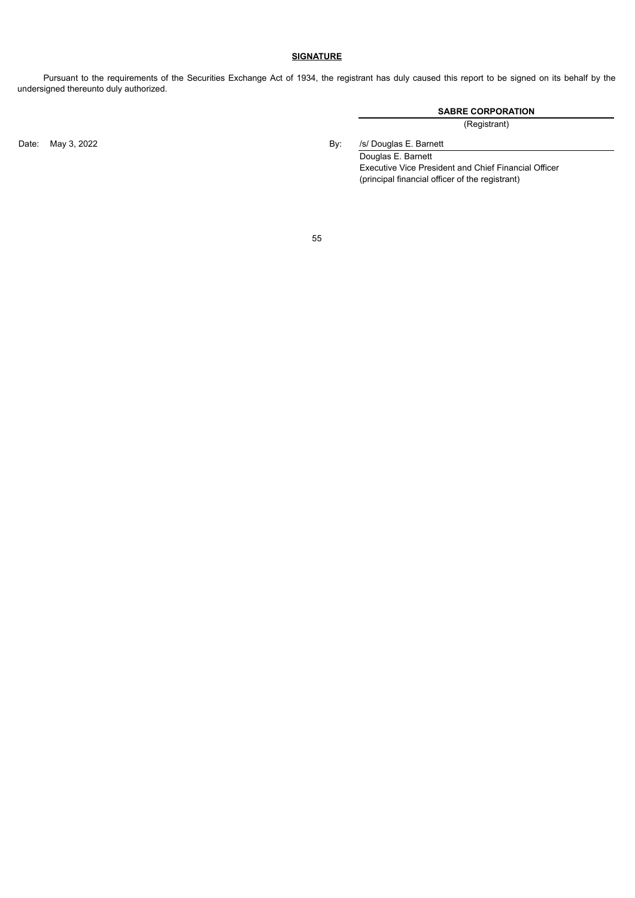# **SIGNATURE**

Pursuant to the requirements of the Securities Exchange Act of 1934, the registrant has duly caused this report to be signed on its behalf by the undersigned thereunto duly authorized.

**SABRE CORPORATION**

(Registrant)

Date: May 3, 2022 **By:** /s/ Douglas E. Barnett

Douglas E. Barnett Executive Vice President and Chief Financial Officer (principal financial officer of the registrant)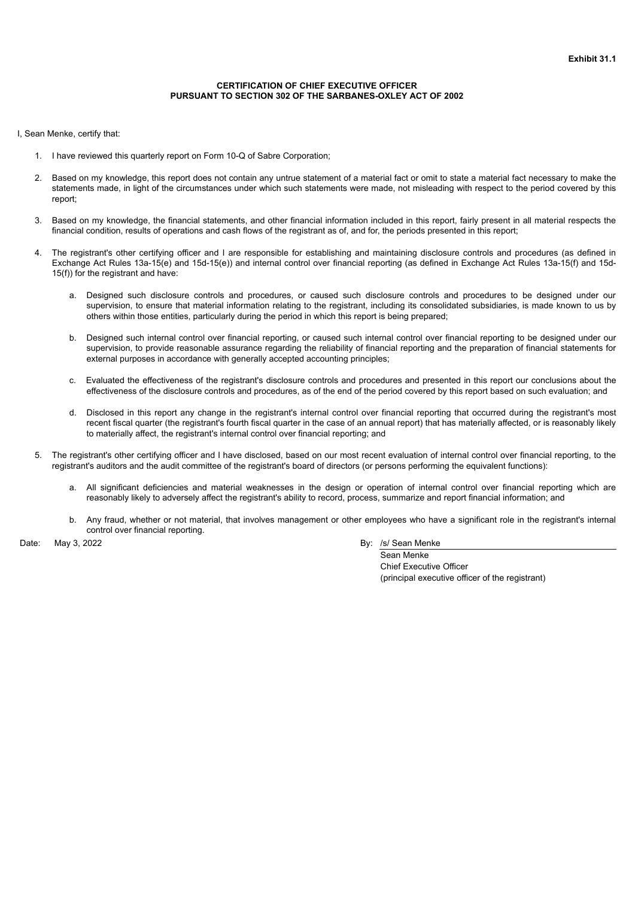#### **CERTIFICATION OF CHIEF EXECUTIVE OFFICER PURSUANT TO SECTION 302 OF THE SARBANES-OXLEY ACT OF 2002**

<span id="page-57-0"></span>I, Sean Menke, certify that:

- 1. I have reviewed this quarterly report on Form 10-Q of Sabre Corporation;
- 2. Based on my knowledge, this report does not contain any untrue statement of a material fact or omit to state a material fact necessary to make the statements made, in light of the circumstances under which such statements were made, not misleading with respect to the period covered by this report;
- 3. Based on my knowledge, the financial statements, and other financial information included in this report, fairly present in all material respects the financial condition, results of operations and cash flows of the registrant as of, and for, the periods presented in this report;
- 4. The registrant's other certifying officer and I are responsible for establishing and maintaining disclosure controls and procedures (as defined in Exchange Act Rules 13a-15(e) and 15d-15(e)) and internal control over financial reporting (as defined in Exchange Act Rules 13a-15(f) and 15d-15(f)) for the registrant and have:
	- a. Designed such disclosure controls and procedures, or caused such disclosure controls and procedures to be designed under our supervision, to ensure that material information relating to the registrant, including its consolidated subsidiaries, is made known to us by others within those entities, particularly during the period in which this report is being prepared;
	- b. Designed such internal control over financial reporting, or caused such internal control over financial reporting to be designed under our supervision, to provide reasonable assurance regarding the reliability of financial reporting and the preparation of financial statements for external purposes in accordance with generally accepted accounting principles;
	- c. Evaluated the effectiveness of the registrant's disclosure controls and procedures and presented in this report our conclusions about the effectiveness of the disclosure controls and procedures, as of the end of the period covered by this report based on such evaluation; and
	- d. Disclosed in this report any change in the registrant's internal control over financial reporting that occurred during the registrant's most recent fiscal quarter (the registrant's fourth fiscal quarter in the case of an annual report) that has materially affected, or is reasonably likely to materially affect, the registrant's internal control over financial reporting; and
- 5. The registrant's other certifying officer and I have disclosed, based on our most recent evaluation of internal control over financial reporting, to the registrant's auditors and the audit committee of the registrant's board of directors (or persons performing the equivalent functions):
	- a. All significant deficiencies and material weaknesses in the design or operation of internal control over financial reporting which are reasonably likely to adversely affect the registrant's ability to record, process, summarize and report financial information; and
	- b. Any fraud, whether or not material, that involves management or other employees who have a significant role in the registrant's internal control over financial reporting.

Date: May 3, 2022 By: /s/ Sean Menke

Sean Menke Chief Executive Officer (principal executive officer of the registrant)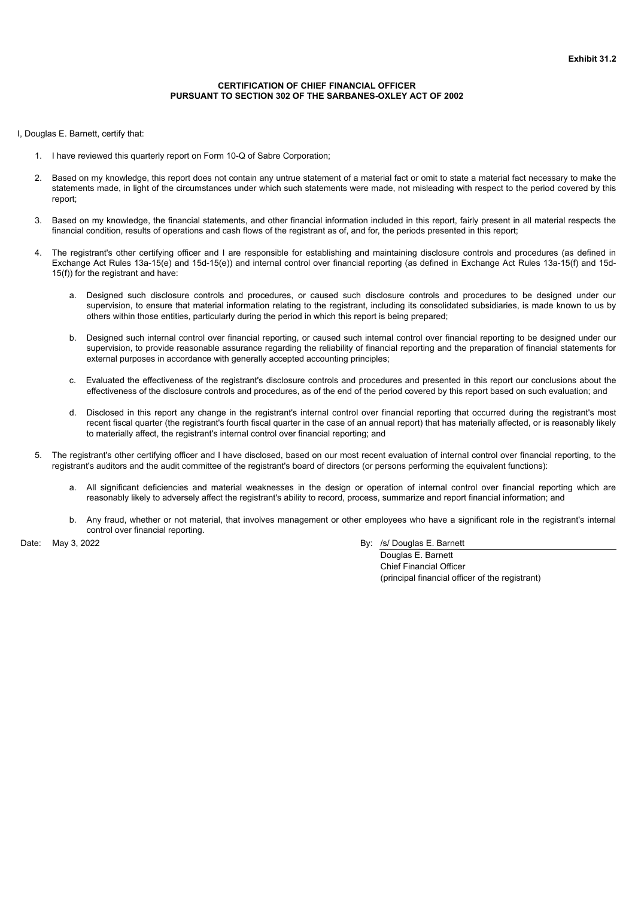#### **CERTIFICATION OF CHIEF FINANCIAL OFFICER PURSUANT TO SECTION 302 OF THE SARBANES-OXLEY ACT OF 2002**

- <span id="page-58-0"></span>I, Douglas E. Barnett, certify that:
	- 1. I have reviewed this quarterly report on Form 10-Q of Sabre Corporation;
	- 2. Based on my knowledge, this report does not contain any untrue statement of a material fact or omit to state a material fact necessary to make the statements made, in light of the circumstances under which such statements were made, not misleading with respect to the period covered by this report;
	- 3. Based on my knowledge, the financial statements, and other financial information included in this report, fairly present in all material respects the financial condition, results of operations and cash flows of the registrant as of, and for, the periods presented in this report;
	- 4. The registrant's other certifying officer and I are responsible for establishing and maintaining disclosure controls and procedures (as defined in Exchange Act Rules 13a-15(e) and 15d-15(e)) and internal control over financial reporting (as defined in Exchange Act Rules 13a-15(f) and 15d-15(f)) for the registrant and have:
		- a. Designed such disclosure controls and procedures, or caused such disclosure controls and procedures to be designed under our supervision, to ensure that material information relating to the registrant, including its consolidated subsidiaries, is made known to us by others within those entities, particularly during the period in which this report is being prepared;
		- b. Designed such internal control over financial reporting, or caused such internal control over financial reporting to be designed under our supervision, to provide reasonable assurance regarding the reliability of financial reporting and the preparation of financial statements for external purposes in accordance with generally accepted accounting principles;
		- c. Evaluated the effectiveness of the registrant's disclosure controls and procedures and presented in this report our conclusions about the effectiveness of the disclosure controls and procedures, as of the end of the period covered by this report based on such evaluation; and
		- d. Disclosed in this report any change in the registrant's internal control over financial reporting that occurred during the registrant's most recent fiscal quarter (the registrant's fourth fiscal quarter in the case of an annual report) that has materially affected, or is reasonably likely to materially affect, the registrant's internal control over financial reporting; and
	- 5. The registrant's other certifying officer and I have disclosed, based on our most recent evaluation of internal control over financial reporting, to the registrant's auditors and the audit committee of the registrant's board of directors (or persons performing the equivalent functions):
		- a. All significant deficiencies and material weaknesses in the design or operation of internal control over financial reporting which are reasonably likely to adversely affect the registrant's ability to record, process, summarize and report financial information; and
		- b. Any fraud, whether or not material, that involves management or other employees who have a significant role in the registrant's internal control over financial reporting.

Date: May 3, 2022 **By: /s/ Douglas E. Barnett** 

Douglas E. Barnett Chief Financial Officer (principal financial officer of the registrant)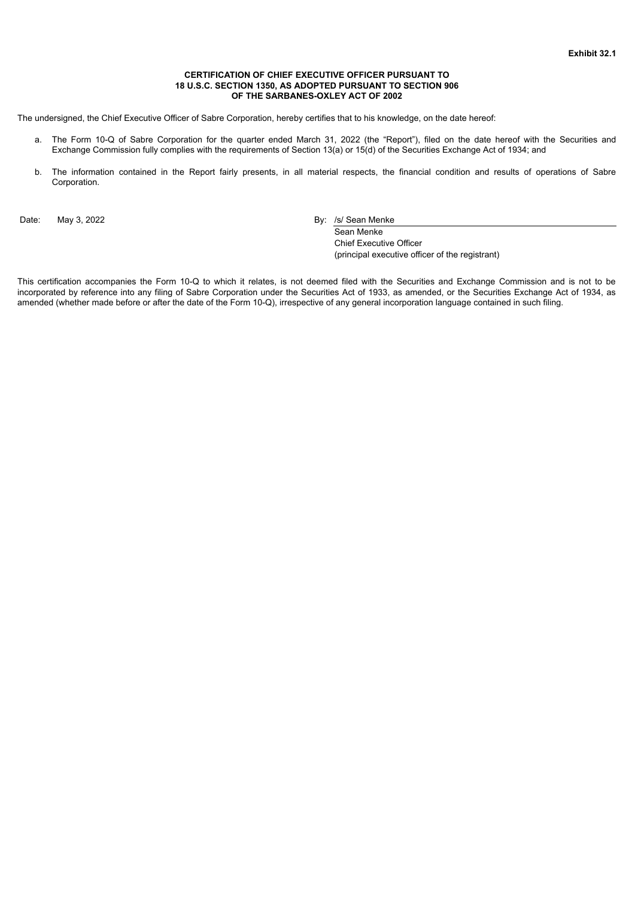#### **CERTIFICATION OF CHIEF EXECUTIVE OFFICER PURSUANT TO 18 U.S.C. SECTION 1350, AS ADOPTED PURSUANT TO SECTION 906 OF THE SARBANES-OXLEY ACT OF 2002**

<span id="page-59-0"></span>The undersigned, the Chief Executive Officer of Sabre Corporation, hereby certifies that to his knowledge, on the date hereof:

- a. The Form 10-Q of Sabre Corporation for the quarter ended March 31, 2022 (the "Report"), filed on the date hereof with the Securities and Exchange Commission fully complies with the requirements of Section 13(a) or 15(d) of the Securities Exchange Act of 1934; and
- b. The information contained in the Report fairly presents, in all material respects, the financial condition and results of operations of Sabre Corporation.

Date: May 3, 2022 **By: /s/ Sean Menke** 

Sean Menke Chief Executive Officer (principal executive officer of the registrant)

This certification accompanies the Form 10-Q to which it relates, is not deemed filed with the Securities and Exchange Commission and is not to be incorporated by reference into any filing of Sabre Corporation under the Securities Act of 1933, as amended, or the Securities Exchange Act of 1934, as amended (whether made before or after the date of the Form 10-Q), irrespective of any general incorporation language contained in such filing.